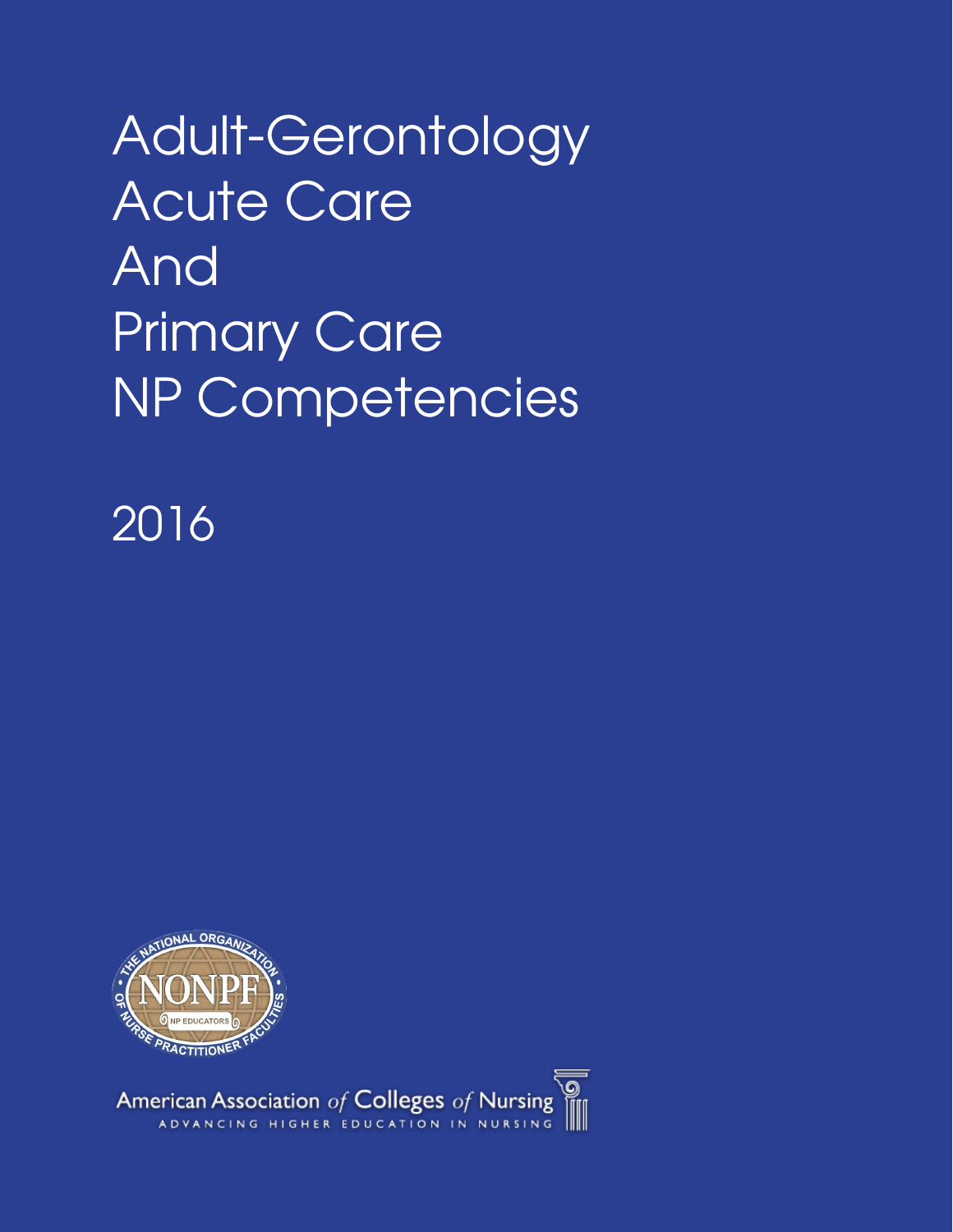Adult-Gerontology Acute Care And Primary Care NP Competencies

2016



American Association of Colleges of Nursing<br>ADVANCING HIGHER EDUCATION IN NURSING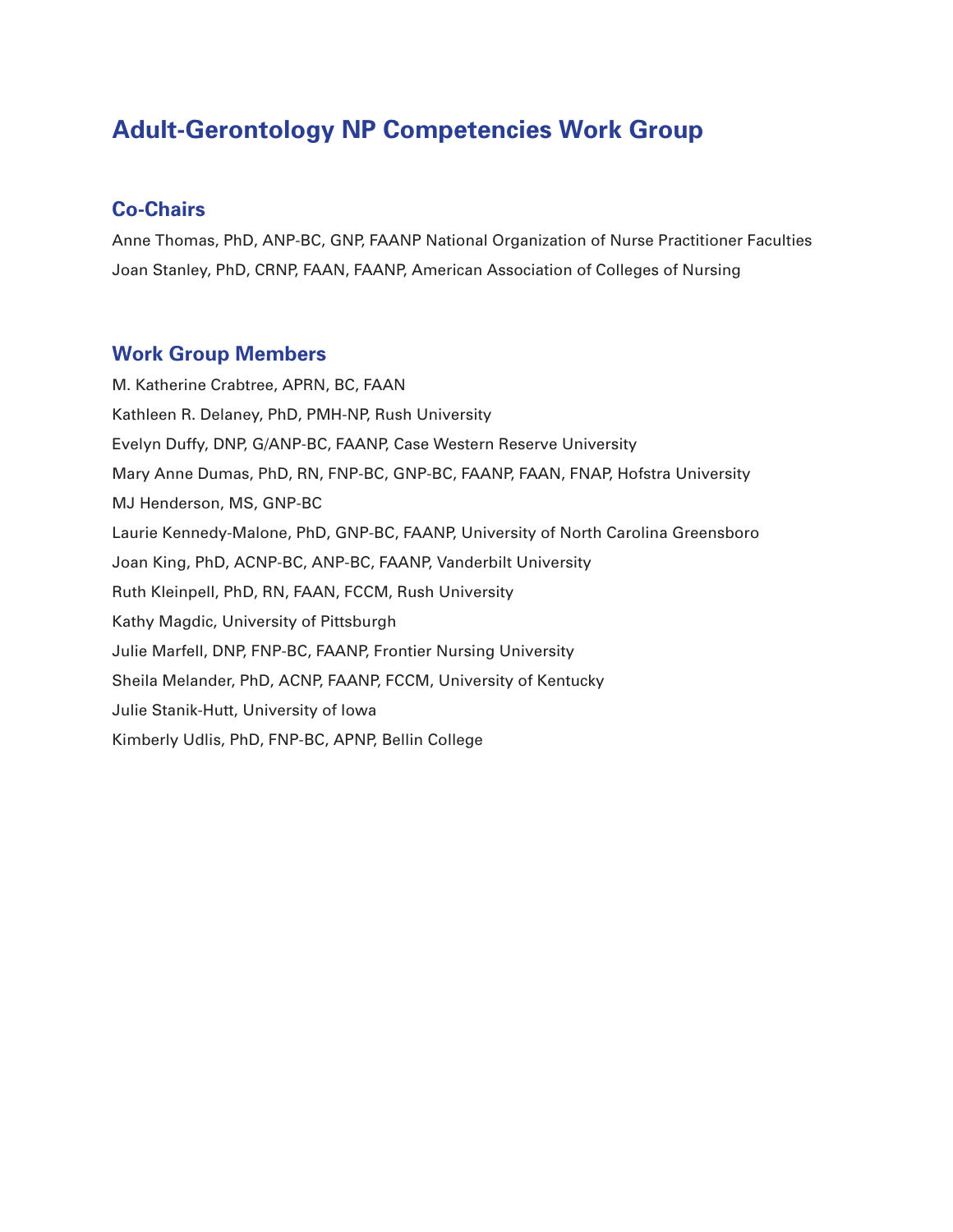### **Adult-Gerontology NP Competencies Work Group**

### **Co-Chairs**

Anne Thomas, PhD, ANP-BC, GNP, FAANP National Organization of Nurse Practitioner Faculties Joan Stanley, PhD, CRNP, FAAN, FAANP, American Association of Colleges of Nursing

### **Work Group Members**

M. Katherine Crabtree, APRN, BC, FAAN Kathleen R. Delaney, PhD, PMH-NP, Rush University Evelyn Duffy, DNP, G/ANP-BC, FAANP, Case Western Reserve University Mary Anne Dumas, PhD, RN, FNP-BC, GNP-BC, FAANP, FAAN, FNAP, Hofstra University MJ Henderson, MS, GNP-BC Laurie Kennedy-Malone, PhD, GNP-BC, FAANP, University of North Carolina Greensboro Joan King, PhD, ACNP-BC, ANP-BC, FAANP, Vanderbilt University Ruth Kleinpell, PhD, RN, FAAN, FCCM, Rush University Kathy Magdic, University of Pittsburgh Julie Marfell, DNP, FNP-BC, FAANP, Frontier Nursing University Sheila Melander, PhD, ACNP, FAANP, FCCM, University of Kentucky Julie Stanik-Hutt, University of Iowa Kimberly Udlis, PhD, FNP-BC, APNP, Bellin College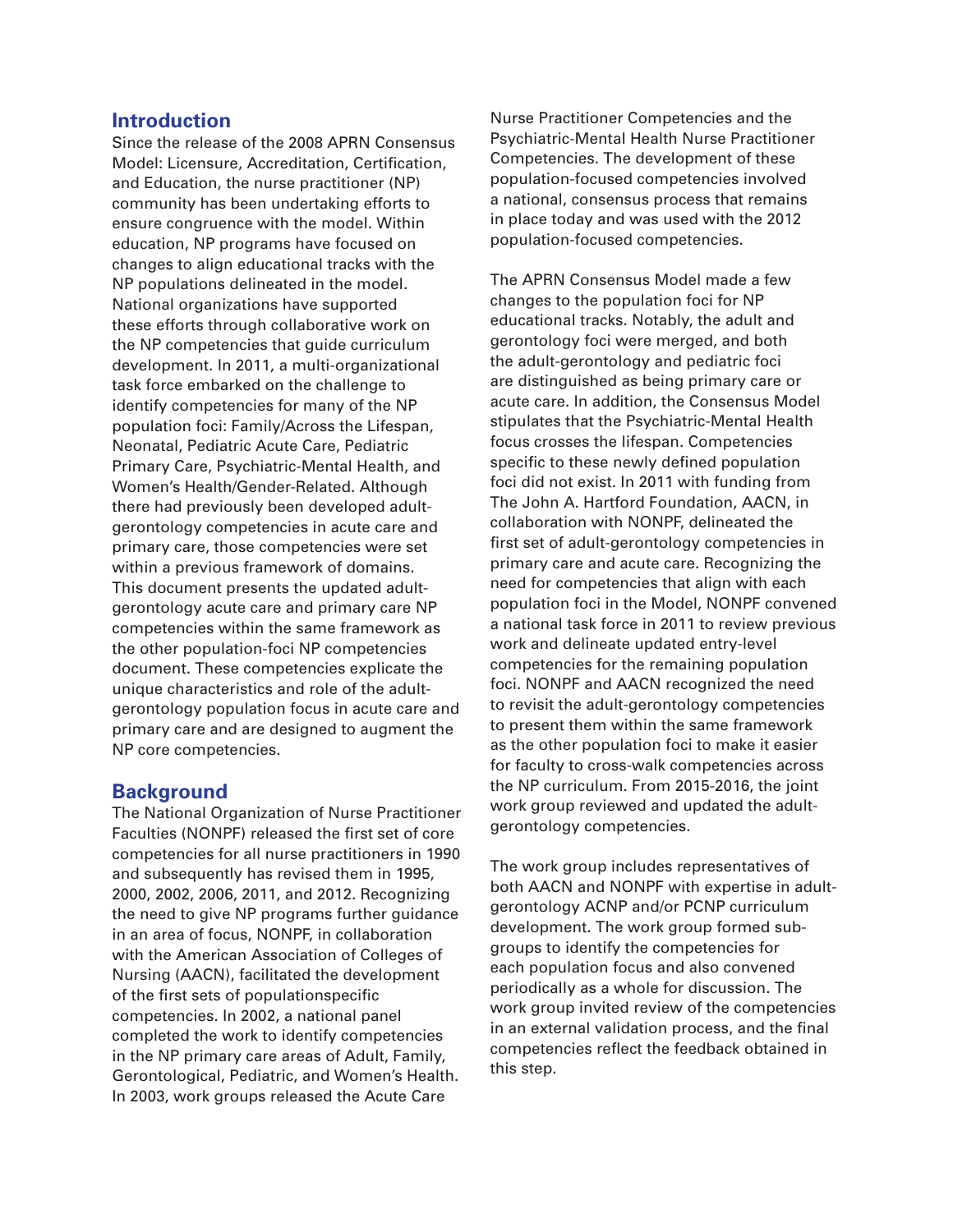### **Introduction**

Since the release of the 2008 APRN Consensus Model: Licensure, Accreditation, Certification, and Education, the nurse practitioner (NP) community has been undertaking efforts to ensure congruence with the model. Within education, NP programs have focused on changes to align educational tracks with the NP populations delineated in the model. National organizations have supported these efforts through collaborative work on the NP competencies that guide curriculum development. In 2011, a multi-organizational task force embarked on the challenge to identify competencies for many of the NP population foci: Family/Across the Lifespan, Neonatal, Pediatric Acute Care, Pediatric Primary Care, Psychiatric-Mental Health, and Women's Health/Gender-Related. Although there had previously been developed adultgerontology competencies in acute care and primary care, those competencies were set within a previous framework of domains. This document presents the updated adultgerontology acute care and primary care NP competencies within the same framework as the other population-foci NP competencies document. These competencies explicate the unique characteristics and role of the adultgerontology population focus in acute care and primary care and are designed to augment the NP core competencies.

### **Background**

The National Organization of Nurse Practitioner Faculties (NONPF) released the first set of core competencies for all nurse practitioners in 1990 and subsequently has revised them in 1995, 2000, 2002, 2006, 2011, and 2012. Recognizing the need to give NP programs further guidance in an area of focus, NONPF, in collaboration with the American Association of Colleges of Nursing (AACN), facilitated the development of the first sets of populationspecific competencies. In 2002, a national panel completed the work to identify competencies in the NP primary care areas of Adult, Family, Gerontological, Pediatric, and Women's Health. In 2003, work groups released the Acute Care

Nurse Practitioner Competencies and the Psychiatric-Mental Health Nurse Practitioner Competencies. The development of these population-focused competencies involved a national, consensus process that remains in place today and was used with the 2012 population-focused competencies.

The APRN Consensus Model made a few changes to the population foci for NP educational tracks. Notably, the adult and gerontology foci were merged, and both the adult-gerontology and pediatric foci are distinguished as being primary care or acute care. In addition, the Consensus Model stipulates that the Psychiatric-Mental Health focus crosses the lifespan. Competencies specific to these newly defined population foci did not exist. In 2011 with funding from The John A. Hartford Foundation, AACN, in collaboration with NONPF, delineated the first set of adult-gerontology competencies in primary care and acute care. Recognizing the need for competencies that align with each population foci in the Model, NONPF convened a national task force in 2011 to review previous work and delineate updated entry-level competencies for the remaining population foci. NONPF and AACN recognized the need to revisit the adult-gerontology competencies to present them within the same framework as the other population foci to make it easier for faculty to cross-walk competencies across the NP curriculum. From 2015-2016, the joint work group reviewed and updated the adultgerontology competencies.

The work group includes representatives of both AACN and NONPF with expertise in adultgerontology ACNP and/or PCNP curriculum development. The work group formed subgroups to identify the competencies for each population focus and also convened periodically as a whole for discussion. The work group invited review of the competencies in an external validation process, and the final competencies reflect the feedback obtained in this step.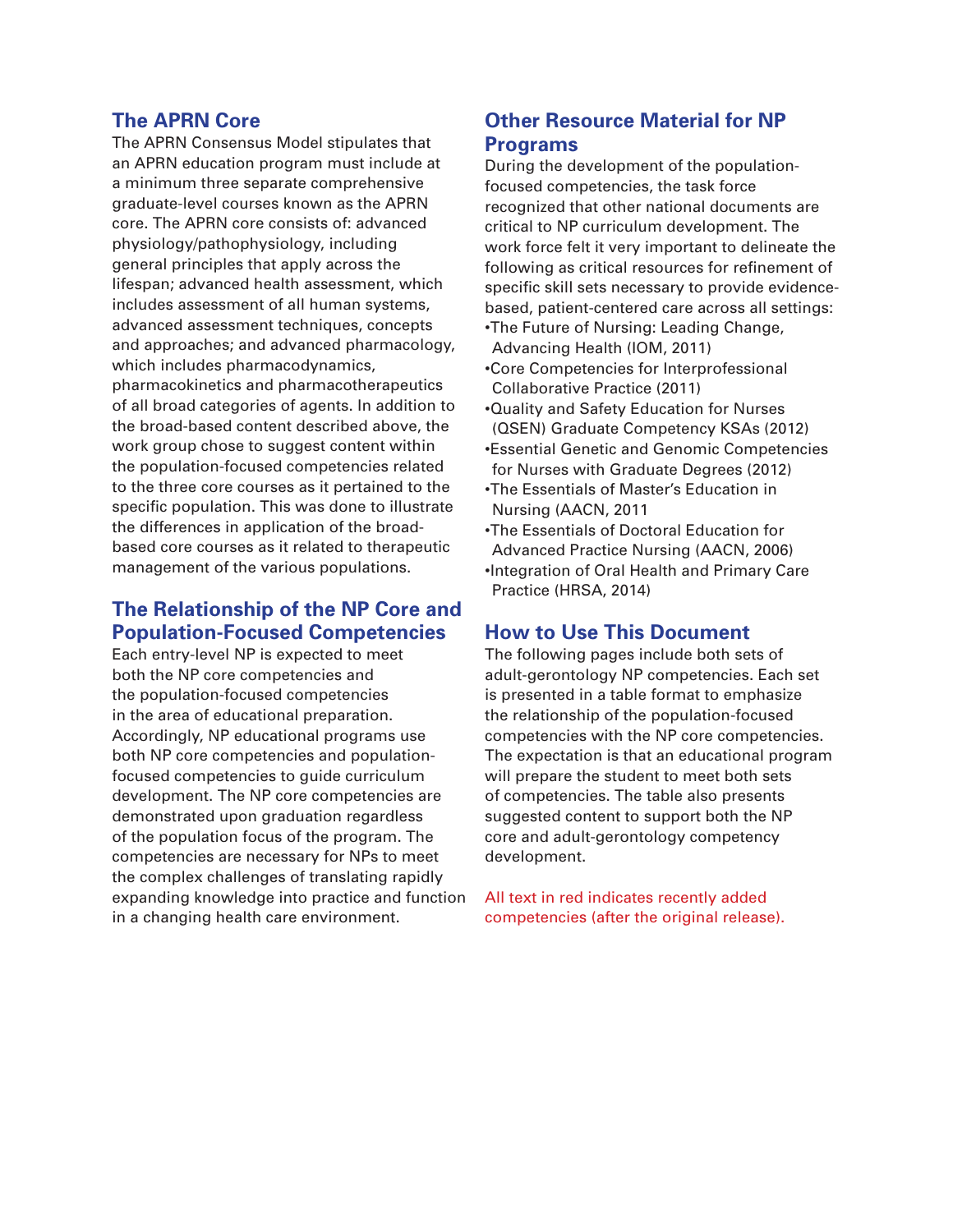### **The APRN Core**

The APRN Consensus Model stipulates that an APRN education program must include at a minimum three separate comprehensive graduate-level courses known as the APRN core. The APRN core consists of: advanced physiology/pathophysiology, including general principles that apply across the lifespan; advanced health assessment, which includes assessment of all human systems, advanced assessment techniques, concepts and approaches; and advanced pharmacology, which includes pharmacodynamics, pharmacokinetics and pharmacotherapeutics of all broad categories of agents. In addition to the broad-based content described above, the work group chose to suggest content within the population-focused competencies related to the three core courses as it pertained to the specific population. This was done to illustrate the differences in application of the broadbased core courses as it related to therapeutic management of the various populations.

### **The Relationship of the NP Core and Population-Focused Competencies**

Each entry-level NP is expected to meet both the NP core competencies and the population-focused competencies in the area of educational preparation. Accordingly, NP educational programs use both NP core competencies and populationfocused competencies to guide curriculum development. The NP core competencies are demonstrated upon graduation regardless of the population focus of the program. The competencies are necessary for NPs to meet the complex challenges of translating rapidly expanding knowledge into practice and function in a changing health care environment.

### **Other Resource Material for NP Programs**

During the development of the populationfocused competencies, the task force recognized that other national documents are critical to NP curriculum development. The work force felt it very important to delineate the following as critical resources for refinement of specific skill sets necessary to provide evidencebased, patient-centered care across all settings:

- •The Future of Nursing: Leading Change, Advancing Health (IOM, 2011)
- •Core Competencies for Interprofessional Collaborative Practice (2011)
- •Quality and Safety Education for Nurses (QSEN) Graduate Competency KSAs (2012) •Essential Genetic and Genomic Competencies for Nurses with Graduate Degrees (2012)
- •The Essentials of Master's Education in Nursing (AACN, 2011
- •The Essentials of Doctoral Education for Advanced Practice Nursing (AACN, 2006)
- •Integration of Oral Health and Primary Care Practice (HRSA, 2014)

### **How to Use This Document**

The following pages include both sets of adult-gerontology NP competencies. Each set is presented in a table format to emphasize the relationship of the population-focused competencies with the NP core competencies. The expectation is that an educational program will prepare the student to meet both sets of competencies. The table also presents suggested content to support both the NP core and adult-gerontology competency development.

All text in red indicates recently added competencies (after the original release).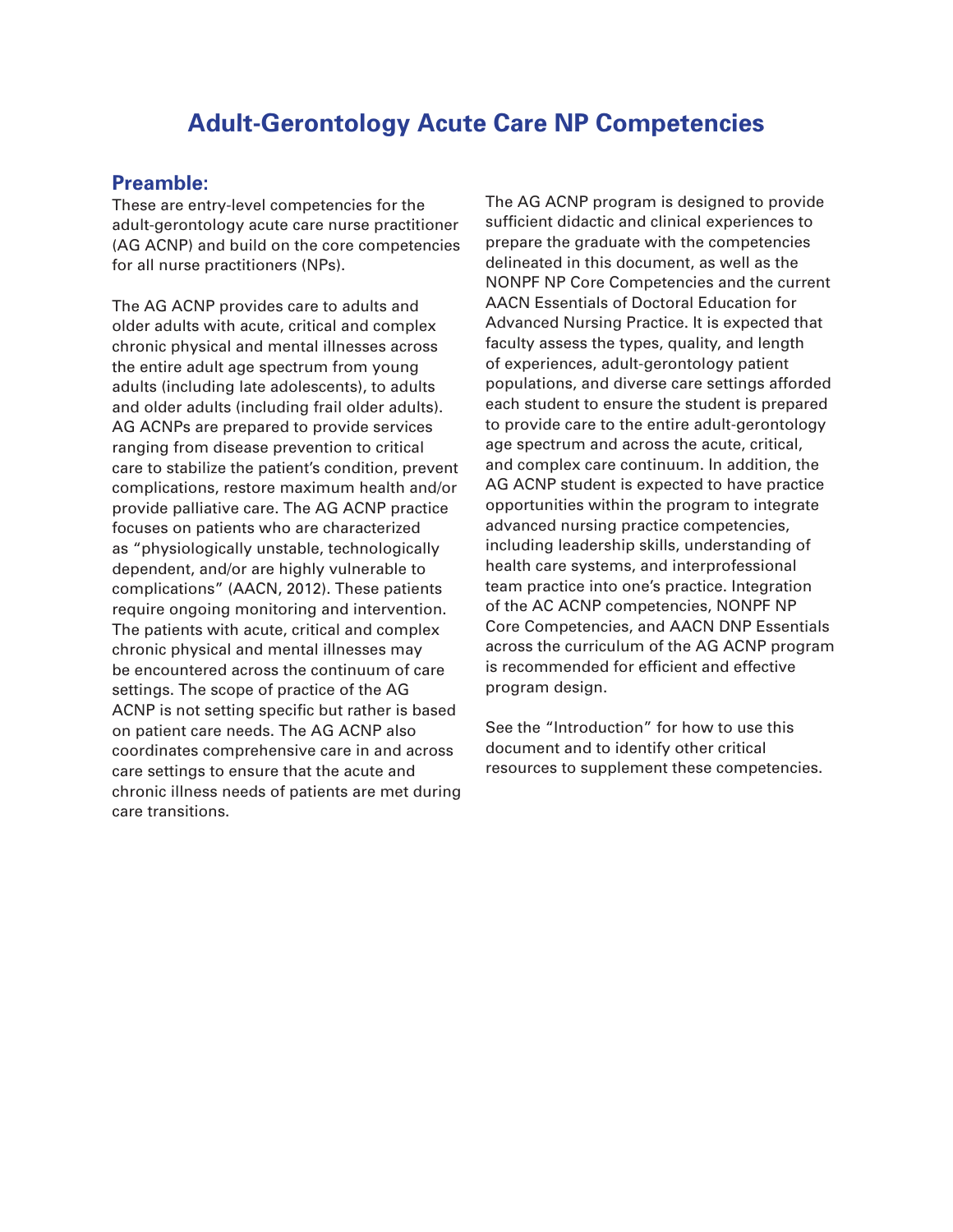### **Adult-Gerontology Acute Care NP Competencies**

### **Preamble:**

These are entry-level competencies for the adult-gerontology acute care nurse practitioner (AG ACNP) and build on the core competencies for all nurse practitioners (NPs).

The AG ACNP provides care to adults and older adults with acute, critical and complex chronic physical and mental illnesses across the entire adult age spectrum from young adults (including late adolescents), to adults and older adults (including frail older adults). AG ACNPs are prepared to provide services ranging from disease prevention to critical care to stabilize the patient's condition, prevent complications, restore maximum health and/or provide palliative care. The AG ACNP practice focuses on patients who are characterized as "physiologically unstable, technologically dependent, and/or are highly vulnerable to complications" (AACN, 2012). These patients require ongoing monitoring and intervention. The patients with acute, critical and complex chronic physical and mental illnesses may be encountered across the continuum of care settings. The scope of practice of the AG ACNP is not setting specific but rather is based on patient care needs. The AG ACNP also coordinates comprehensive care in and across care settings to ensure that the acute and chronic illness needs of patients are met during care transitions.

The AG ACNP program is designed to provide sufficient didactic and clinical experiences to prepare the graduate with the competencies delineated in this document, as well as the NONPF NP Core Competencies and the current AACN Essentials of Doctoral Education for Advanced Nursing Practice. It is expected that faculty assess the types, quality, and length of experiences, adult-gerontology patient populations, and diverse care settings afforded each student to ensure the student is prepared to provide care to the entire adult-gerontology age spectrum and across the acute, critical, and complex care continuum. In addition, the AG ACNP student is expected to have practice opportunities within the program to integrate advanced nursing practice competencies, including leadership skills, understanding of health care systems, and interprofessional team practice into one's practice. Integration of the AC ACNP competencies, NONPF NP Core Competencies, and AACN DNP Essentials across the curriculum of the AG ACNP program is recommended for efficient and effective program design.

See the "Introduction" for how to use this document and to identify other critical resources to supplement these competencies.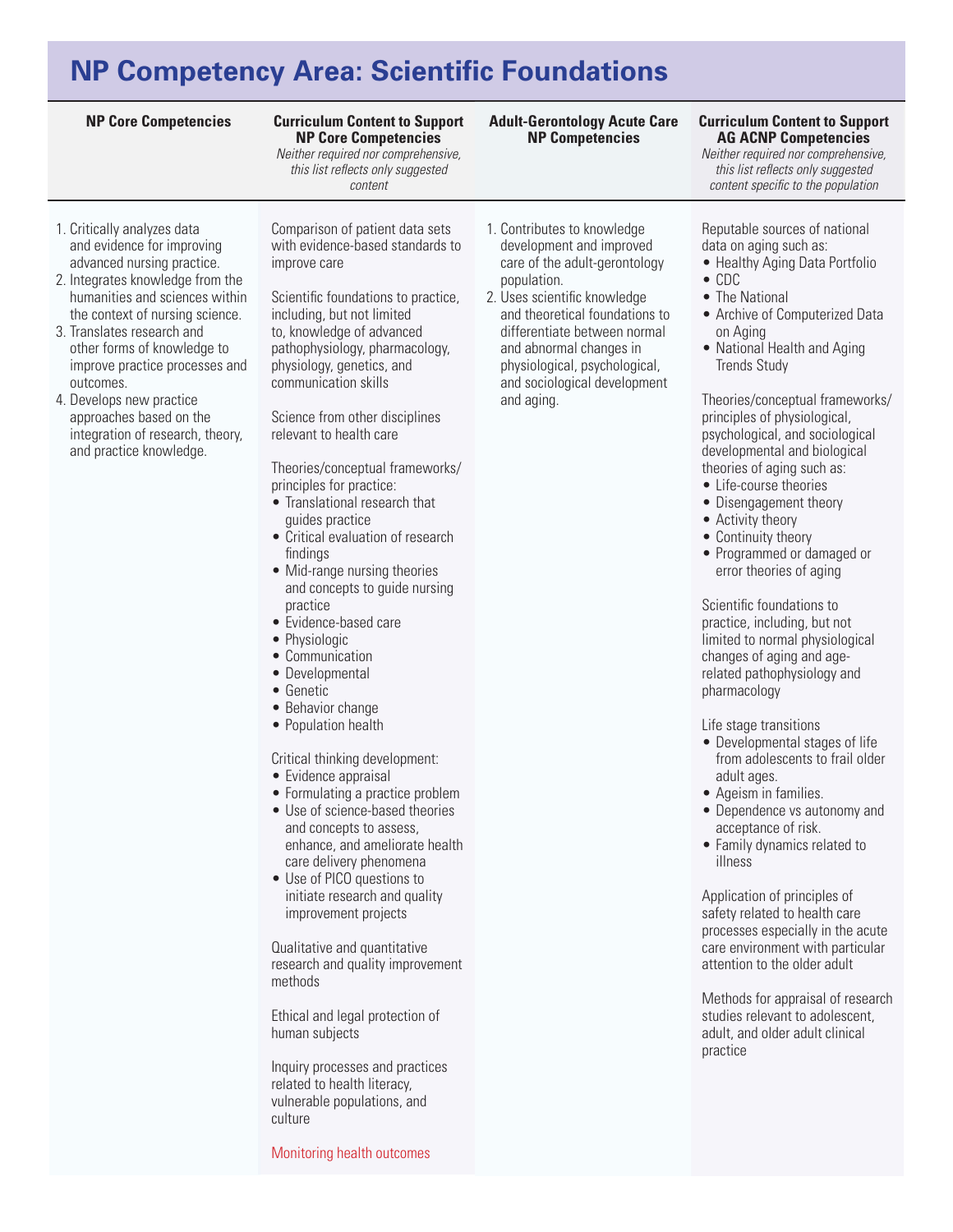## **NP Competency Area: Scientific Foundations**

#### **Curriculum Content to Support NP Core Competencies**

*Neither required nor comprehensive, this list reflects only suggested content* 

- 1. Critically analyzes data and evidence for improving advanced nursing practice.
- 2. Integrates knowledge from the humanities and sciences within the context of nursing science.
- 3. Translates research and other forms of knowledge to improve practice processes and outcomes.
- 4. Develops new practice approaches based on the integration of research, theory, and practice knowledge.

Comparison of patient data sets with evidence-based standards to improve care

Scientific foundations to practice, including, but not limited to, knowledge of advanced pathophysiology, pharmacology, physiology, genetics, and communication skills

Science from other disciplines relevant to health care

Theories/conceptual frameworks/ principles for practice:

- • Translational research that guides practice
- • Critical evaluation of research findings
- Mid-range nursing theories and concepts to guide nursing practice
- • Evidence-based care
- Physiologic
- • Communication
- Developmental
- • Genetic
- Behavior change
- Population health

Critical thinking development:

- Evidence appraisal
- Formulating a practice problem
- Use of science-based theories and concepts to assess, enhance, and ameliorate health care delivery phenomena
- Use of PICO questions to initiate research and quality improvement projects

Qualitative and quantitative research and quality improvement methods

Ethical and legal protection of human subjects

Inquiry processes and practices related to health literacy, vulnerable populations, and culture

Monitoring health outcomes

### **Adult-Gerontology Acute Care NP Competencies**

1. Contributes to knowledge development and improved care of the adult-gerontology

2. Uses scientific knowledge and theoretical foundations to differentiate between normal and abnormal changes in physiological, psychological, and sociological development

population.

and aging.

### **NP Core Competencies Curriculum Content to Support AG ACNP Competencies**

*Neither required nor comprehensive, this list reflects only suggested content specific to the population*

### Reputable sources of national data on aging such as:

- Healthy Aging Data Portfolio
- • CDC
- The National
- Archive of Computerized Data on Aging
- National Health and Aging Trends Study

Theories/conceptual frameworks/ principles of physiological, psychological, and sociological developmental and biological theories of aging such as:

- • Life-course theories
- Disengagement theory
- Activity theory
- Continuity theory
- Programmed or damaged or error theories of aging

Scientific foundations to practice, including, but not limited to normal physiological changes of aging and agerelated pathophysiology and pharmacology

Life stage transitions

- Developmental stages of life from adolescents to frail older adult ages.
- Ageism in families.
- Dependence vs autonomy and acceptance of risk.
- • Family dynamics related to illness

Application of principles of safety related to health care processes especially in the acute care environment with particular attention to the older adult

Methods for appraisal of research studies relevant to adolescent, adult, and older adult clinical practice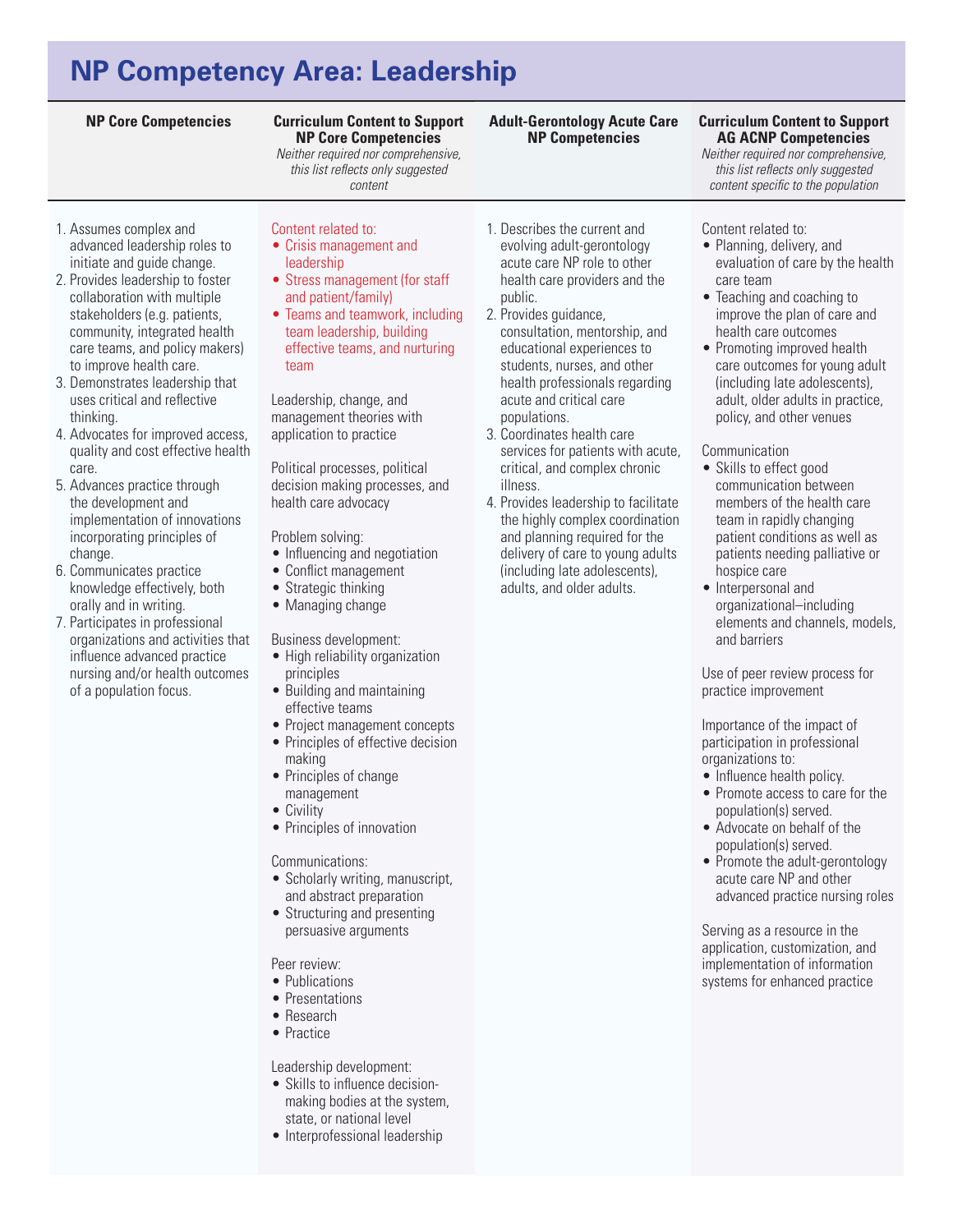# **NP Competency Area: Leadership**

### **Curriculum Content to Support NP Core Competencies**

*Neither required nor comprehensive, this list reflects only suggested content* 

- 1. Assumes complex and advanced leadership roles to initiate and guide change.
- 2. Provides leadership to foster collaboration with multiple stakeholders (e.g. patients, community, integrated health care teams, and policy makers) to improve health care.
- 3. Demonstrates leadership that uses critical and reflective thinking.
- 4. Advocates for improved access, quality and cost effective health care.
- 5. Advances practice through the development and implementation of innovations incorporating principles of change.
- 6. Communicates practice knowledge effectively, both orally and in writing.
- 7. Participates in professional organizations and activities that influence advanced practice nursing and/or health outcomes of a population focus.
- Content related to: • Crisis management and
- leadership
- Stress management (for staff and patient/family)
- Teams and teamwork, including team leadership, building effective teams, and nurturing team

Leadership, change, and management theories with application to practice

Political processes, political decision making processes, and health care advocacy

Problem solving:

- Influencing and negotiation
- Conflict management
- Strategic thinking
- Managing change

Business development:

- High reliability organization principles
- Building and maintaining effective teams
- Project management concepts
- Principles of effective decision making
- Principles of change
- management
- Civility
- Principles of innovation

### Communications:

- Scholarly writing, manuscript, and abstract preparation
- Structuring and presenting persuasive arguments

Peer review:

- Publications
- Presentations
- • Research
- Practice

Leadership development:

- Skills to influence decisionmaking bodies at the system, state, or national level
- Interprofessional leadership
- 1. Describes the current and evolving adult-gerontology acute care NP role to other health care providers and the public.
- 2. Provides guidance, consultation, mentorship, and educational experiences to students, nurses, and other health professionals regarding acute and critical care populations.
- 3. Coordinates health care services for patients with acute, critical, and complex chronic illness.
- 4. Provides leadership to facilitate the highly complex coordination and planning required for the delivery of care to young adults (including late adolescents), adults, and older adults.

## **AG ACNP Competencies**

*Neither required nor comprehensive, this list reflects only suggested content specific to the population*

### Content related to:

- • Planning, delivery, and evaluation of care by the health care team
- Teaching and coaching to improve the plan of care and health care outcomes
- Promoting improved health care outcomes for young adult (including late adolescents), adult, older adults in practice, policy, and other venues

### Communication

- Skills to effect good communication between members of the health care team in rapidly changing patient conditions as well as patients needing palliative or hospice care
- Interpersonal and organizational–including elements and channels, models, and barriers

Use of peer review process for practice improvement

Importance of the impact of participation in professional organizations to:

- Influence health policy.
- Promote access to care for the population(s) served.
- • Advocate on behalf of the population(s) served.
- Promote the adult-gerontology acute care NP and other advanced practice nursing roles

Serving as a resource in the application, customization, and implementation of information systems for enhanced practice

#### **NP Core Competencies Curriculum Content to Support Adult-Gerontology Acute Care NP Competencies**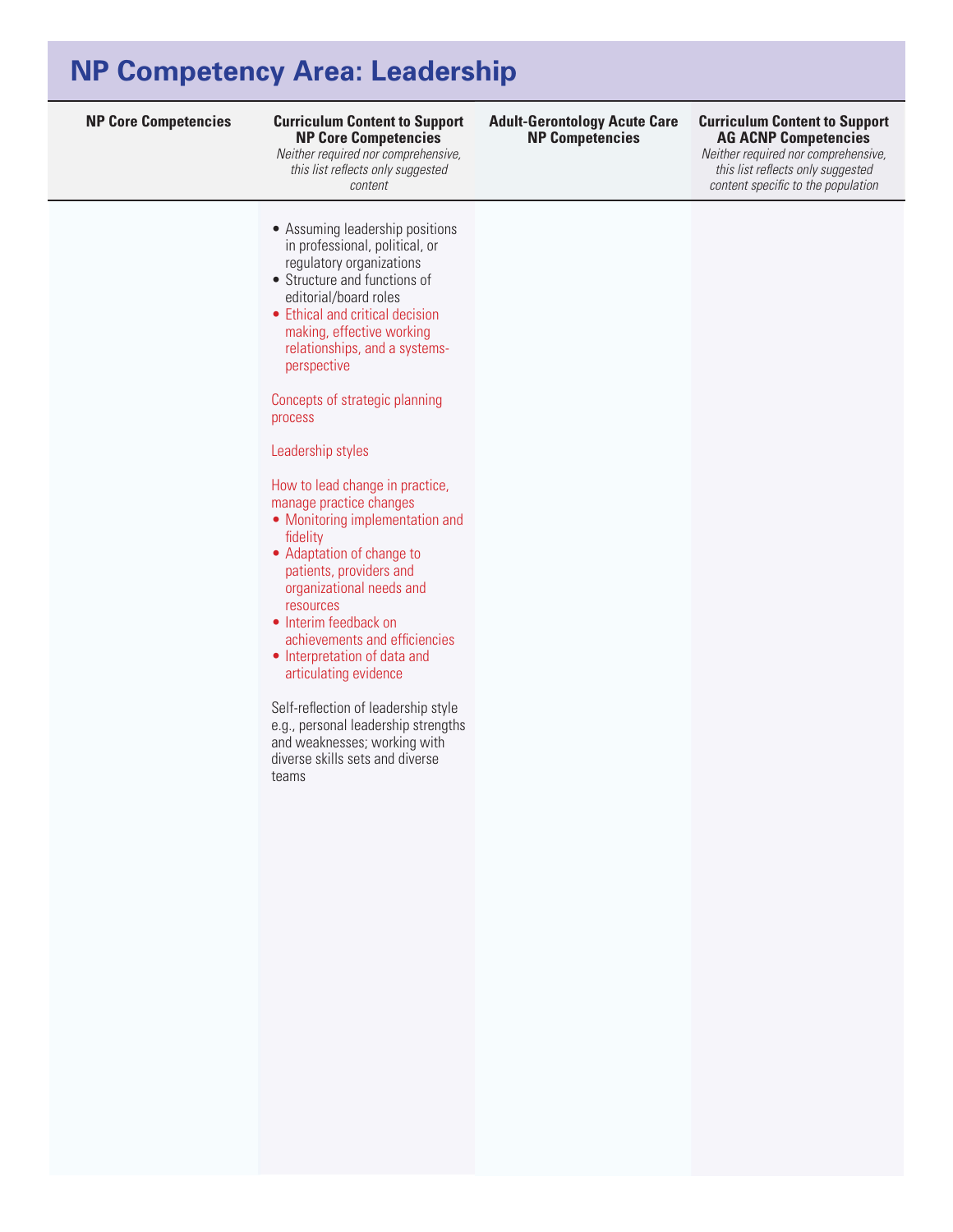## **NP Competency Area: Leadership**

**NP Core Competencies Curriculum Content to Support Curriculum Content to Support NP Core Competencies** 

*Neither required nor comprehensive, this list reflects only suggested content* 

- Assuming leadership positions in professional, political, or regulatory organizations
- • Structure and functions of editorial/board roles
- Ethical and critical decision making, effective working relationships, and a systemsperspective

Concepts of strategic planning process

Leadership styles

How to lead change in practice, manage practice changes

- Monitoring implementation and fidelity
- Adaptation of change to patients, providers and organizational needs and resources
- Interim feedback on achievements and efficiencies
- Interpretation of data and articulating evidence

Self-reflection of leadership style e.g., personal leadership strengths and weaknesses; working with diverse skills sets and diverse teams

**Adult-Gerontology Acute Care NP Competencies**

### **AG ACNP Competencies**

*Neither required nor comprehensive, this list reflects only suggested content specific to the population*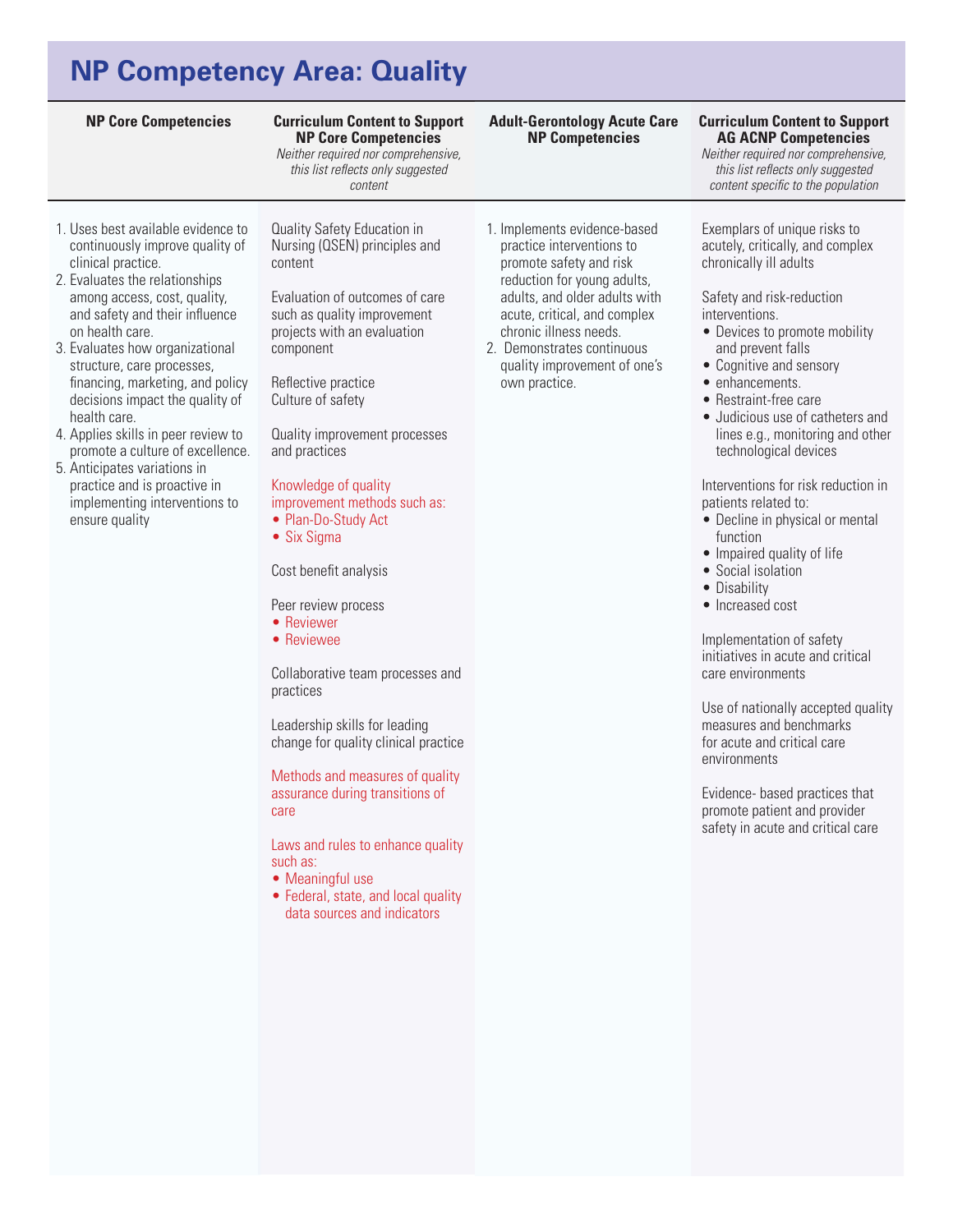# **NP Competency Area: Quality**

**Curriculum Content to Support NP Core Competencies** 

*Neither required nor comprehensive, this list reflects only suggested content* 

- 1. Uses best available evidence to continuously improve quality of clinical practice.
- 2. Evaluates the relationships among access, cost, quality, and safety and their influence on health care.
- 3. Evaluates how organizational structure, care processes, financing, marketing, and policy decisions impact the quality of health care.
- 4. Applies skills in peer review to promote a culture of excellence.
- 5. Anticipates variations in practice and is proactive in implementing interventions to ensure quality

Quality Safety Education in Nursing (QSEN) principles and content

Evaluation of outcomes of care such as quality improvement projects with an evaluation component

Reflective practice Culture of safety

Quality improvement processes and practices

Knowledge of quality improvement methods such as: • Plan-Do-Study Act

• Six Sigma

Cost benefit analysis

Peer review process

- Reviewer
- Reviewee

Collaborative team processes and practices

Leadership skills for leading change for quality clinical practice

Methods and measures of quality assurance during transitions of care

Laws and rules to enhance quality such as:

- Meaningful use
- Federal, state, and local quality data sources and indicators

1. Implements evidence-based practice interventions to promote safety and risk reduction for young adults, adults, and older adults with acute, critical, and complex chronic illness needs.

**Adult-Gerontology Acute Care NP Competencies**

2. Demonstrates continuous quality improvement of one's own practice.

#### **NP Core Competencies Curriculum Content to Support AG ACNP Competencies**

*Neither required nor comprehensive, this list reflects only suggested content specific to the population*

Exemplars of unique risks to acutely, critically, and complex chronically ill adults

Safety and risk-reduction interventions.

- Devices to promote mobility and prevent falls
- Cognitive and sensory
- enhancements.
	- Restraint-free care
- • Judicious use of catheters and lines e.g., monitoring and other technological devices

Interventions for risk reduction in patients related to:

- Decline in physical or mental function
- Impaired quality of life
- Social isolation
- Disability
- Increased cost

Implementation of safety initiatives in acute and critical care environments

Use of nationally accepted quality measures and benchmarks for acute and critical care environments

Evidence- based practices that promote patient and provider safety in acute and critical care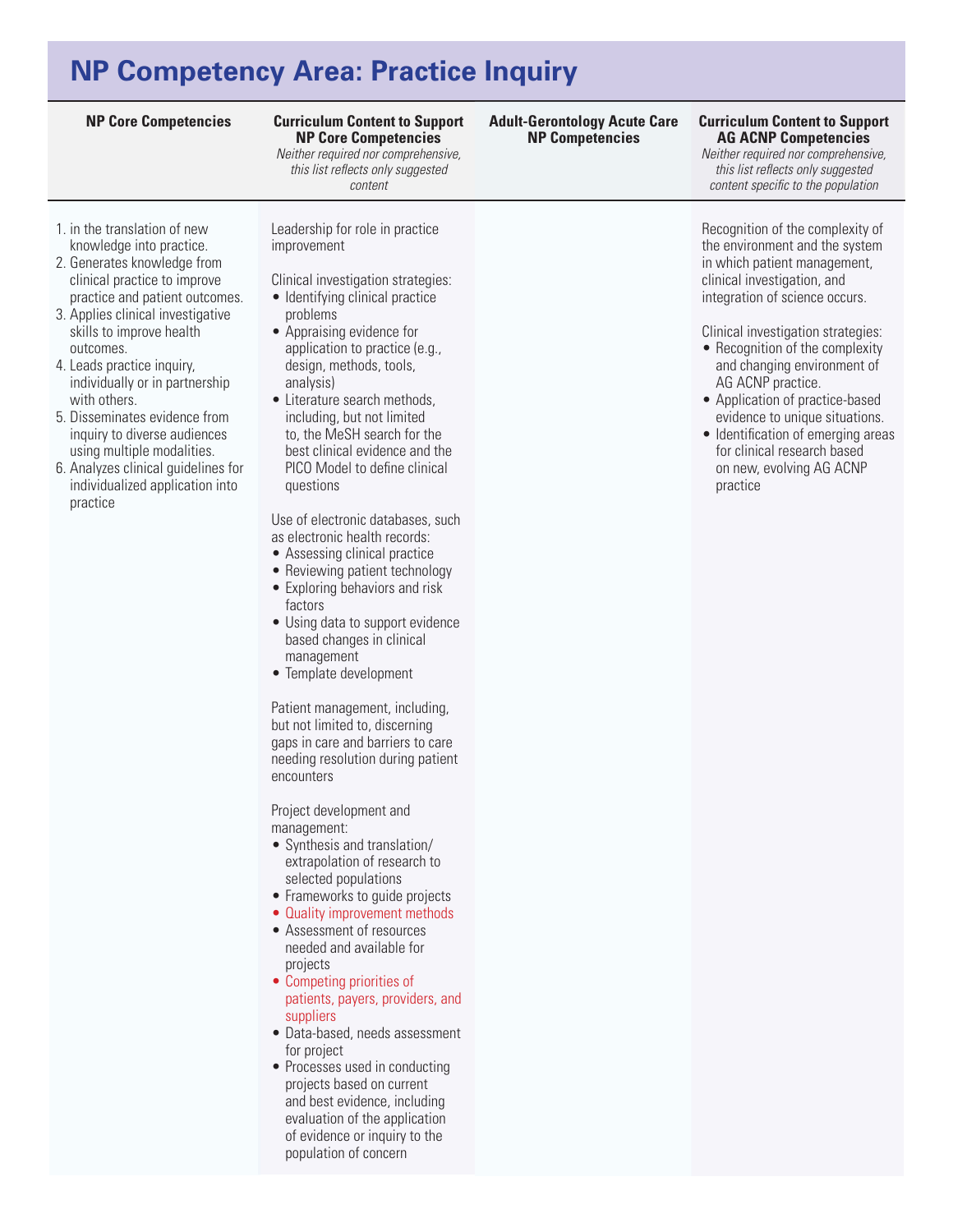## **NP Competency Area: Practice Inquiry**

**Curriculum Content to Support NP Core Competencies** 

*Neither required nor comprehensive, this list reflects only suggested content* 

- 1. in the translation of new knowledge into practice.
- 2. Generates knowledge from clinical practice to improve practice and patient outcomes.
- 3. Applies clinical investigative skills to improve health outcomes.
- 4. Leads practice inquiry, individually or in partnership with others.
- 5. Disseminates evidence from inquiry to diverse audiences using multiple modalities.
- 6. Analyzes clinical guidelines for individualized application into practice

Leadership for role in practice improvement

- Clinical investigation strategies: • Identifying clinical practice problems
- Appraising evidence for
- application to practice (e.g., design, methods, tools, analysis)
- Literature search methods, including, but not limited to, the MeSH search for the best clinical evidence and the PICO Model to define clinical questions

Use of electronic databases, such as electronic health records:

- Assessing clinical practice
- Reviewing patient technology • Exploring behaviors and risk
- factors • Using data to support evidence based changes in clinical
- management • Template development

Patient management, including, but not limited to, discerning gaps in care and barriers to care needing resolution during patient encounters

Project development and management:

- • Synthesis and translation/ extrapolation of research to selected populations
- Frameworks to guide projects
- Quality improvement methods
- • Assessment of resources needed and available for projects
- Competing priorities of patients, payers, providers, and suppliers
- • Data-based, needs assessment for project
- Processes used in conducting projects based on current and best evidence, including evaluation of the application of evidence or inquiry to the population of concern

**Adult-Gerontology Acute Care NP Competencies**

#### **NP Core Competencies Curriculum Content to Support AG ACNP Competencies**

*Neither required nor comprehensive, this list reflects only suggested content specific to the population*

Recognition of the complexity of the environment and the system in which patient management, clinical investigation, and integration of science occurs.

Clinical investigation strategies:

- Recognition of the complexity and changing environment of AG ACNP practice.
- Application of practice-based evidence to unique situations.
- Identification of emerging areas for clinical research based on new, evolving AG ACNP practice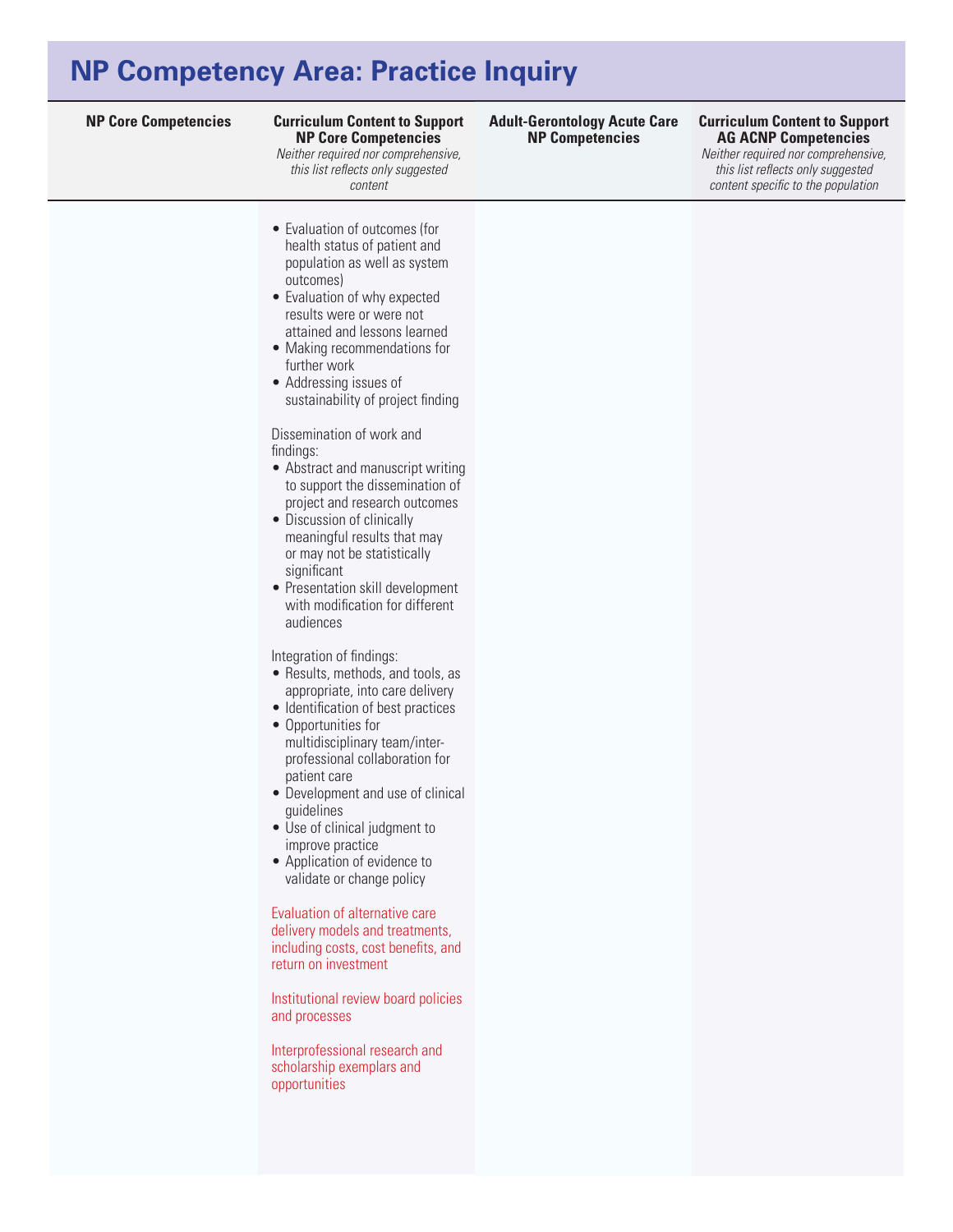## **NP Competency Area: Practice Inquiry**

#### **NP Core Competencies Curriculum Content to Support Curriculum Content to Support NP Core Competencies**

*Neither required nor comprehensive,* 

*this list reflects only suggested content* 

#### **Adult-Gerontology Acute Care NP Competencies**

### **AG ACNP Competencies**

*Neither required nor comprehensive, this list reflects only suggested content specific to the population*

• Evaluation of outcomes (for health status of patient and population as well as system outcomes) • Evaluation of why expected results were or were not attained and lessons learned • Making recommendations for further work • Addressing issues of sustainability of project finding Dissemination of work and findings: • Abstract and manuscript writing to support the dissemination of project and research outcomes • Discussion of clinically meaningful results that may or may not be statistically significant • Presentation skill development with modification for different

Integration of findings:

audiences

- Results, methods, and tools, as appropriate, into care delivery
- Identification of best practices
- • Opportunities for multidisciplinary team/interprofessional collaboration for patient care
- Development and use of clinical guidelines
- Use of clinical judgment to improve practice
- Application of evidence to validate or change policy

#### Evaluation of alternative care

delivery models and treatments, including costs, cost benefits, and return on investment

Institutional review board policies and processes

Interprofessional research and scholarship exemplars and opportunities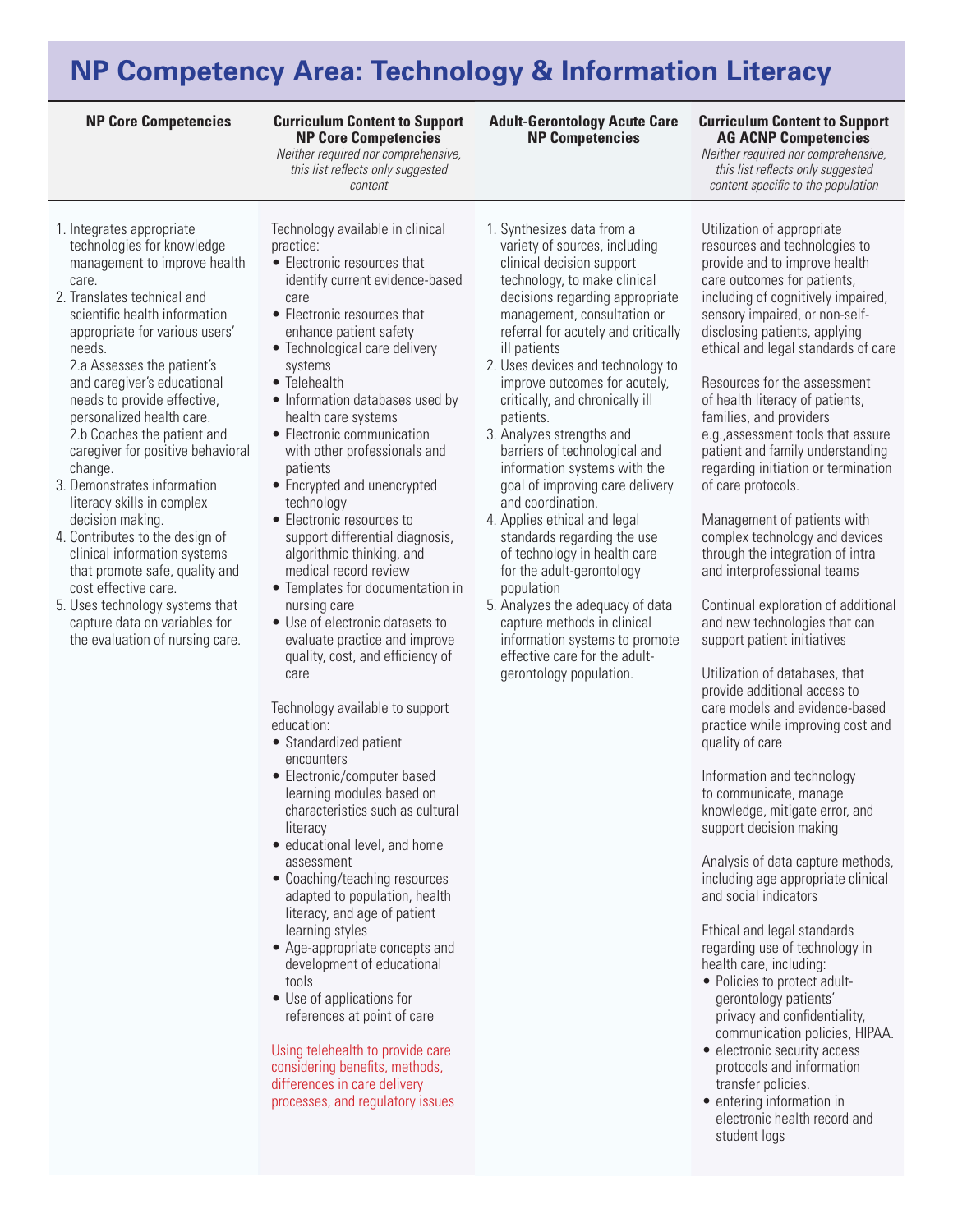# **NP Competency Area: Technology & Information Literacy**

#### **Curriculum Content to Support NP Core Competencies**

*Neither required nor comprehensive, this list reflects only suggested content* 

- 1. Integrates appropriate technologies for knowledge management to improve health care.
- 2. Translates technical and scientific health information appropriate for various users' needs.

2.a Assesses the patient's and caregiver's educational needs to provide effective, personalized health care. 2.b Coaches the patient and caregiver for positive behavioral change.

- 3. Demonstrates information literacy skills in complex decision making.
- 4. Contributes to the design of clinical information systems that promote safe, quality and cost effective care.
- 5. Uses technology systems that capture data on variables for the evaluation of nursing care.

Technology available in clinical practice:

- Electronic resources that identify current evidence-based care
- • Electronic resources that enhance patient safety
- Technological care delivery systems
- • Telehealth
- Information databases used by health care systems
- Electronic communication with other professionals and patients
- Encrypted and unencrypted technology
- • Electronic resources to support differential diagnosis, algorithmic thinking, and medical record review
- Templates for documentation in nursing care
- Use of electronic datasets to evaluate practice and improve quality, cost, and efficiency of care

Technology available to support education:

- Standardized patient encounters
- Electronic/computer based learning modules based on characteristics such as cultural literacy
- educational level, and home assessment
- Coaching/teaching resources adapted to population, health literacy, and age of patient learning styles
- • Age-appropriate concepts and development of educational tools
- • Use of applications for references at point of care

Using telehealth to provide care considering benefits, methods, differences in care delivery processes, and regulatory issues

- 1. Synthesizes data from a variety of sources, including clinical decision support technology, to make clinical decisions regarding appropriate management, consultation or referral for acutely and critically ill patients
- 2. Uses devices and technology to improve outcomes for acutely, critically, and chronically ill patients.
- 3. Analyzes strengths and barriers of technological and information systems with the goal of improving care delivery and coordination.
- 4. Applies ethical and legal standards regarding the use of technology in health care for the adult-gerontology population
- 5. Analyzes the adequacy of data capture methods in clinical information systems to promote effective care for the adultgerontology population.

Utilization of appropriate resources and technologies to provide and to improve health care outcomes for patients, including of cognitively impaired, sensory impaired, or non-selfdisclosing patients, applying ethical and legal standards of care

**AG ACNP Competencies**  *Neither required nor comprehensive, this list reflects only suggested content specific to the population*

Resources for the assessment of health literacy of patients, families, and providers e.g.,assessment tools that assure patient and family understanding regarding initiation or termination of care protocols.

Management of patients with complex technology and devices through the integration of intra and interprofessional teams

Continual exploration of additional and new technologies that can support patient initiatives

Utilization of databases, that provide additional access to care models and evidence-based practice while improving cost and quality of care

Information and technology to communicate, manage knowledge, mitigate error, and support decision making

Analysis of data capture methods, including age appropriate clinical and social indicators

Ethical and legal standards regarding use of technology in health care, including:

- Policies to protect adultgerontology patients' privacy and confidentiality, communication policies, HIPAA.
- electronic security access protocols and information transfer policies.
- entering information in electronic health record and student logs

#### **NP Core Competencies Curriculum Content to Support Adult-Gerontology Acute Care NP Competencies**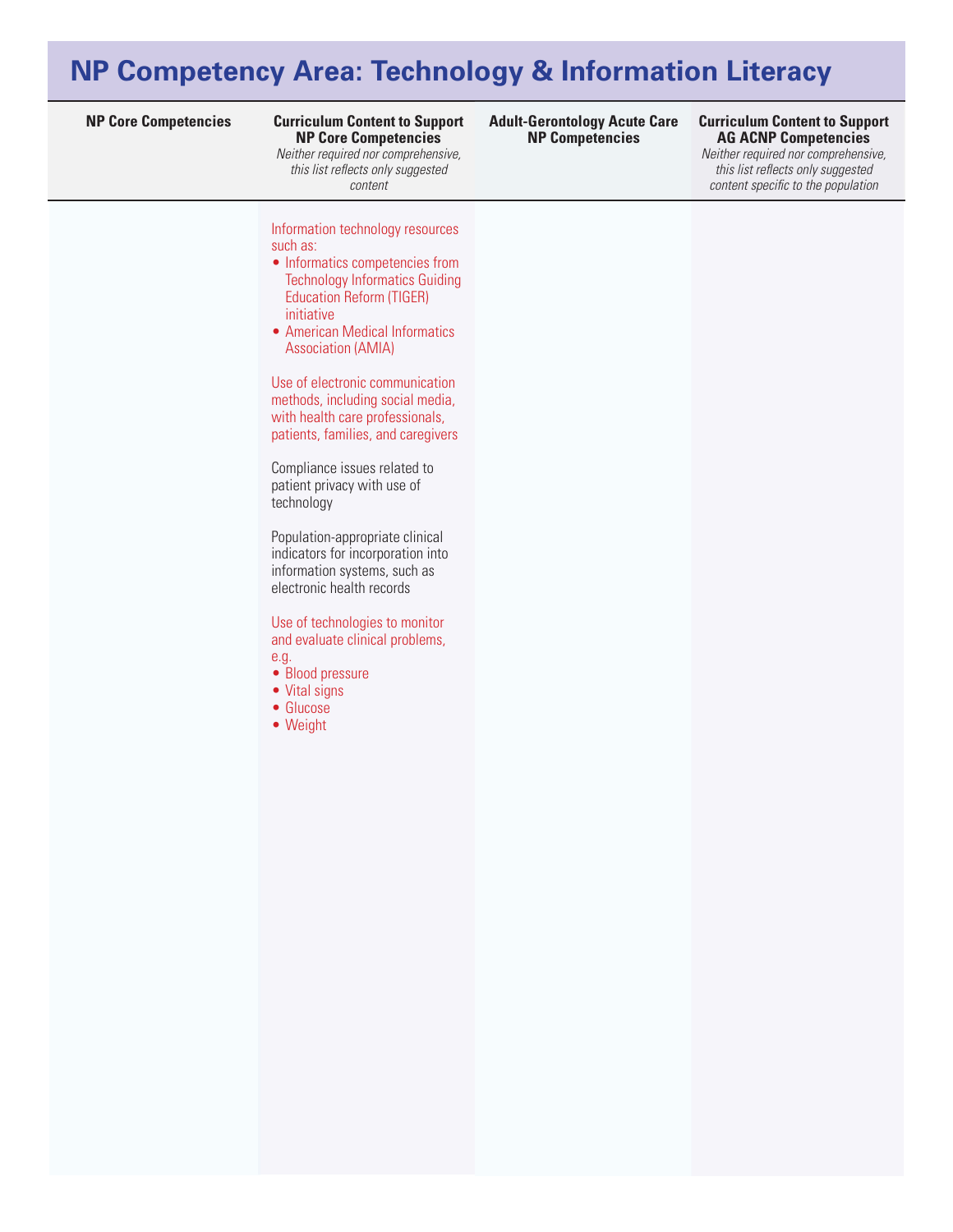# **NP Competency Area: Technology & Information Literacy**

#### **NP Core Competencies Curriculum Content to Support Curriculum Content to Support NP Core Competencies**

*Neither required nor comprehensive, this list reflects only suggested content* 

Information technology resources such as:

- Informatics competencies from Technology Informatics Guiding Education Reform (TIGER) initiative
- American Medical Informatics Association (AMIA)

Use of electronic communication methods, including social media, with health care professionals, patients, families, and caregivers

Compliance issues related to patient privacy with use of technology

Population-appropriate clinical indicators for incorporation into information systems, such as electronic health records

Use of technologies to monitor and evaluate clinical problems, e.g.

- Blood pressure
- Vital signs
- • Glucose
- • Weight

**Adult-Gerontology Acute Care NP Competencies**

### **AG ACNP Competencies**

*Neither required nor comprehensive, this list reflects only suggested content specific to the population*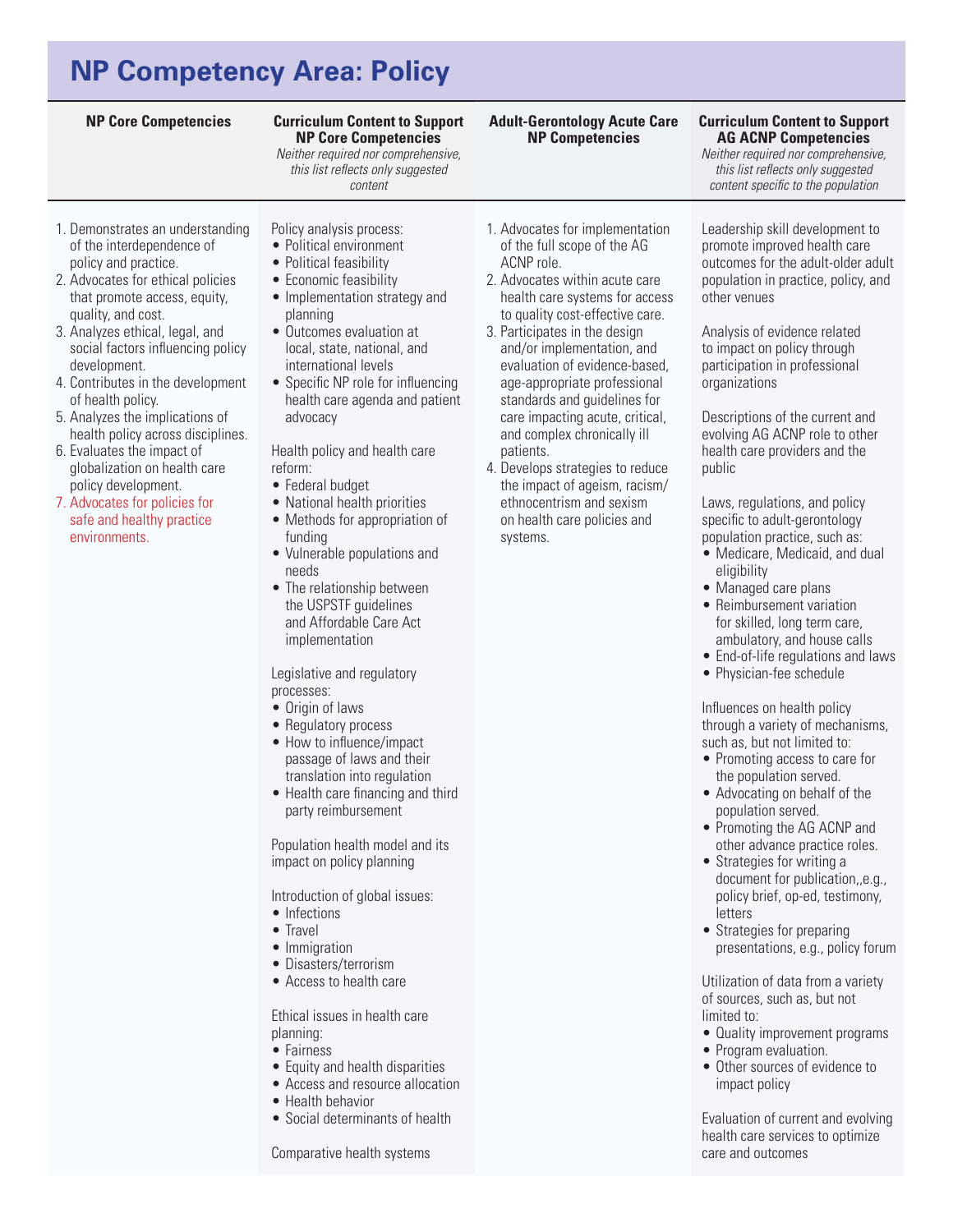# **NP Competency Area: Policy**

#### **Curriculum Content to Support NP Core Competencies**

*Neither required nor comprehensive, this list reflects only suggested content* 

Policy analysis process: • Political environment • Political feasibility • Economic feasibility • Implementation strategy and

• Outcomes evaluation at local, state, national, and international levels

• Specific NP role for influencing health care agenda and patient

Health policy and health care

• National health priorities • Methods for appropriation of

• Vulnerable populations and

• The relationship between the USPSTF guidelines and Affordable Care Act implementation

Legislative and regulatory

planning

advocacy

• Federal budget

funding

needs

processes: • Origin of laws • Regulatory process • How to influence/impact passage of laws and their translation into regulation • Health care financing and third party reimbursement

reform:

### 1. Demonstrates an understanding of the interdependence of policy and practice.

- 2. Advocates for ethical policies that promote access, equity, quality, and cost.
- 3. Analyzes ethical, legal, and social factors influencing policy development.
- 4. Contributes in the development of health policy.
- 5. Analyzes the implications of health policy across disciplines.
- 6. Evaluates the impact of globalization on health care policy development.
- 7. Advocates for policies for safe and healthy practice environments.
- 1. Advocates for implementation of the full scope of the AG ACNP role.
	- 2. Advocates within acute care health care systems for access to quality cost-effective care.

**Adult-Gerontology Acute Care NP Competencies**

- 3. Participates in the design and/or implementation, and evaluation of evidence-based, age-appropriate professional standards and guidelines for care impacting acute, critical, and complex chronically ill patients.
- 4. Develops strategies to reduce the impact of ageism, racism/ ethnocentrism and sexism on health care policies and systems.

**NP Core Competencies Curriculum Content to Support AG ACNP Competencies** 

> *Neither required nor comprehensive, this list reflects only suggested content specific to the population*

Leadership skill development to promote improved health care outcomes for the adult-older adult population in practice, policy, and other venues

Analysis of evidence related to impact on policy through participation in professional organizations

Descriptions of the current and evolving AG ACNP role to other health care providers and the public

Laws, regulations, and policy specific to adult-gerontology population practice, such as:

- Medicare, Medicaid, and dual eligibility
- Managed care plans
- Reimbursement variation for skilled, long term care, ambulatory, and house calls
- End-of-life regulations and laws
- Physician-fee schedule

### Influences on health policy through a variety of mechanisms, such as, but not limited to:

- Promoting access to care for the population served.
- Advocating on behalf of the population served.
- Promoting the AG ACNP and other advance practice roles.
- Strategies for writing a document for publication,,e.g., policy brief, op-ed, testimony, letters
- Strategies for preparing presentations, e.g., policy forum

Utilization of data from a variety of sources, such as, but not limited to:

- Quality improvement programs
- Program evaluation.
- Other sources of evidence to impact policy

Evaluation of current and evolving health care services to optimize care and outcomes

### Population health model and its impact on policy planning

Introduction of global issues:

- Infections
- Travel
- Immigration
- • Disasters/terrorism
- Access to health care

Ethical issues in health care planning:

- Fairness
- Equity and health disparities
- Access and resource allocation
- Health behavior
- Social determinants of health

Comparative health systems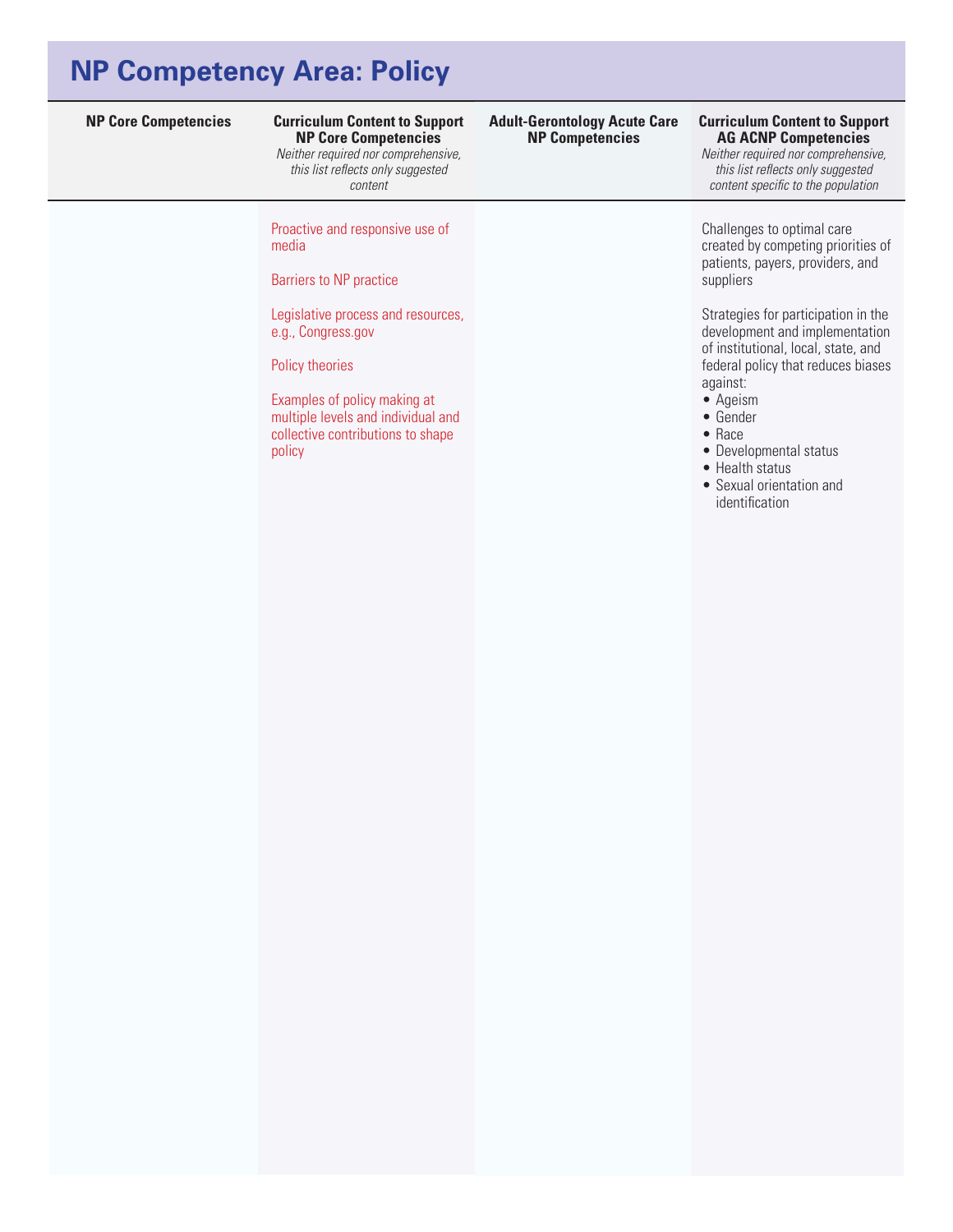# **NP Competency Area: Policy**

# **NP Core Competencies**

*Neither required nor comprehensive, this list reflects only suggested content* 

Proactive and responsive use of media

Barriers to NP practice

Legislative process and resources, e.g., Congress.gov

Policy theories

Examples of policy making at multiple levels and individual and collective contributions to shape policy

#### **NP Core Competencies Curriculum Content to Support Curriculum Content to Support Adult-Gerontology Acute Care NP Competencies**

## **AG ACNP Competencies**

*Neither required nor comprehensive, this list reflects only suggested content specific to the population*

Challenges to optimal care created by competing priorities of patients, payers, providers, and suppliers

Strategies for participation in the development and implementation of institutional, local, state, and federal policy that reduces biases against:

- • Ageism
- • Gender
- • Race
- Developmental status
- Health status
- • Sexual orientation and identification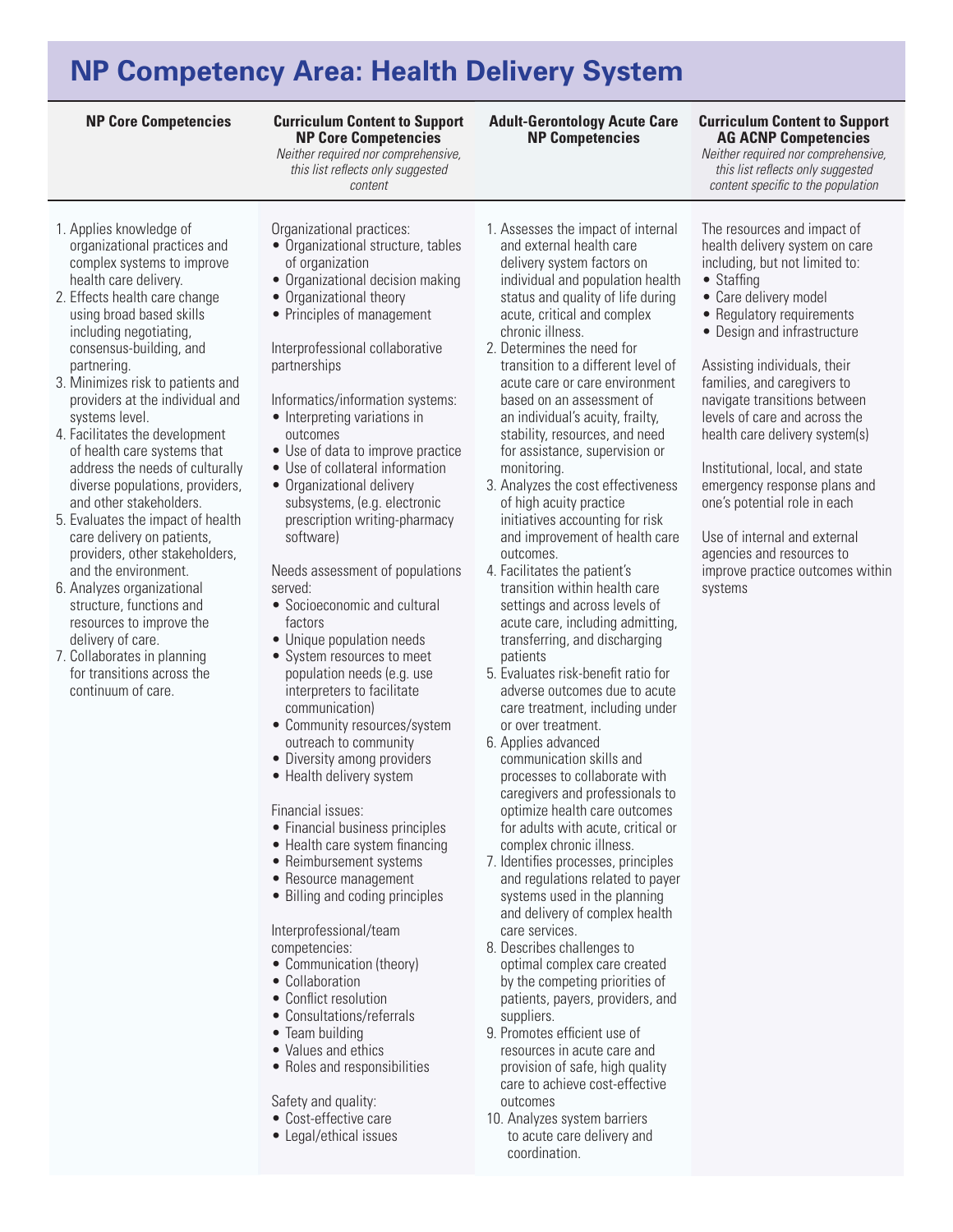## **NP Competency Area: Health Delivery System**

#### **Curriculum Content to Support NP Core Competencies**

*Neither required nor comprehensive, this list reflects only suggested content* 

- 1. Applies knowledge of organizational practices and complex systems to improve health care delivery.
- 2. Effects health care change using broad based skills including negotiating, consensus-building, and partnering.
- 3. Minimizes risk to patients and providers at the individual and systems level.
- 4. Facilitates the development of health care systems that address the needs of culturally diverse populations, providers, and other stakeholders.
- 5. Evaluates the impact of health care delivery on patients, providers, other stakeholders, and the environment.
- 6. Analyzes organizational structure, functions and resources to improve the delivery of care.
- 7. Collaborates in planning for transitions across the continuum of care.
- Organizational practices:
- Organizational structure, tables of organization
- Organizational decision making
- Organizational theory
- Principles of management

Interprofessional collaborative partnerships

Informatics/information systems:

- Interpreting variations in outcomes
- Use of data to improve practice
- Use of collateral information
- Organizational delivery subsystems, (e.g. electronic prescription writing-pharmacy software)

Needs assessment of populations served: • Socioeconomic and cultural

- factors
- Unique population needs • System resources to meet population needs (e.g. use
- interpreters to facilitate communication)
- Community resources/system outreach to community
- Diversity among providers
- Health delivery system

### Financial issues:

- Financial business principles
- Health care system financing
- Reimbursement systems
- Resource management
- Billing and coding principles

Interprofessional/team competencies:

- Communication (theory)
- Collaboration
- Conflict resolution
- Consultations/referrals
- Team building
- Values and ethics
- Roles and responsibilities

Safety and quality:

- • Cost-effective care
- Legal/ethical issues

1. Assesses the impact of internal and external health care delivery system factors on individual and population health status and quality of life during acute, critical and complex chronic illness.

**Adult-Gerontology Acute Care NP Competencies**

- 2. Determines the need for transition to a different level of acute care or care environment based on an assessment of an individual's acuity, frailty, stability, resources, and need for assistance, supervision or monitoring.
- 3. Analyzes the cost effectiveness of high acuity practice initiatives accounting for risk and improvement of health care outcomes.
- 4. Facilitates the patient's transition within health care settings and across levels of acute care, including admitting, transferring, and discharging patients
- 5. Evaluates risk-benefit ratio for adverse outcomes due to acute care treatment, including under or over treatment.
- 6. Applies advanced communication skills and processes to collaborate with caregivers and professionals to optimize health care outcomes for adults with acute, critical or complex chronic illness.
- 7. Identifies processes, principles and regulations related to payer systems used in the planning and delivery of complex health care services.
- 8. Describes challenges to optimal complex care created by the competing priorities of patients, payers, providers, and suppliers.
- 9. Promotes efficient use of resources in acute care and provision of safe, high quality care to achieve cost-effective outcomes
- 10. Analyzes system barriers to acute care delivery and coordination.

### **NP Core Competencies Curriculum Content to Support AG ACNP Competencies**

*Neither required nor comprehensive, this list reflects only suggested content specific to the population*

The resources and impact of health delivery system on care including, but not limited to:

- Staffing
- Care delivery model
- Regulatory requirements
- Design and infrastructure

Assisting individuals, their families, and caregivers to navigate transitions between levels of care and across the health care delivery system(s)

Institutional, local, and state emergency response plans and one's potential role in each

Use of internal and external agencies and resources to improve practice outcomes within systems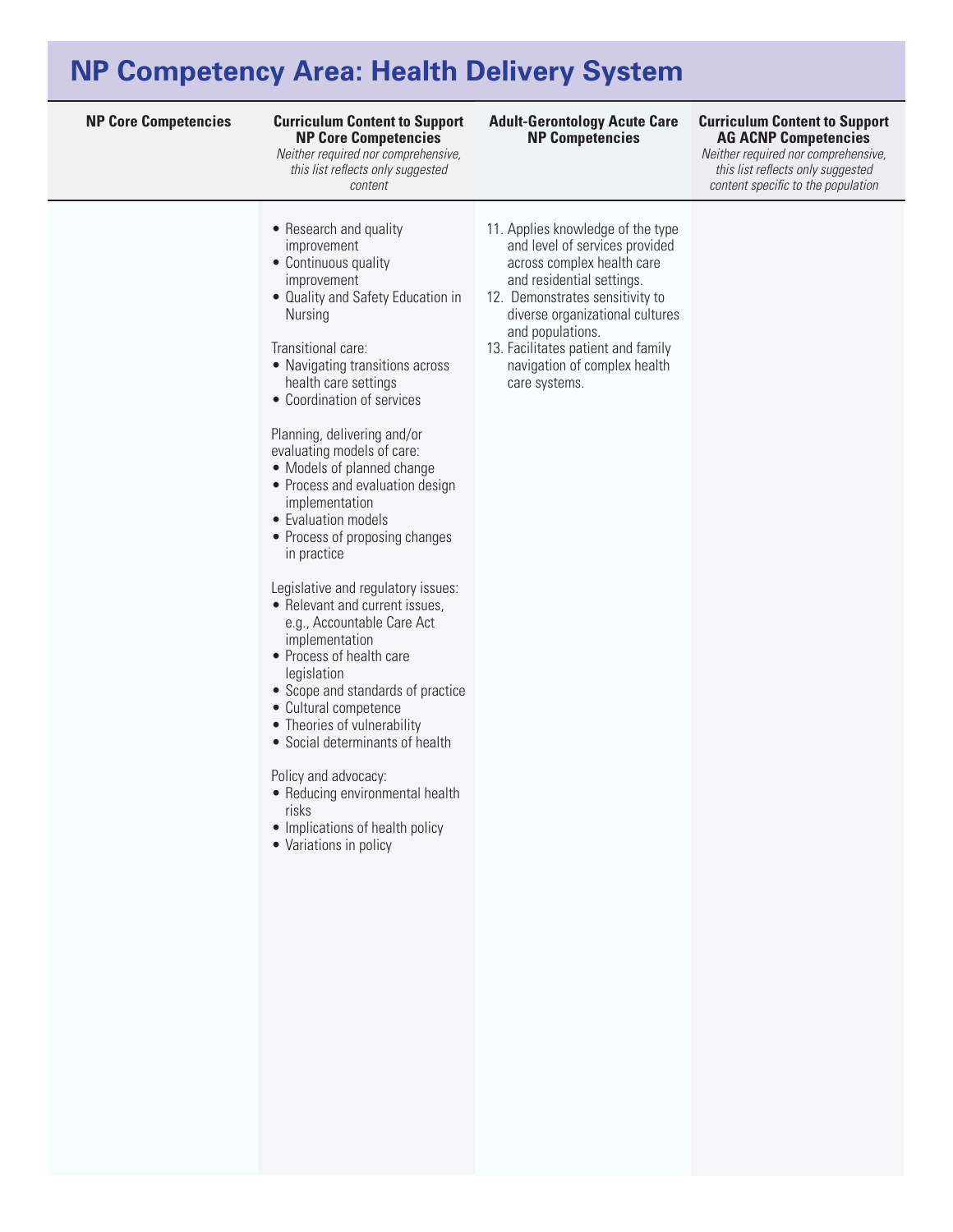## **NP Competency Area: Health Delivery System**

#### **NP Core Competencies Curriculum Content to Support Curriculum Content to Support NP Core Competencies**

*Neither required nor comprehensive, this list reflects only suggested content* 

#### **Adult-Gerontology Acute Care NP Competencies**

## **AG ACNP Competencies**

*Neither required nor comprehensive, this list reflects only suggested content specific to the population*

- Research and quality improvement
- Continuous quality improvement
- Quality and Safety Education in Nursing

#### Transitional care:

- Navigating transitions across health care settings
- Coordination of services

#### Planning, delivering and/or evaluating models of care:

- Models of planned change
- Process and evaluation design implementation
- Evaluation models
- Process of proposing changes in practice

Legislative and regulatory issues:

- Relevant and current issues, e.g., Accountable Care Act
- implementation • Process of health care legislation
- • Scope and standards of practice
- • Cultural competence
- Theories of vulnerability
- • Social determinants of health

#### Policy and advocacy:

- Reducing environmental health risks
- Implications of health policy
- Variations in policy
- 11. Applies knowledge of the type and level of services provided across complex health care and residential settings.
- 12. Demonstrates sensitivity to diverse organizational cultures and populations.
- 13. Facilitates patient and family navigation of complex health care systems.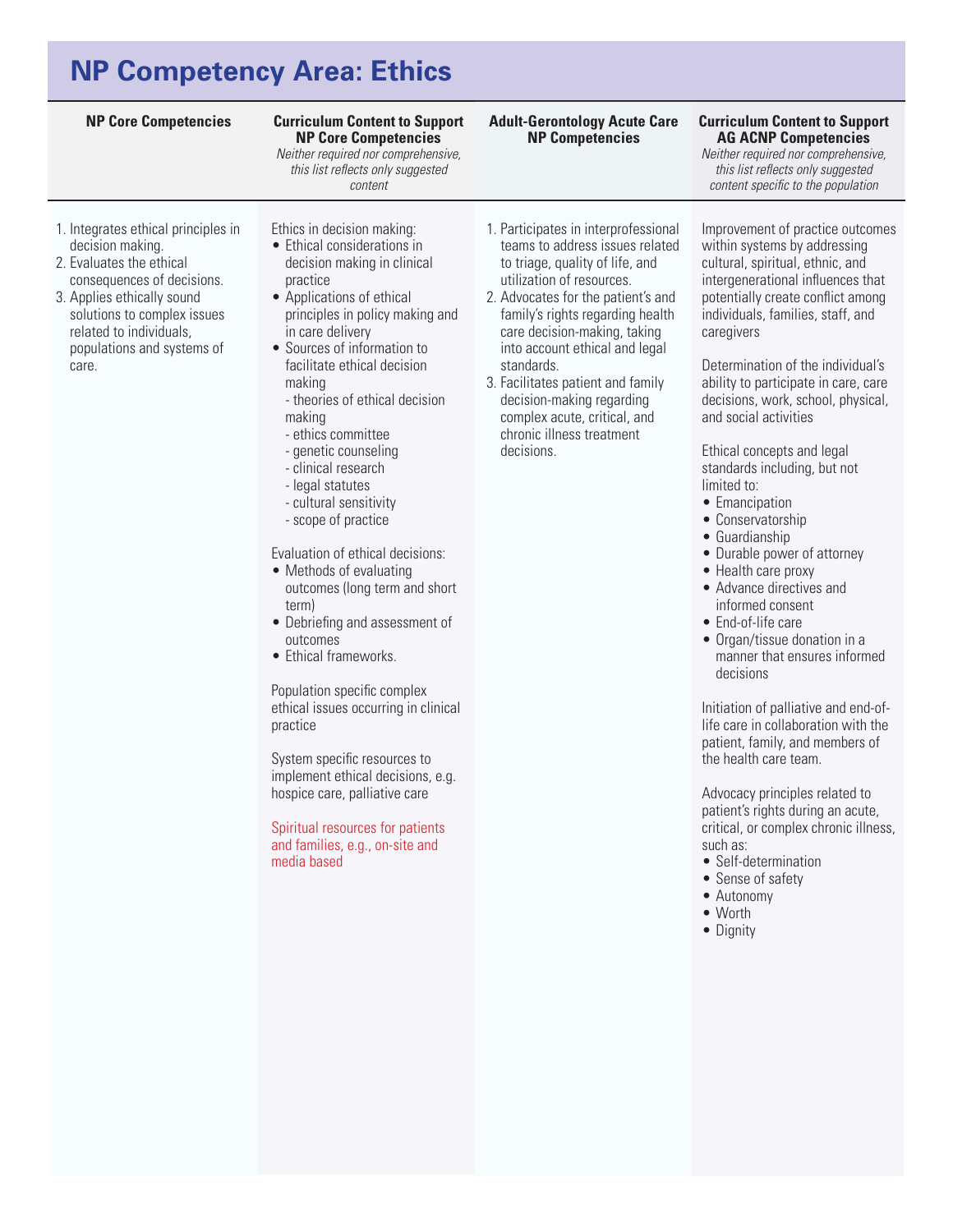# **NP Competency Area: Ethics**

| <b>NP Core Competencies</b>                                                                                                                                                                                                                      | <b>Curriculum Content to Support</b><br><b>NP Core Competencies</b><br>Neither required nor comprehensive,<br>this list reflects only suggested<br>content                                                                                                                                                                                                                                                                                                                                                                                                                                                                                                                                                                                                                                                                                                                                                            | <b>Adult-Gerontology Acute Care</b><br><b>NP Competencies</b>                                                                                                                                                                                                                                                                                                                                                                                  | <b>Curriculum Content to Support</b><br><b>AG ACNP Competencies</b><br>Neither required nor comprehensive,<br>this list reflects only suggested<br>content specific to the population                                                                                                                                                                                                                                                                                                                                                                                                                                                                                                                                                                                                                                                                                                                                                                                                                                                                                                          |
|--------------------------------------------------------------------------------------------------------------------------------------------------------------------------------------------------------------------------------------------------|-----------------------------------------------------------------------------------------------------------------------------------------------------------------------------------------------------------------------------------------------------------------------------------------------------------------------------------------------------------------------------------------------------------------------------------------------------------------------------------------------------------------------------------------------------------------------------------------------------------------------------------------------------------------------------------------------------------------------------------------------------------------------------------------------------------------------------------------------------------------------------------------------------------------------|------------------------------------------------------------------------------------------------------------------------------------------------------------------------------------------------------------------------------------------------------------------------------------------------------------------------------------------------------------------------------------------------------------------------------------------------|------------------------------------------------------------------------------------------------------------------------------------------------------------------------------------------------------------------------------------------------------------------------------------------------------------------------------------------------------------------------------------------------------------------------------------------------------------------------------------------------------------------------------------------------------------------------------------------------------------------------------------------------------------------------------------------------------------------------------------------------------------------------------------------------------------------------------------------------------------------------------------------------------------------------------------------------------------------------------------------------------------------------------------------------------------------------------------------------|
| 1. Integrates ethical principles in<br>decision making.<br>2. Evaluates the ethical<br>consequences of decisions.<br>3. Applies ethically sound<br>solutions to complex issues<br>related to individuals,<br>populations and systems of<br>care. | Ethics in decision making:<br>• Ethical considerations in<br>decision making in clinical<br>practice<br>• Applications of ethical<br>principles in policy making and<br>in care delivery<br>• Sources of information to<br>facilitate ethical decision<br>making<br>- theories of ethical decision<br>making<br>- ethics committee<br>- genetic counseling<br>- clinical research<br>- legal statutes<br>- cultural sensitivity<br>- scope of practice<br>Evaluation of ethical decisions:<br>• Methods of evaluating<br>outcomes (long term and short<br>term)<br>• Debriefing and assessment of<br>outcomes<br>• Ethical frameworks.<br>Population specific complex<br>ethical issues occurring in clinical<br>practice<br>System specific resources to<br>implement ethical decisions, e.g.<br>hospice care, palliative care<br>Spiritual resources for patients<br>and families, e.g., on-site and<br>media based | 1. Participates in interprofessional<br>teams to address issues related<br>to triage, quality of life, and<br>utilization of resources.<br>2. Advocates for the patient's and<br>family's rights regarding health<br>care decision-making, taking<br>into account ethical and legal<br>standards.<br>3. Facilitates patient and family<br>decision-making regarding<br>complex acute, critical, and<br>chronic illness treatment<br>decisions. | Improvement of practice outcomes<br>within systems by addressing<br>cultural, spiritual, ethnic, and<br>intergenerational influences that<br>potentially create conflict among<br>individuals, families, staff, and<br>caregivers<br>Determination of the individual's<br>ability to participate in care, care<br>decisions, work, school, physical,<br>and social activities<br>Ethical concepts and legal<br>standards including, but not<br>limited to:<br>• Emancipation<br>• Conservatorship<br>• Guardianship<br>• Durable power of attorney<br>• Health care proxy<br>• Advance directives and<br>informed consent<br>• End-of-life care<br>• Organ/tissue donation in a<br>manner that ensures informed<br>decisions<br>Initiation of palliative and end-of-<br>life care in collaboration with the<br>patient, family, and members of<br>the health care team.<br>Advocacy principles related to<br>patient's rights during an acute,<br>critical, or complex chronic illness,<br>such as:<br>• Self-determination<br>• Sense of safety<br>• Autonomy<br>$\bullet$ Worth<br>• Dignity |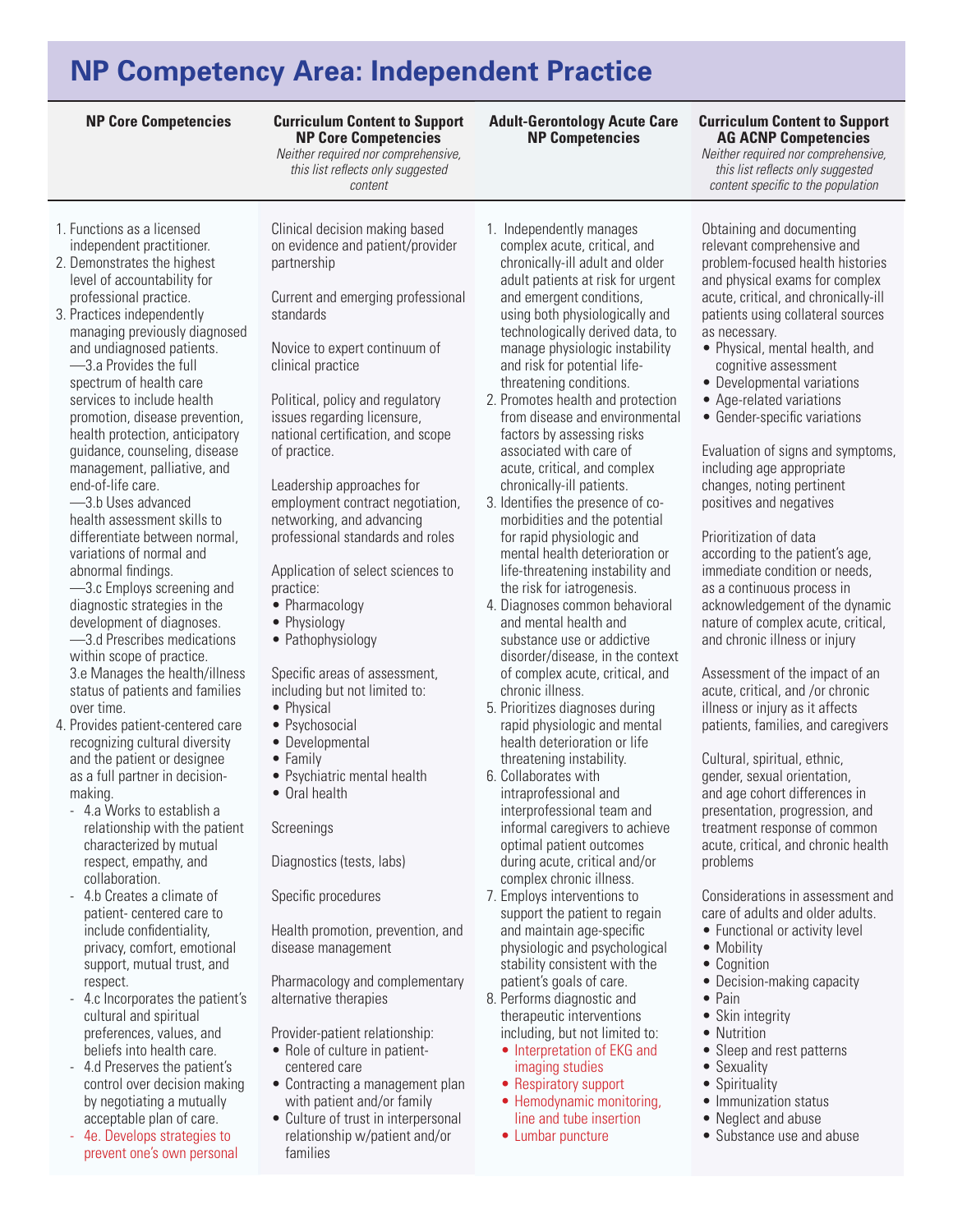#### **Curriculum Content to Support NP Core Competencies**

*Neither required nor comprehensive, this list reflects only suggested content* 

- 1. Functions as a licensed independent practitioner.
- 2. Demonstrates the highest level of accountability for professional practice.
- 3. Practices independently managing previously diagnosed and undiagnosed patients. —3.a Provides the full spectrum of health care services to include health promotion, disease prevention, health protection, anticipatory guidance, counseling, disease management, palliative, and end-of-life care.

—3.b Uses advanced health assessment skills to differentiate between normal, variations of normal and abnormal findings.

—3.c Employs screening and diagnostic strategies in the development of diagnoses. —3.d Prescribes medications within scope of practice.

3.e Manages the health/illness status of patients and families over time.

- 4. Provides patient-centered care recognizing cultural diversity and the patient or designee as a full partner in decisionmaking.
	- 4.a Works to establish a relationship with the patient characterized by mutual respect, empathy, and collaboration.
	- 4.b Creates a climate of patient- centered care to include confidentiality, privacy, comfort, emotional support, mutual trust, and respect.
	- 4.c Incorporates the patient's cultural and spiritual preferences, values, and beliefs into health care.
	- 4.d Preserves the patient's control over decision making by negotiating a mutually acceptable plan of care.
	- 4e. Develops strategies to prevent one's own personal

Clinical decision making based on evidence and patient/provider partnership

Current and emerging professional standards

Novice to expert continuum of clinical practice

Political, policy and regulatory issues regarding licensure, national certification, and scope of practice.

Leadership approaches for employment contract negotiation, networking, and advancing professional standards and roles

Application of select sciences to practice:

- Pharmacology
- Physiology
- Pathophysiology

Specific areas of assessment, including but not limited to:

- Physical
- Psychosocial
- • Developmental
- • Family
- Psychiatric mental health
- • Oral health

Screenings

Diagnostics (tests, labs)

Specific procedures

Health promotion, prevention, and disease management

Pharmacology and complementary alternative therapies

Provider-patient relationship:

- Role of culture in patientcentered care
- Contracting a management plan with patient and/or family
- Culture of trust in interpersonal relationship w/patient and/or families
- 1. Independently manages complex acute, critical, and chronically-ill adult and older adult patients at risk for urgent and emergent conditions, using both physiologically and technologically derived data, to manage physiologic instability and risk for potential lifethreatening conditions.
- 2. Promotes health and protection from disease and environmental factors by assessing risks associated with care of acute, critical, and complex chronically-ill patients.
- 3. Identifies the presence of comorbidities and the potential for rapid physiologic and mental health deterioration or life-threatening instability and the risk for iatrogenesis.
- 4. Diagnoses common behavioral and mental health and substance use or addictive disorder/disease, in the context of complex acute, critical, and chronic illness.
- 5. Prioritizes diagnoses during rapid physiologic and mental health deterioration or life threatening instability.
- 6. Collaborates with intraprofessional and interprofessional team and informal caregivers to achieve optimal patient outcomes during acute, critical and/or complex chronic illness.
- 7. Employs interventions to support the patient to regain and maintain age-specific physiologic and psychological stability consistent with the patient's goals of care.
- 8. Performs diagnostic and therapeutic interventions including, but not limited to:
	- Interpretation of EKG and imaging studies
	- Respiratory support
	- Hemodynamic monitoring, line and tube insertion
	- Lumbar puncture

**AG ACNP Competencies** 

*Neither required nor comprehensive, this list reflects only suggested content specific to the population*

Obtaining and documenting relevant comprehensive and problem-focused health histories and physical exams for complex acute, critical, and chronically-ill patients using collateral sources as necessary.

- Physical, mental health, and cognitive assessment
- Developmental variations
- Age-related variations
- Gender-specific variations

Evaluation of signs and symptoms, including age appropriate changes, noting pertinent positives and negatives

Prioritization of data according to the patient's age, immediate condition or needs, as a continuous process in acknowledgement of the dynamic nature of complex acute, critical, and chronic illness or injury

Assessment of the impact of an acute, critical, and /or chronic illness or injury as it affects patients, families, and caregivers

Cultural, spiritual, ethnic, gender, sexual orientation, and age cohort differences in presentation, progression, and treatment response of common acute, critical, and chronic health problems

Considerations in assessment and care of adults and older adults.

- Functional or activity level
- Mobility
- • Cognition
- Decision-making capacity
- • Pain
- Skin integrity
- Nutrition
- Sleep and rest patterns
- Sexuality
- Spirituality
- Immunization status
- Neglect and abuse
- Substance use and abuse

#### **NP Core Competencies Curriculum Content to Support Adult-Gerontology Acute Care NP Competencies**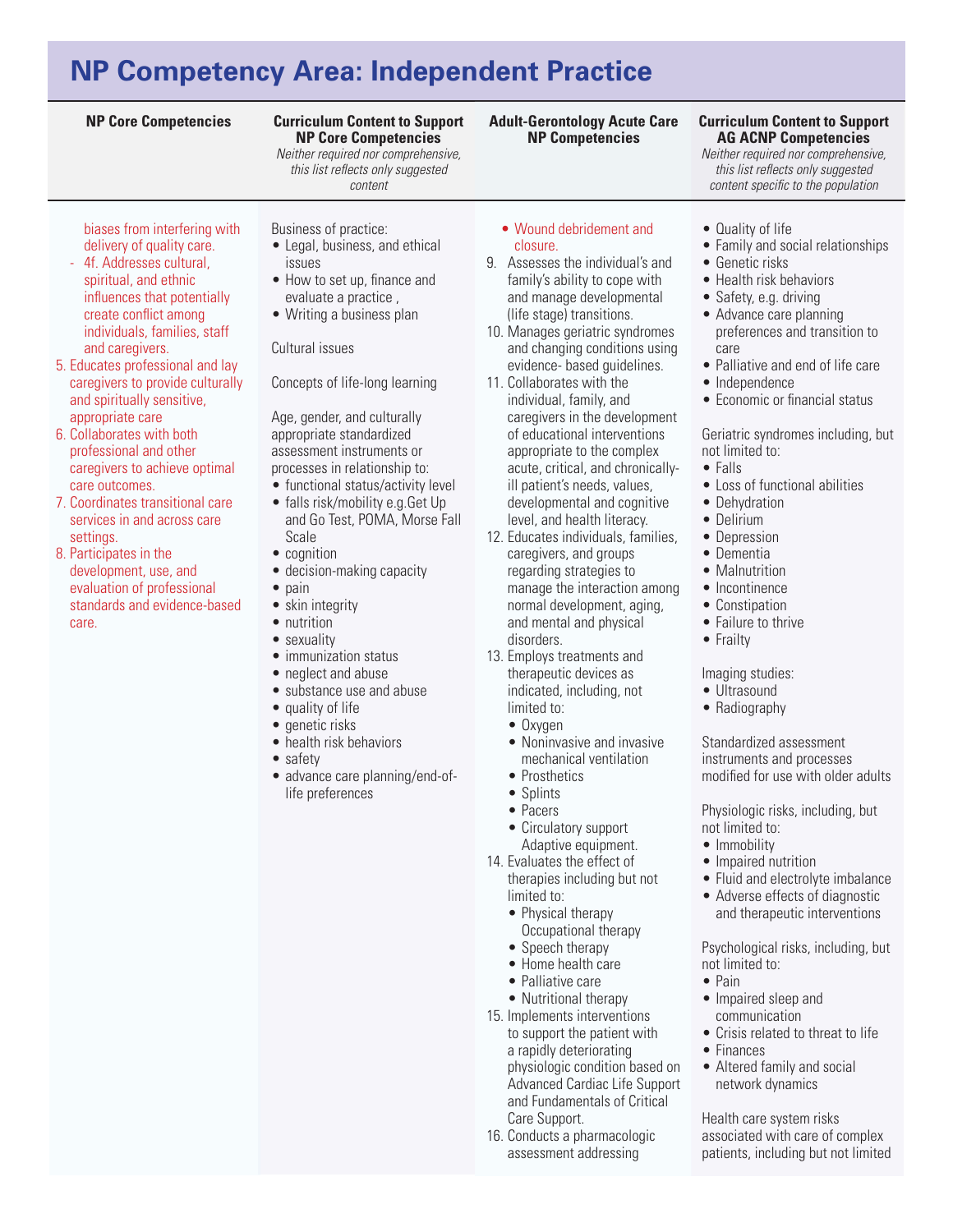### **NP Core Competencies Curriculum Content to Support**

### **Curriculum Content to Support NP Core Competencies**

*Neither required nor comprehensive, this list reflects only suggested content* 

biases from interfering with delivery of quality care.

- 4f. Addresses cultural, spiritual, and ethnic influences that potentially create conflict among individuals, families, staff and caregivers.
- 5. Educates professional and lay caregivers to provide culturally and spiritually sensitive, appropriate care
- 6. Collaborates with both professional and other caregivers to achieve optimal care outcomes.
- 7. Coordinates transitional care services in and across care settings.
- 8. Participates in the development, use, and evaluation of professional standards and evidence-based care.
- Business of practice:
- Legal, business, and ethical issues
- How to set up, finance and evaluate a practice ,
- • Writing a business plan

#### Cultural issues

Concepts of life-long learning

Age, gender, and culturally appropriate standardized assessment instruments or processes in relationship to:

- functional status/activity level • falls risk/mobility e.g.Get Up
- and Go Test, POMA, Morse Fall Scale
- cognition
- decision-making capacity
- pain
- skin integrity
- nutrition • sexuality
- immunization status
- neglect and abuse
- substance use and abuse
- quality of life
- genetic risks
- health risk behaviors
- safety
- advance care planning/end-oflife preferences

• Wound debridement and

**Adult-Gerontology Acute Care NP Competencies**

- closure. 9. Assesses the individual's and family's ability to cope with and manage developmental (life stage) transitions.
- 10. Manages geriatric syndromes and changing conditions using evidence- based guidelines.
- 11. Collaborates with the individual, family, and caregivers in the development of educational interventions appropriate to the complex acute, critical, and chronicallyill patient's needs, values, developmental and cognitive level, and health literacy.
- 12. Educates individuals, families, caregivers, and groups regarding strategies to manage the interaction among normal development, aging, and mental and physical disorders.
- 13. Employs treatments and therapeutic devices as indicated, including, not limited to:
	- Oxygen
	- Noninvasive and invasive mechanical ventilation
	- Prosthetics
	- Splints
	- • Pacers
	- Circulatory support Adaptive equipment.
- 14. Evaluates the effect of therapies including but not limited to:
	- Physical therapy
	- Occupational therapy
	- Speech therapy
	- • Home health care
	- Palliative care
- Nutritional therapy 15. Implements interventions to support the patient with a rapidly deteriorating physiologic condition based on Advanced Cardiac Life Support and Fundamentals of Critical Care Support.
- 16. Conducts a pharmacologic assessment addressing

**AG ACNP Competencies**  *Neither required nor comprehensive,* 

*this list reflects only suggested content specific to the population*

- Quality of life
- Family and social relationships
- Genetic risks
- Health risk behaviors
- Safety, e.g. driving
- Advance care planning preferences and transition to care
- Palliative and end of life care
- Independence
- Economic or financial status

Geriatric syndromes including, but not limited to:

- • Falls
- Loss of functional abilities
- Dehydration
- Delirium
- Depression
- Dementia
- Malnutrition
- Incontinence
- Constipation
- Failure to thrive
- Frailty

### Imaging studies:

- Ultrasound
- Radiography

Standardized assessment instruments and processes modified for use with older adults

Physiologic risks, including, but not limited to:

- Immobility
- Impaired nutrition
- Fluid and electrolyte imbalance
- Adverse effects of diagnostic and therapeutic interventions

Psychological risks, including, but not limited to:

- • Pain
	- Impaired sleep and communication
	- Crisis related to threat to life
	- Finances
	- Altered family and social network dynamics

Health care system risks associated with care of complex patients, including but not limited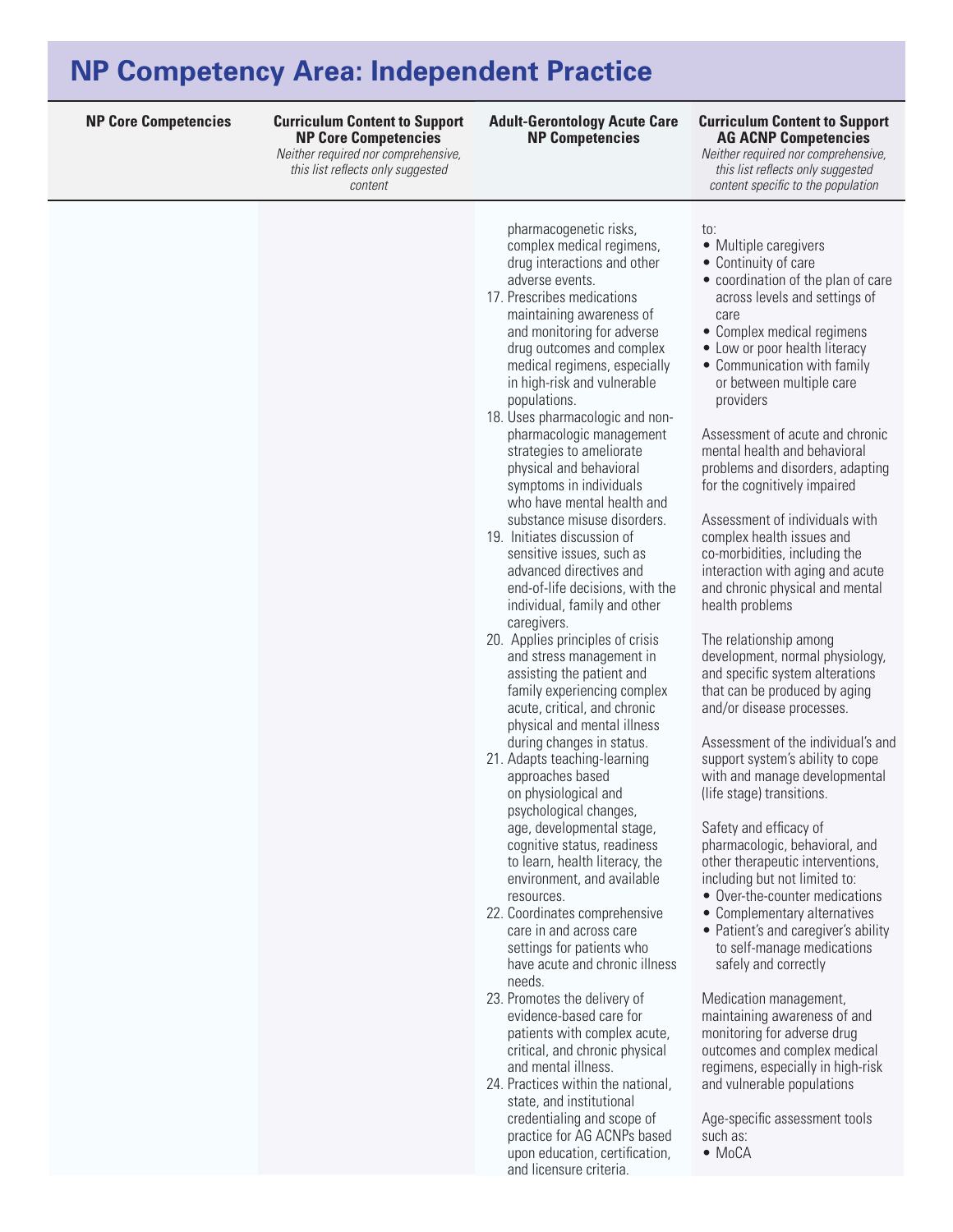**NP Core Competencies Curriculum Content to Support Curriculum Content to Support NP Core Competencies**  *Neither required nor comprehensive, this list reflects only suggested* 

*content* 

**Adult-Gerontology Acute Care NP Competencies**

### **AG ACNP Competencies**

*Neither required nor comprehensive, this list reflects only suggested content specific to the population*

| pharmacogenetic risks,<br>complex medical regimens,<br>drug interactions and other<br>adverse events.<br>17. Prescribes medications<br>maintaining awareness of<br>and monitoring for adverse<br>drug outcomes and complex<br>medical regimens, especially<br>in high-risk and vulnerable<br>populations.<br>18. Uses pharmacologic and non-<br>pharmacologic management<br>strategies to ameliorate<br>physical and behavioral<br>symptoms in individuals<br>who have mental health and<br>substance misuse disorders.<br>19. Initiates discussion of<br>sensitive issues, such as<br>advanced directives and<br>end-of-life decisions, with the<br>individual, family and other<br>caregivers.<br>20. Applies principles of crisis<br>and stress management in<br>assisting the patient and<br>family experiencing complex<br>acute, critical, and chronic<br>physical and mental illness<br>during changes in status.<br>21. Adapts teaching-learning<br>approaches based<br>on physiological and<br>psychological changes,<br>age, developmental stage,<br>cognitive status, readiness<br>to learn, health literacy, the<br>environment, and available<br>resources.<br>22. Coordinates comprehensive<br>care in and across care<br>settings for patients who<br>have acute and chronic illness<br>needs.<br>23. Promotes the delivery of<br>evidence-based care for<br>patients with complex acute,<br>critical, and chronic physical<br>and mental illness. | to:<br>• Multiple caregivers<br>• Continuity of care<br>• coordination of the plan of care<br>across levels and settings of<br>care<br>• Complex medical regimens<br>• Low or poor health literacy<br>• Communication with family<br>or between multiple care<br>providers<br>Assessment of acute and chronic<br>mental health and behavioral<br>problems and disorders, adapting<br>for the cognitively impaired<br>Assessment of individuals with<br>complex health issues and<br>co-morbidities, including the<br>interaction with aging and acute<br>and chronic physical and mental<br>health problems<br>The relationship among<br>development, normal physiology,<br>and specific system alterations<br>that can be produced by aging<br>and/or disease processes.<br>Assessment of the individual's and<br>support system's ability to cope<br>with and manage developmental<br>(life stage) transitions.<br>Safety and efficacy of<br>pharmacologic, behavioral, and<br>other therapeutic interventions,<br>including but not limited to:<br>• Over-the-counter medications<br>• Complementary alternatives<br>• Patient's and caregiver's ability<br>to self-manage medications<br>safely and correctly<br>Medication management,<br>maintaining awareness of and<br>monitoring for adverse drug<br>outcomes and complex medical<br>regimens, especially in high-risk |
|-------------------------------------------------------------------------------------------------------------------------------------------------------------------------------------------------------------------------------------------------------------------------------------------------------------------------------------------------------------------------------------------------------------------------------------------------------------------------------------------------------------------------------------------------------------------------------------------------------------------------------------------------------------------------------------------------------------------------------------------------------------------------------------------------------------------------------------------------------------------------------------------------------------------------------------------------------------------------------------------------------------------------------------------------------------------------------------------------------------------------------------------------------------------------------------------------------------------------------------------------------------------------------------------------------------------------------------------------------------------------------------------------------------------------------------------------------------------|---------------------------------------------------------------------------------------------------------------------------------------------------------------------------------------------------------------------------------------------------------------------------------------------------------------------------------------------------------------------------------------------------------------------------------------------------------------------------------------------------------------------------------------------------------------------------------------------------------------------------------------------------------------------------------------------------------------------------------------------------------------------------------------------------------------------------------------------------------------------------------------------------------------------------------------------------------------------------------------------------------------------------------------------------------------------------------------------------------------------------------------------------------------------------------------------------------------------------------------------------------------------------------------------------------------------------------------------------------------------------------|
|                                                                                                                                                                                                                                                                                                                                                                                                                                                                                                                                                                                                                                                                                                                                                                                                                                                                                                                                                                                                                                                                                                                                                                                                                                                                                                                                                                                                                                                                   |                                                                                                                                                                                                                                                                                                                                                                                                                                                                                                                                                                                                                                                                                                                                                                                                                                                                                                                                                                                                                                                                                                                                                                                                                                                                                                                                                                                 |
| 24. Practices within the national,<br>state, and institutional<br>credentialing and scope of<br>practice for AG ACNPs based<br>upon education, certification,<br>and licensure criteria.                                                                                                                                                                                                                                                                                                                                                                                                                                                                                                                                                                                                                                                                                                                                                                                                                                                                                                                                                                                                                                                                                                                                                                                                                                                                          | and vulnerable populations<br>Age-specific assessment tools<br>such as:<br>$\bullet$ MoCA                                                                                                                                                                                                                                                                                                                                                                                                                                                                                                                                                                                                                                                                                                                                                                                                                                                                                                                                                                                                                                                                                                                                                                                                                                                                                       |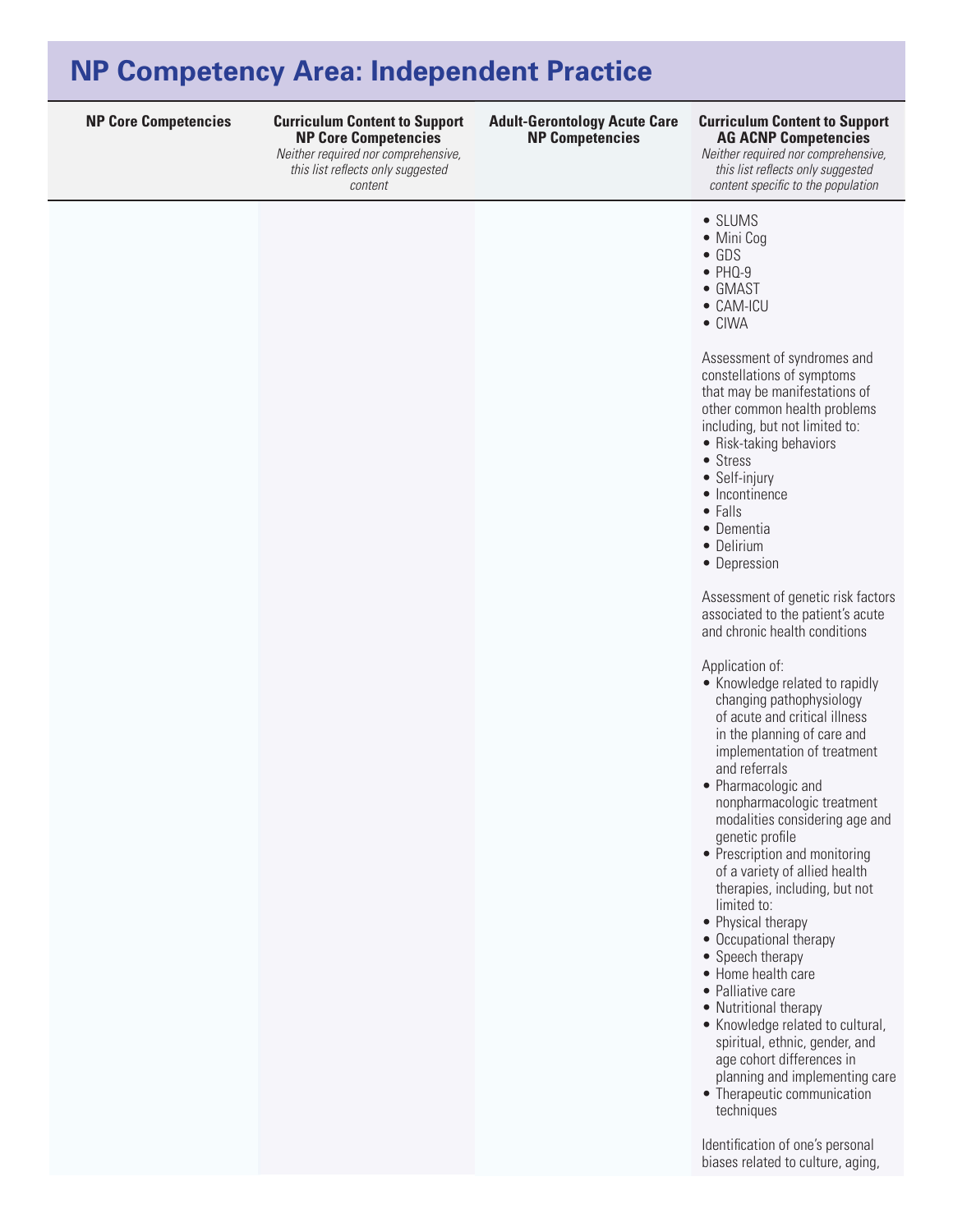**NP Core Competencies Curriculum Content to Support Adult-Gerontology Acute Care Curriculum Content to Support NP Core Competencies**  *Neither required nor comprehensive,* 

*this list reflects only suggested content* 

## **NP Competencies**

### **AG ACNP Competencies**

*Neither required nor comprehensive, this list reflects only suggested content specific to the population*

### • SLUMS

- Mini Cog
- • GDS
- $\bullet$  PHQ-9
- • GMAST
- • CAM-ICU
- • CIWA

Assessment of syndromes and constellations of symptoms that may be manifestations of other common health problems including, but not limited to:

- Risk-taking behaviors
- Stress
- Self-injury
- Incontinence
- • Falls
- Dementia
- Delirium
- Depression

Assessment of genetic risk factors associated to the patient's acute and chronic health conditions

Application of:

- Knowledge related to rapidly changing pathophysiology of acute and critical illness in the planning of care and implementation of treatment and referrals
- • Pharmacologic and nonpharmacologic treatment modalities considering age and genetic profile
- Prescription and monitoring of a variety of allied health therapies, including, but not limited to:
- Physical therapy
- Occupational therapy
- Speech therapy
- • Home health care
- Palliative care
- Nutritional therapy
- Knowledge related to cultural, spiritual, ethnic, gender, and age cohort differences in planning and implementing care
- Therapeutic communication techniques

Identification of one's personal biases related to culture, aging,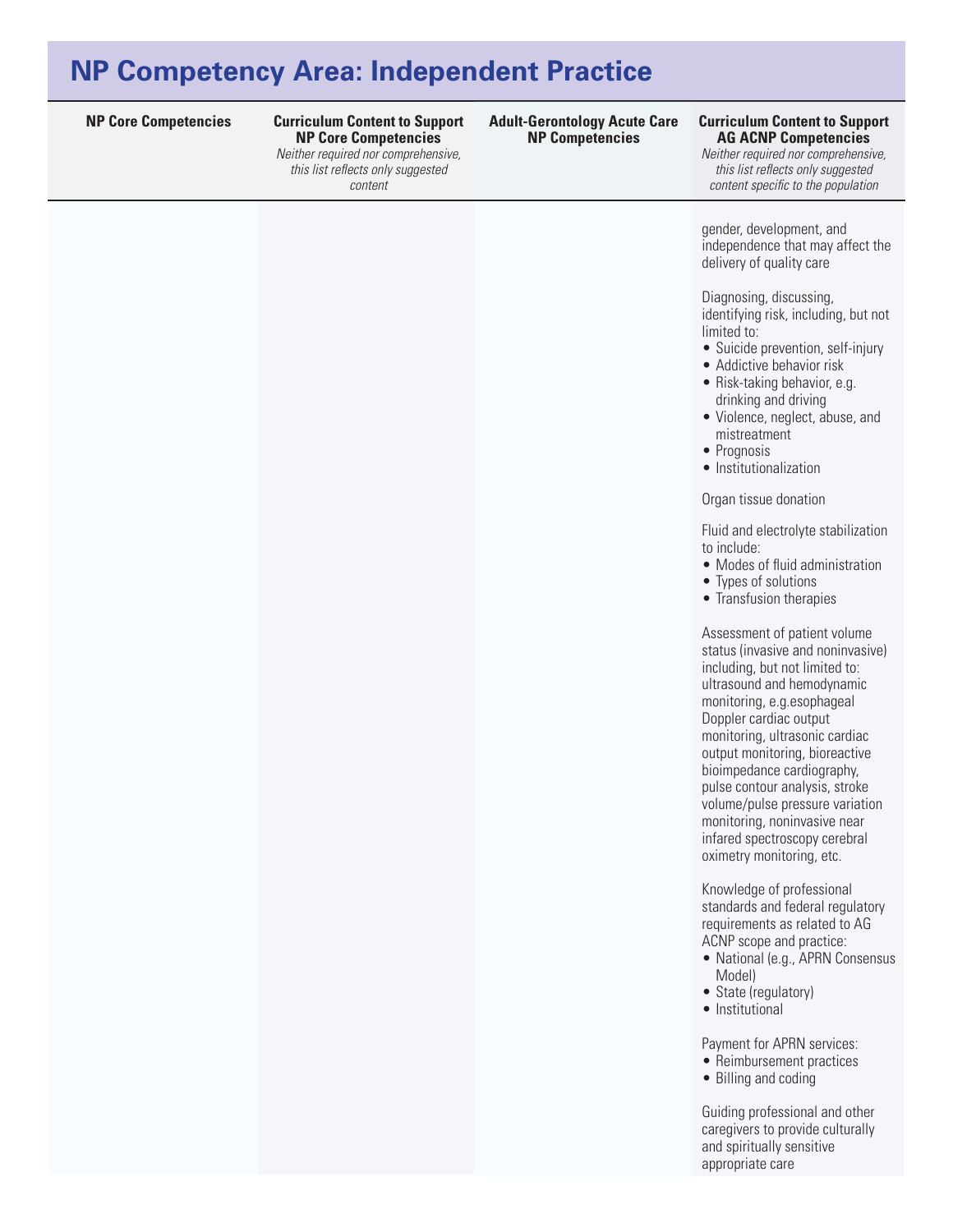**NP Core Competencies Curriculum Content to Support Curriculum Content to Support NP Core Competencies**  *Neither required nor comprehensive,* 

*this list reflects only suggested content* 

### **Adult-Gerontology Acute Care NP Competencies**

### **AG ACNP Competencies**

*Neither required nor comprehensive, this list reflects only suggested content specific to the population*

gender, development, and independence that may affect the delivery of quality care

Diagnosing, discussing, identifying risk, including, but not limited to:

- Suicide prevention, self-injury
- Addictive behavior risk
- Risk-taking behavior, e.g. drinking and driving
- Violence, neglect, abuse, and mistreatment
- Prognosis
- Institutionalization

#### Organ tissue donation

Fluid and electrolyte stabilization to include:

- Modes of fluid administration
- • Types of solutions
- Transfusion therapies

Assessment of patient volume status (invasive and noninvasive) including, but not limited to: ultrasound and hemodynamic monitoring, e.g.esophageal Doppler cardiac output monitoring, ultrasonic cardiac output monitoring, bioreactive bioimpedance cardiography, pulse contour analysis, stroke volume/pulse pressure variation monitoring, noninvasive near infared spectroscopy cerebral oximetry monitoring, etc.

Knowledge of professional standards and federal regulatory requirements as related to AG ACNP scope and practice:

- National (e.g., APRN Consensus Model)
- State (regulatory)
- Institutional

Payment for APRN services:

• Reimbursement practices

• Billing and coding

Guiding professional and other caregivers to provide culturally and spiritually sensitive appropriate care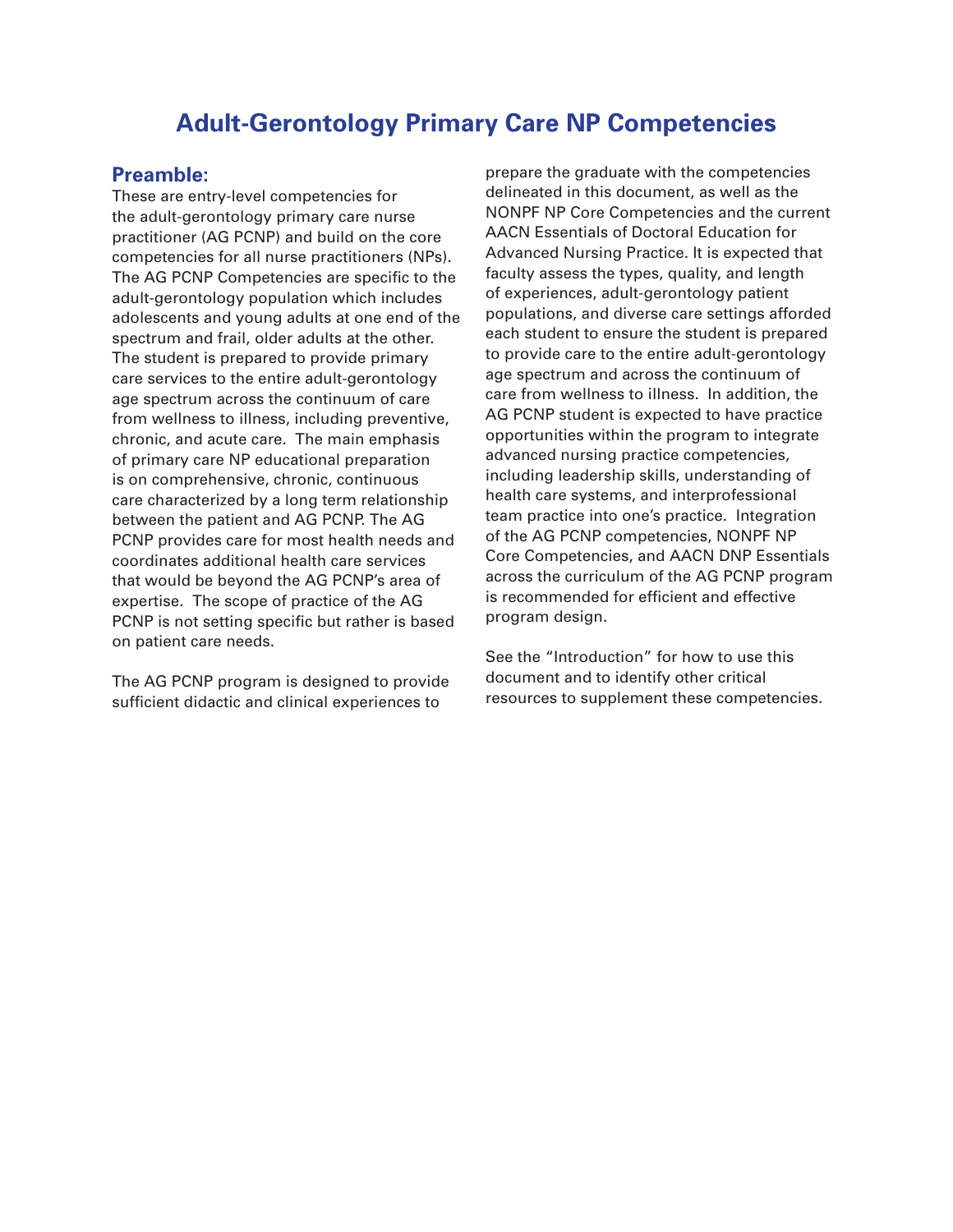### **Adult-Gerontology Primary Care NP Competencies**

### **Preamble:**

These are entry-level competencies for the adult-gerontology primary care nurse practitioner (AG PCNP) and build on the core competencies for all nurse practitioners (NPs). The AG PCNP Competencies are specific to the adult-gerontology population which includes adolescents and young adults at one end of the spectrum and frail, older adults at the other. The student is prepared to provide primary care services to the entire adult-gerontology age spectrum across the continuum of care from wellness to illness, including preventive, chronic, and acute care. The main emphasis of primary care NP educational preparation is on comprehensive, chronic, continuous care characterized by a long term relationship between the patient and AG PCNP. The AG PCNP provides care for most health needs and coordinates additional health care services that would be beyond the AG PCNP's area of expertise. The scope of practice of the AG PCNP is not setting specific but rather is based on patient care needs.

The AG PCNP program is designed to provide sufficient didactic and clinical experiences to

prepare the graduate with the competencies delineated in this document, as well as the NONPF NP Core Competencies and the current AACN Essentials of Doctoral Education for Advanced Nursing Practice. It is expected that faculty assess the types, quality, and length of experiences, adult-gerontology patient populations, and diverse care settings afforded each student to ensure the student is prepared to provide care to the entire adult-gerontology age spectrum and across the continuum of care from wellness to illness. In addition, the AG PCNP student is expected to have practice opportunities within the program to integrate advanced nursing practice competencies, including leadership skills, understanding of health care systems, and interprofessional team practice into one's practice. Integration of the AG PCNP competencies, NONPF NP Core Competencies, and AACN DNP Essentials across the curriculum of the AG PCNP program is recommended for efficient and effective program design.

See the "Introduction" for how to use this document and to identify other critical resources to supplement these competencies.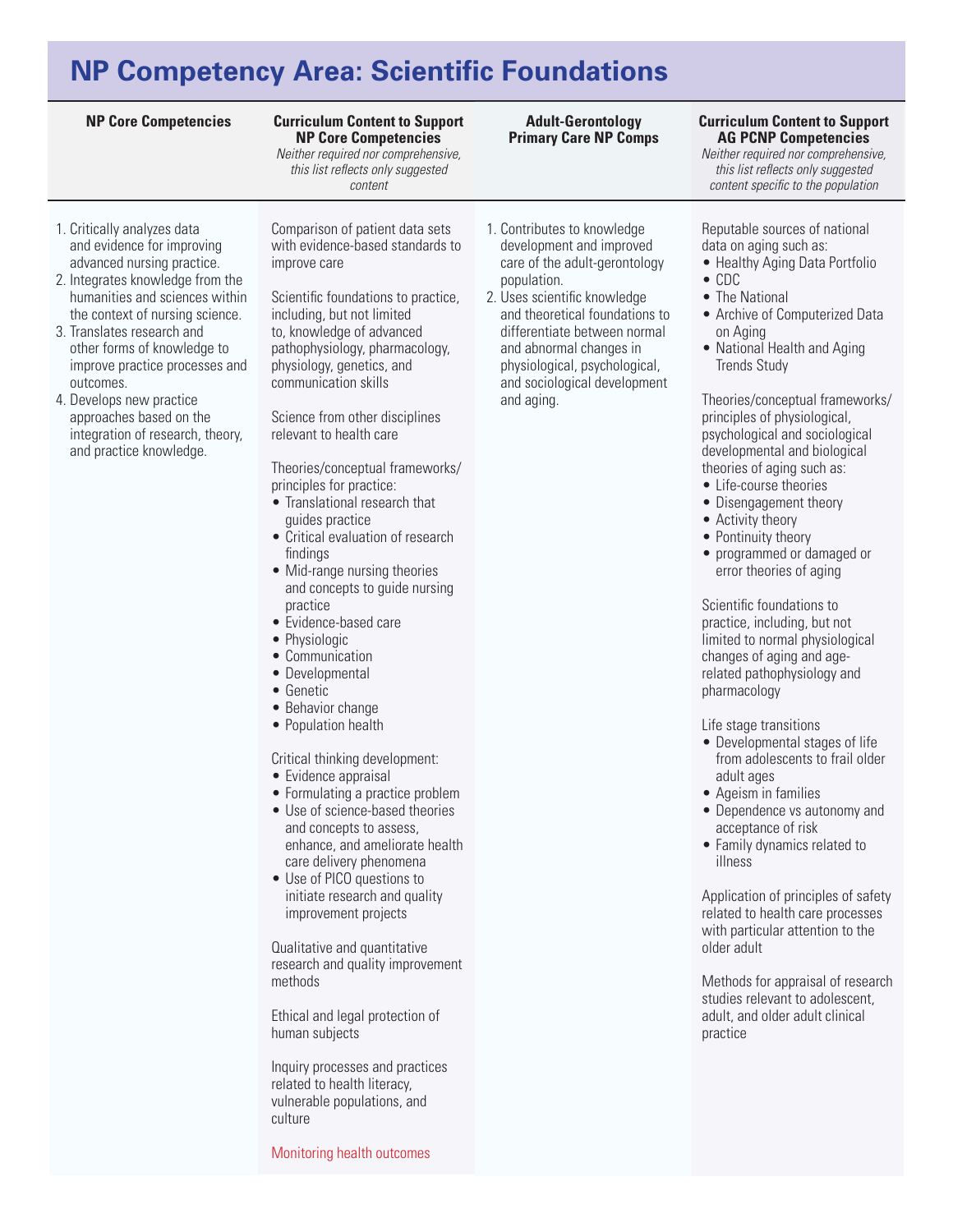## **NP Competency Area: Scientific Foundations**

#### **NP Core Competencies Curriculum Content to Support NP Core Competencies**

*Neither required nor comprehensive, this list reflects only suggested content* 

- 1. Critically analyzes data and evidence for improving advanced nursing practice.
- 2. Integrates knowledge from the humanities and sciences within the context of nursing science.
- 3. Translates research and other forms of knowledge to improve practice processes and outcomes.
- 4. Develops new practice approaches based on the integration of research, theory, and practice knowledge.

Comparison of patient data sets with evidence-based standards to improve care

Scientific foundations to practice, including, but not limited to, knowledge of advanced pathophysiology, pharmacology, physiology, genetics, and communication skills

Science from other disciplines relevant to health care

Theories/conceptual frameworks/ principles for practice:

- • Translational research that guides practice
- • Critical evaluation of research findings
- Mid-range nursing theories and concepts to guide nursing practice
- • Evidence-based care
- Physiologic
- • Communication
- Developmental
- • Genetic
- Behavior change
- Population health

Critical thinking development:

- Evidence appraisal
- Formulating a practice problem
- Use of science-based theories and concepts to assess, enhance, and ameliorate health care delivery phenomena
- Use of PICO questions to initiate research and quality improvement projects

Qualitative and quantitative research and quality improvement methods

Ethical and legal protection of human subjects

Inquiry processes and practices related to health literacy, vulnerable populations, and culture

Monitoring health outcomes

### **Adult-Gerontology Primary Care NP Comps**

1. Contributes to knowledge development and improved care of the adult-gerontology

2. Uses scientific knowledge and theoretical foundations to differentiate between normal and abnormal changes in physiological, psychological, and sociological development

population.

and aging.

### **Curriculum Content to Support AG PCNP Competencies**

*Neither required nor comprehensive, this list reflects only suggested content specific to the population*

### Reputable sources of national data on aging such as:

- Healthy Aging Data Portfolio
- • CDC
- The National
- Archive of Computerized Data on Aging
- National Health and Aging Trends Study

Theories/conceptual frameworks/ principles of physiological, psychological and sociological developmental and biological theories of aging such as:

- • Life-course theories
- Disengagement theory
- Activity theory
- Pontinuity theory
- programmed or damaged or error theories of aging

Scientific foundations to practice, including, but not limited to normal physiological changes of aging and agerelated pathophysiology and pharmacology

Life stage transitions

- Developmental stages of life from adolescents to frail older adult ages
- • Ageism in families
- Dependence vs autonomy and acceptance of risk
- • Family dynamics related to illness

Application of principles of safety related to health care processes with particular attention to the older adult

Methods for appraisal of research studies relevant to adolescent, adult, and older adult clinical practice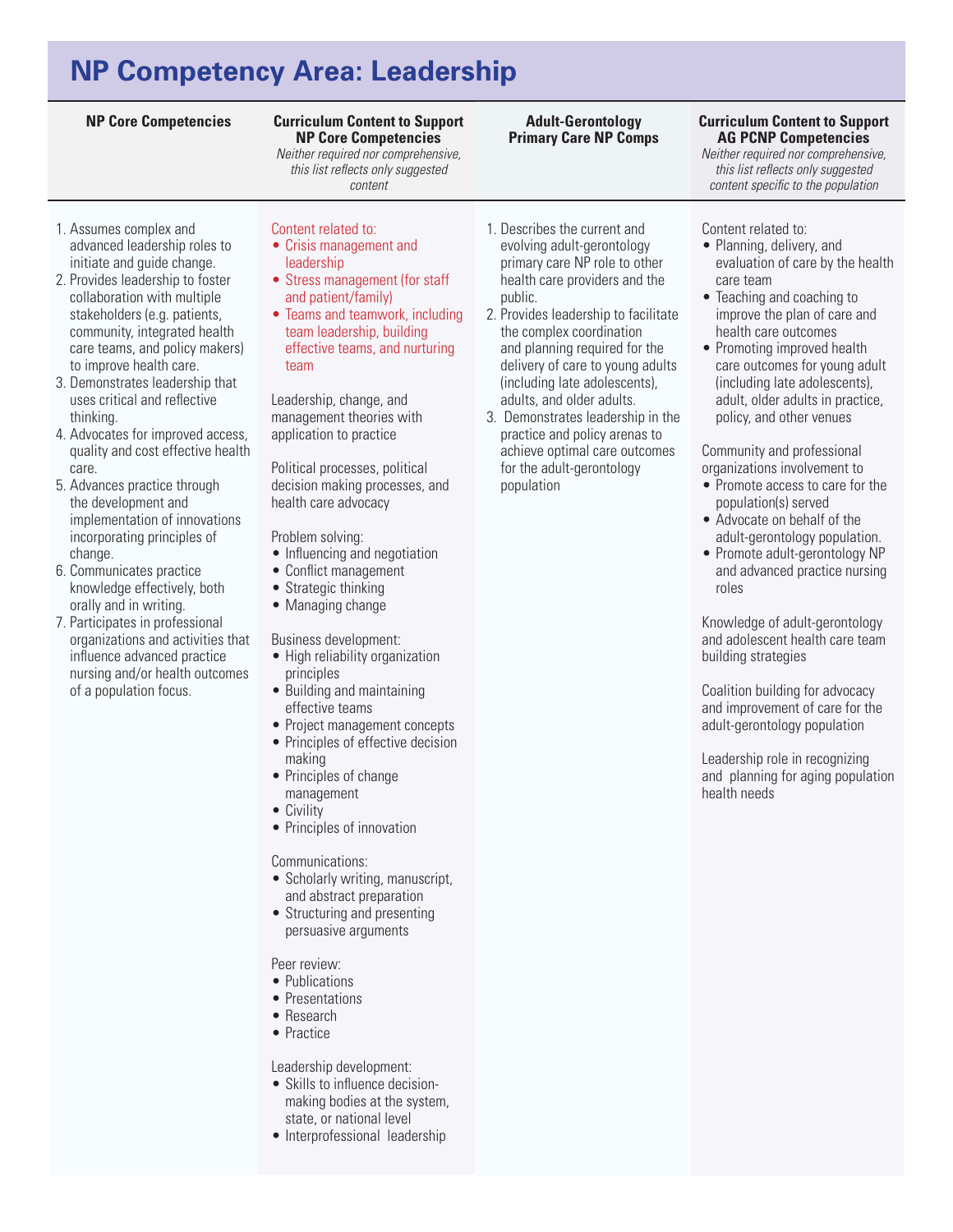# **NP Competency Area: Leadership**

### **Curriculum Content to Support NP Core Competencies**

*Neither required nor comprehensive, this list reflects only suggested content* 

### 1. Assumes complex and advanced leadership roles to initiate and guide change.

- 2. Provides leadership to foster collaboration with multiple stakeholders (e.g. patients, community, integrated health care teams, and policy makers) to improve health care.
- 3. Demonstrates leadership that uses critical and reflective thinking.
- 4. Advocates for improved access, quality and cost effective health care.
- 5. Advances practice through the development and implementation of innovations incorporating principles of change.
- 6. Communicates practice knowledge effectively, both orally and in writing.
- 7. Participates in professional organizations and activities that influence advanced practice nursing and/or health outcomes of a population focus.

### Content related to:

- • Crisis management and leadership
- Stress management (for staff and patient/family)
- Teams and teamwork, including team leadership, building effective teams, and nurturing team

Leadership, change, and management theories with application to practice

Political processes, political decision making processes, and health care advocacy

Problem solving:

- Influencing and negotiation
- Conflict management
- Strategic thinking
- Managing change

Business development:

- High reliability organization principles
- Building and maintaining effective teams
- Project management concepts
- Principles of effective decision making
- Principles of change
- management
- Civility
- Principles of innovation

#### Communications:

- Scholarly writing, manuscript, and abstract preparation
- Structuring and presenting persuasive arguments

Peer review:

- Publications
- Presentations
- • Research
- Practice

Leadership development:

- Skills to influence decisionmaking bodies at the system, state, or national level
- Interprofessional leadership

### 1. Describes the current and evolving adult-gerontology primary care NP role to other health care providers and the public.

**Adult-Gerontology Primary Care NP Comps**

2. Provides leadership to facilitate the complex coordination and planning required for the delivery of care to young adults (including late adolescents), adults, and older adults.

3. Demonstrates leadership in the practice and policy arenas to achieve optimal care outcomes for the adult-gerontology population

#### **NP Core Competencies Curriculum Content to Support AG PCNP Competencies**

*Neither required nor comprehensive, this list reflects only suggested content specific to the population*

### Content related to:

- Planning, delivery, and evaluation of care by the health care team
- Teaching and coaching to improve the plan of care and health care outcomes
- Promoting improved health care outcomes for young adult (including late adolescents), adult, older adults in practice, policy, and other venues

#### Community and professional organizations involvement to

- Promote access to care for the population(s) served
- • Advocate on behalf of the adult-gerontology population.
- Promote adult-gerontology NP and advanced practice nursing roles

Knowledge of adult-gerontology and adolescent health care team building strategies

Coalition building for advocacy and improvement of care for the adult-gerontology population

Leadership role in recognizing and planning for aging population health needs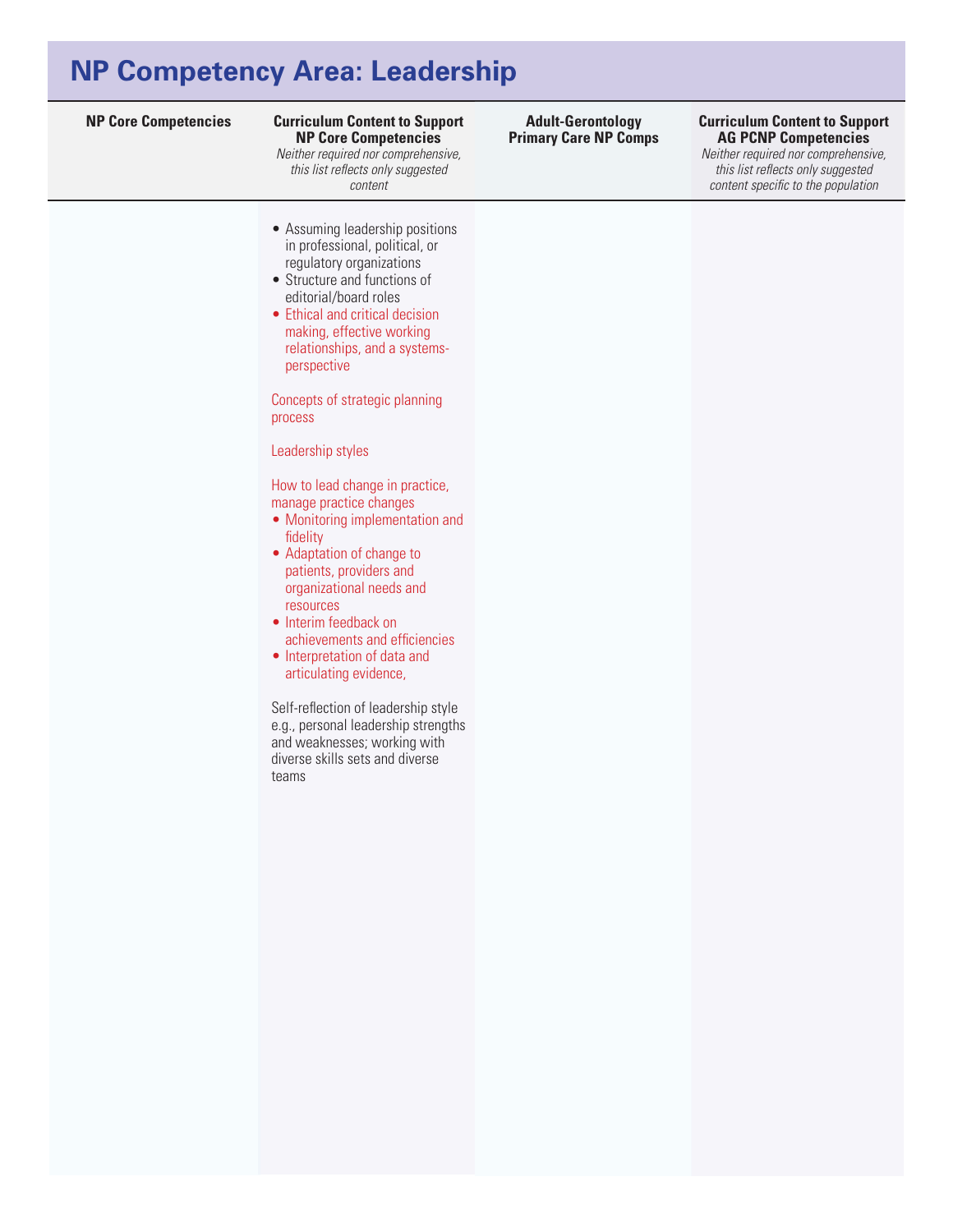## **NP Competency Area: Leadership**

#### **NP Core Competencies Curriculum Content to Support Curriculum Content to Support NP Core Competencies**

*Neither required nor comprehensive, this list reflects only suggested content* 

- Assuming leadership positions in professional, political, or regulatory organizations
- • Structure and functions of editorial/board roles
- Ethical and critical decision making, effective working relationships, and a systemsperspective

Concepts of strategic planning process

Leadership styles

How to lead change in practice, manage practice changes

- Monitoring implementation and fidelity
- Adaptation of change to patients, providers and organizational needs and resources
- Interim feedback on achievements and efficiencies
- Interpretation of data and articulating evidence,

Self-reflection of leadership style e.g., personal leadership strengths and weaknesses; working with diverse skills sets and diverse teams

#### **Adult-Gerontology Primary Care NP Comps**

### **AG PCNP Competencies**

*Neither required nor comprehensive, this list reflects only suggested content specific to the population*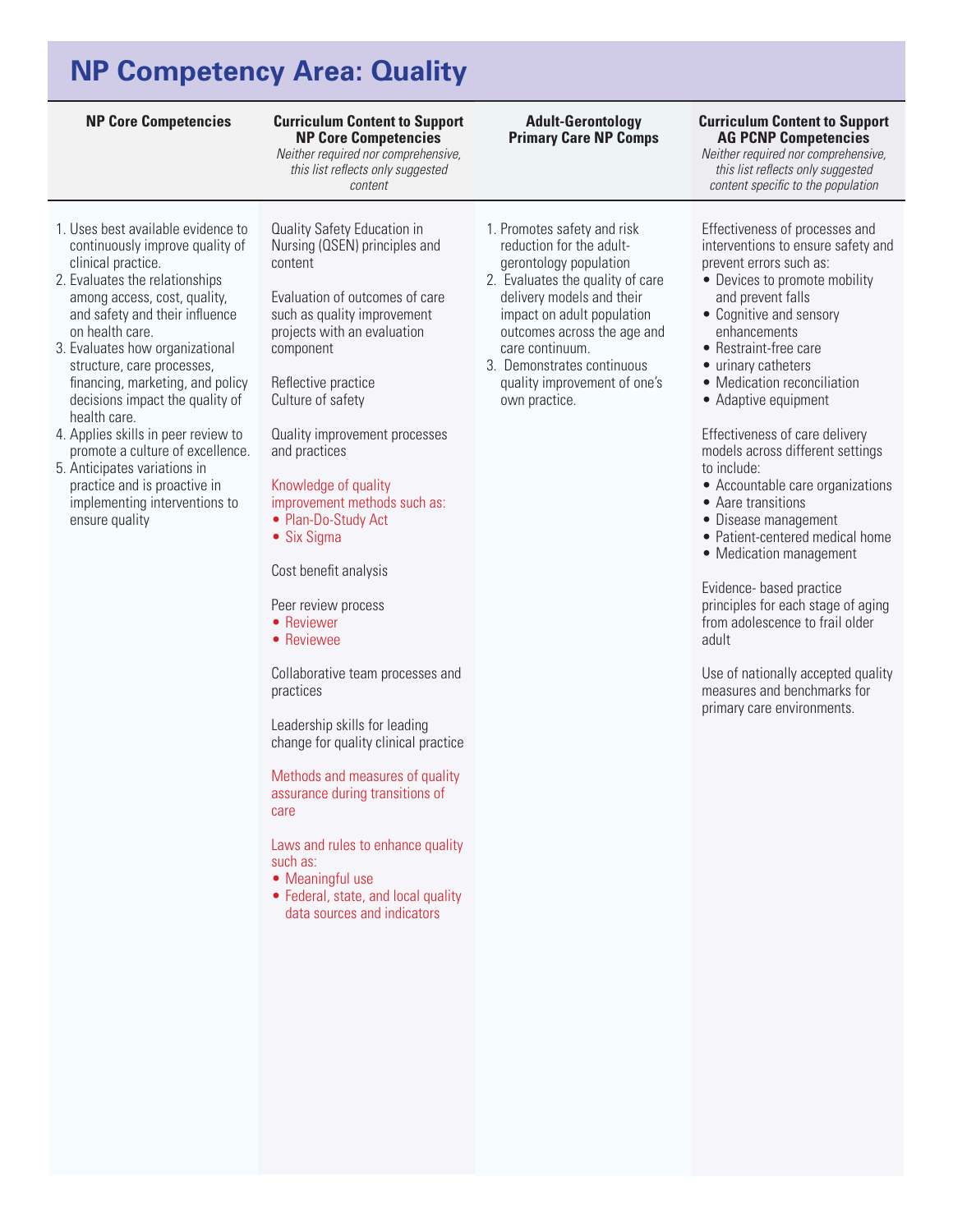# **NP Competency Area: Quality**

**Curriculum Content to Support NP Core Competencies** 

*Neither required nor comprehensive, this list reflects only suggested content* 

- 1. Uses best available evidence to continuously improve quality of clinical practice.
- 2. Evaluates the relationships among access, cost, quality, and safety and their influence on health care.
- 3. Evaluates how organizational structure, care processes, financing, marketing, and policy decisions impact the quality of health care.
- 4. Applies skills in peer review to promote a culture of excellence.
- 5. Anticipates variations in practice and is proactive in implementing interventions to ensure quality

Quality Safety Education in Nursing (QSEN) principles and content

Evaluation of outcomes of care such as quality improvement projects with an evaluation component

Reflective practice Culture of safety

Quality improvement processes and practices

Knowledge of quality improvement methods such as: • Plan-Do-Study Act

• Six Sigma

Cost benefit analysis

Peer review process

- Reviewer
- Reviewee

Collaborative team processes and practices

Leadership skills for leading change for quality clinical practice

Methods and measures of quality assurance during transitions of care

Laws and rules to enhance quality such as:

- Meaningful use
- Federal, state, and local quality data sources and indicators

1. Promotes safety and risk reduction for the adultgerontology population

**Adult-Gerontology Primary Care NP Comps**

- 2. Evaluates the quality of care delivery models and their impact on adult population outcomes across the age and care continuum.
- 3. Demonstrates continuous quality improvement of one's own practice.

### **NP Core Competencies Curriculum Content to Support AG PCNP Competencies**

*Neither required nor comprehensive, this list reflects only suggested content specific to the population*

Effectiveness of processes and interventions to ensure safety and prevent errors such as:

- Devices to promote mobility and prevent falls
- Cognitive and sensory enhancements
- • Restraint-free care
- urinary catheters
- Medication reconciliation
- Adaptive equipment

Effectiveness of care delivery models across different settings to include:

- Accountable care organizations
- Aare transitions
- Disease management
- Patient-centered medical home
- Medication management

Evidence- based practice principles for each stage of aging from adolescence to frail older adult

Use of nationally accepted quality measures and benchmarks for primary care environments.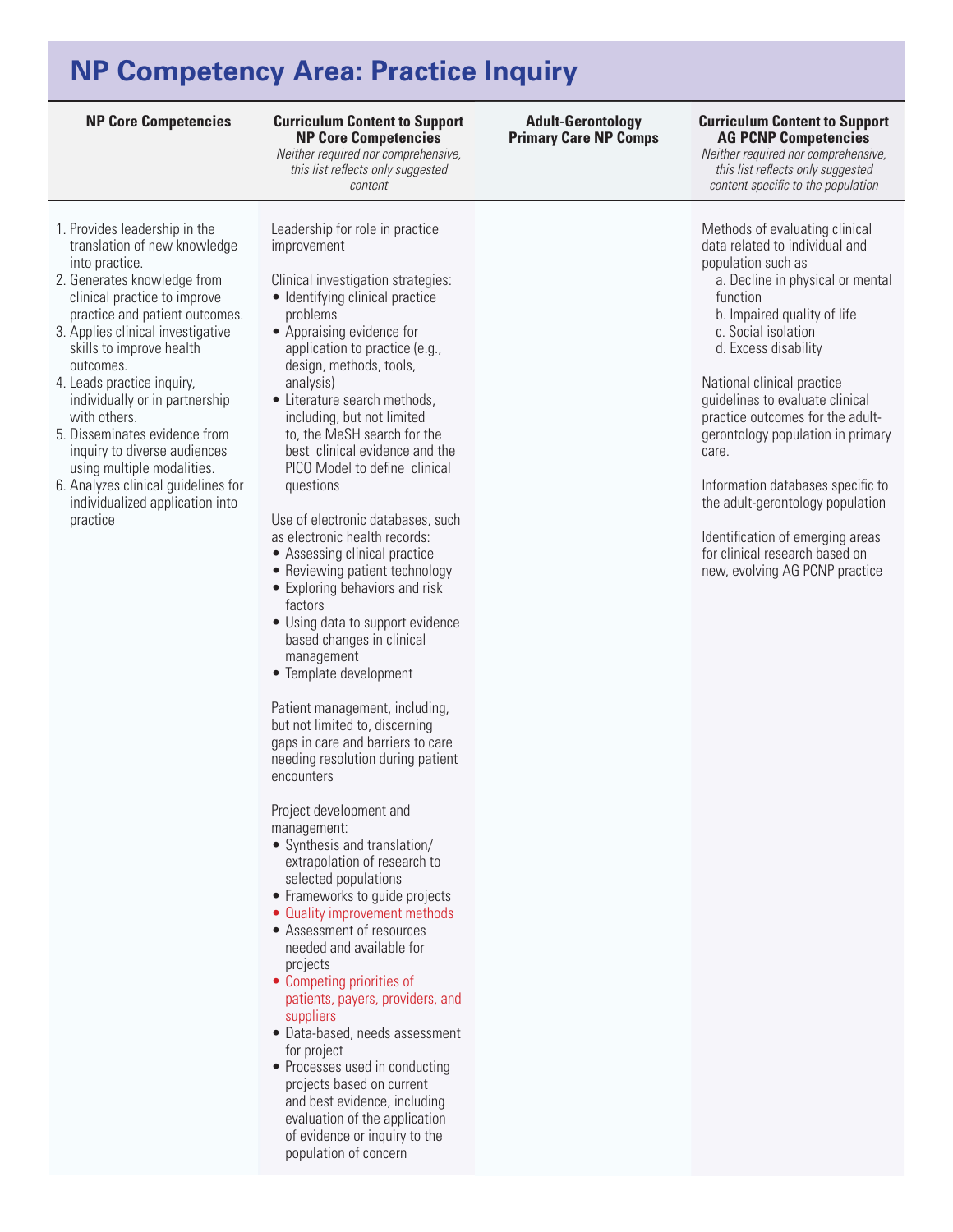## **NP Competency Area: Practice Inquiry**

**Curriculum Content to Support NP Core Competencies** 

*Neither required nor comprehensive, this list reflects only suggested content* 

- 1. Provides leadership in the translation of new knowledge into practice.
- 2. Generates knowledge from clinical practice to improve practice and patient outcomes.
- 3. Applies clinical investigative skills to improve health outcomes.
- 4. Leads practice inquiry, individually or in partnership with others.
- 5. Disseminates evidence from inquiry to diverse audiences using multiple modalities.
- 6. Analyzes clinical guidelines for individualized application into practice

Leadership for role in practice improvement

- Clinical investigation strategies: • Identifying clinical practice problems
- Appraising evidence for application to practice (e.g., design, methods, tools, analysis)
- Literature search methods, including, but not limited to, the MeSH search for the best clinical evidence and the PICO Model to define clinical questions

Use of electronic databases, such as electronic health records:

- Assessing clinical practice
- Reviewing patient technology • Exploring behaviors and risk
- factors • Using data to support evidence
- based changes in clinical management
- Template development

Patient management, including, but not limited to, discerning gaps in care and barriers to care needing resolution during patient encounters

Project development and management:

- • Synthesis and translation/ extrapolation of research to selected populations
- Frameworks to guide projects
- Quality improvement methods • Assessment of resources
- needed and available for projects
- Competing priorities of patients, payers, providers, and suppliers
- • Data-based, needs assessment for project
- Processes used in conducting projects based on current and best evidence, including evaluation of the application of evidence or inquiry to the population of concern

**Adult-Gerontology Primary Care NP Comps**

#### **NP Core Competencies Curriculum Content to Support AG PCNP Competencies**

*Neither required nor comprehensive, this list reflects only suggested content specific to the population*

Methods of evaluating clinical data related to individual and population such as

a. Decline in physical or mental function

b. Impaired quality of life

c. Social isolation

d. Excess disability

National clinical practice guidelines to evaluate clinical practice outcomes for the adultgerontology population in primary care.

Information databases specific to the adult-gerontology population

Identification of emerging areas for clinical research based on new, evolving AG PCNP practice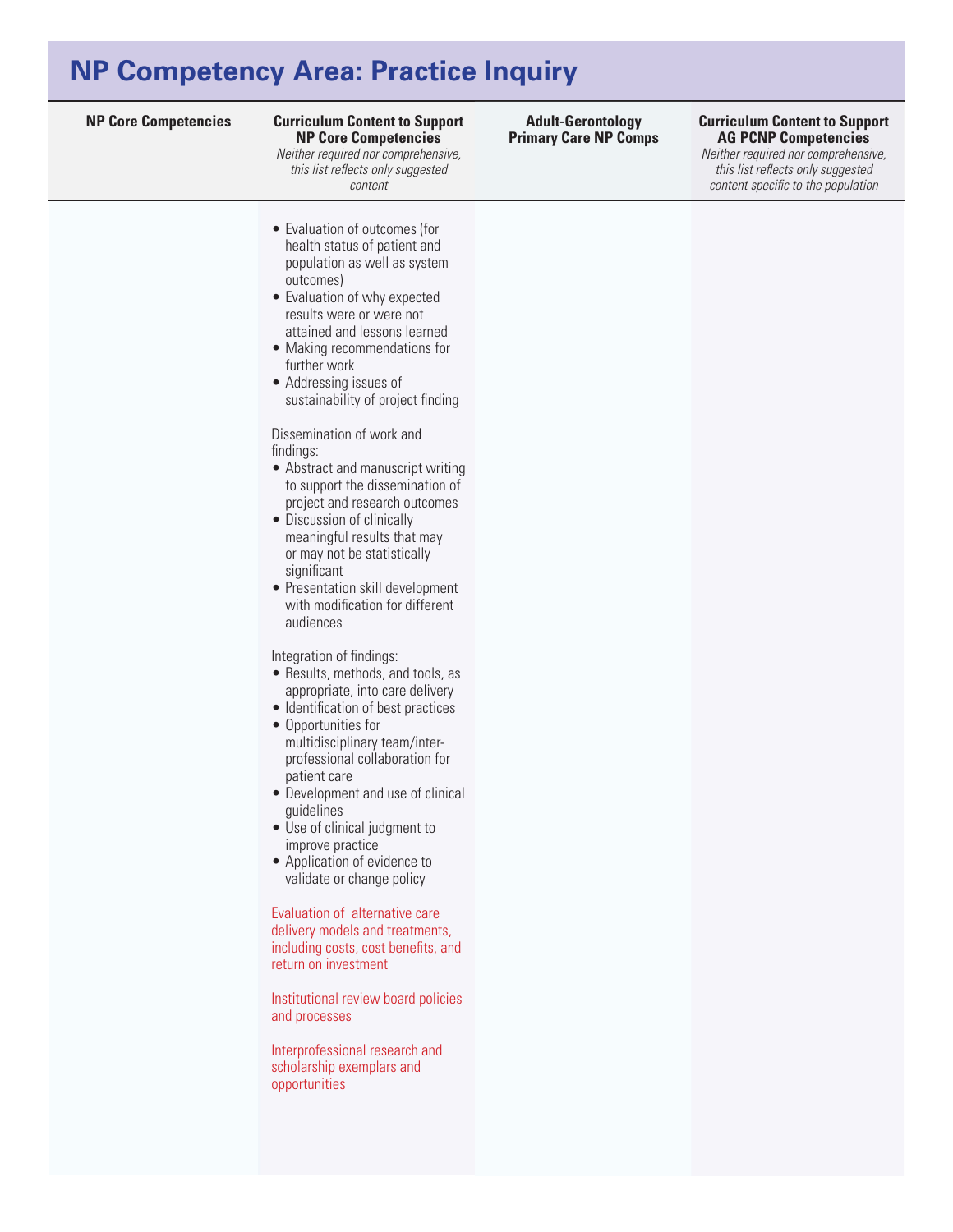## **NP Competency Area: Practice Inquiry**

#### **Curriculum Content to Support NP Core Competencies**

*Neither required nor comprehensive, this list reflects only suggested content* 

• Evaluation of outcomes (for health status of patient and population as well as system outcomes)

- Evaluation of why expected results were or were not
- attained and lessons learned • Making recommendations for further work
- Addressing issues of sustainability of project finding

Dissemination of work and findings:

- Abstract and manuscript writing to support the dissemination of project and research outcomes
- Discussion of clinically meaningful results that may or may not be statistically significant
- Presentation skill development with modification for different audiences

Integration of findings:

- Results, methods, and tools, as appropriate, into care delivery
- Identification of best practices
- • Opportunities for multidisciplinary team/interprofessional collaboration for patient care
- Development and use of clinical guidelines
- Use of clinical judgment to improve practice
- Application of evidence to validate or change policy

Evaluation of alternative care delivery models and treatments, including costs, cost benefits, and return on investment

Institutional review board policies and processes

Interprofessional research and scholarship exemplars and opportunities

**Adult-Gerontology Primary Care NP Comps**

#### **NP Core Competencies Curriculum Content to Support AG PCNP Competencies**

*Neither required nor comprehensive, this list reflects only suggested content specific to the population*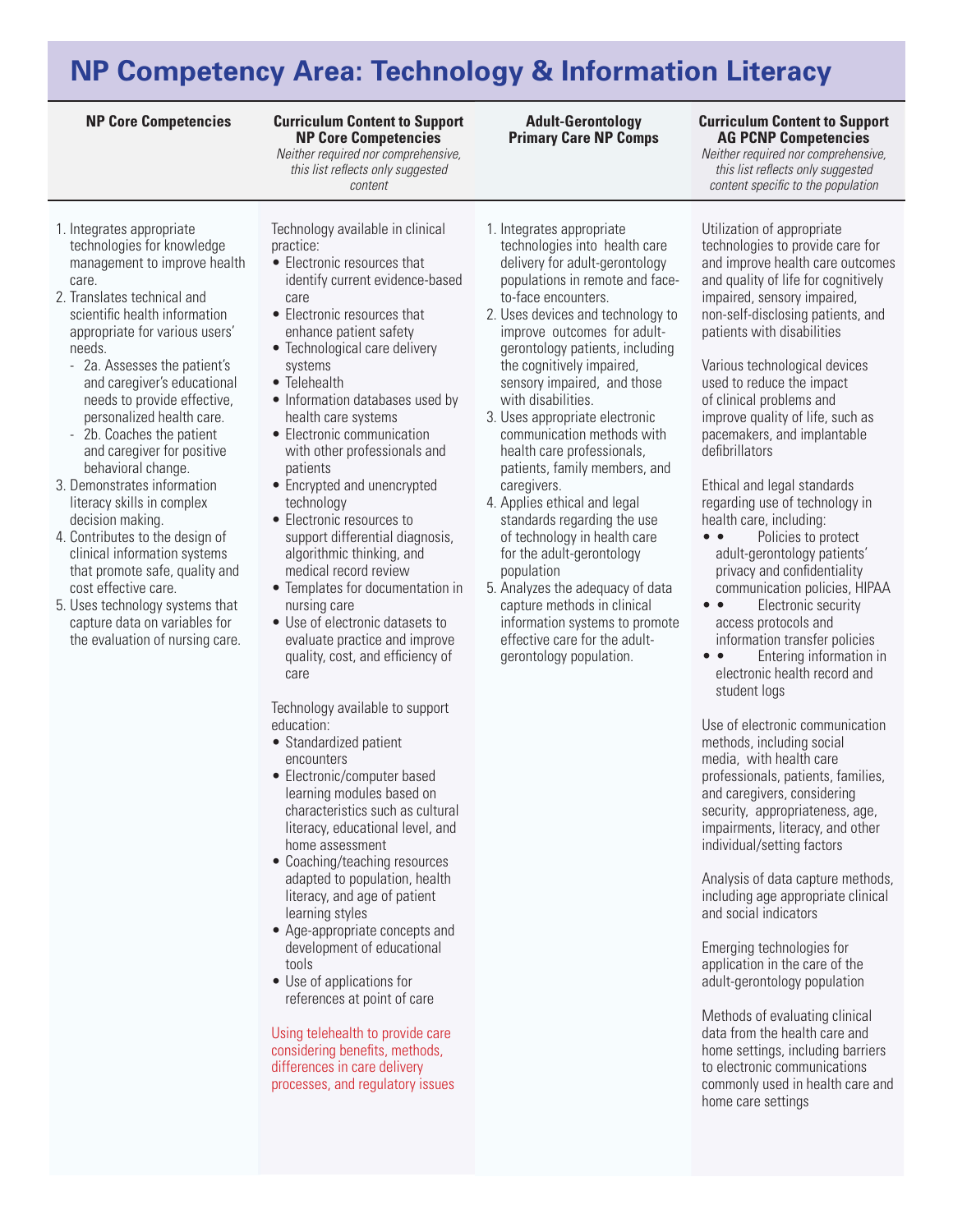# **NP Competency Area: Technology & Information Literacy**

#### **Curriculum Content to Support NP Core Competencies**

*Neither required nor comprehensive, this list reflects only suggested content* 

- 1. Integrates appropriate technologies for knowledge management to improve health care.
- 2. Translates technical and scientific health information appropriate for various users' needs.
	- 2a. Assesses the patient's and caregiver's educational needs to provide effective, personalized health care.
	- 2b. Coaches the patient and caregiver for positive behavioral change.
- 3. Demonstrates information literacy skills in complex decision making.
- 4. Contributes to the design of clinical information systems that promote safe, quality and cost effective care.
- 5. Uses technology systems that capture data on variables for the evaluation of nursing care.

Technology available in clinical practice:

- Electronic resources that identify current evidence-based care
- • Electronic resources that enhance patient safety
- Technological care delivery systems
- Telehealth
- Information databases used by health care systems
- • Electronic communication with other professionals and patients
- Encrypted and unencrypted technology
- • Electronic resources to support differential diagnosis, algorithmic thinking, and medical record review
- Templates for documentation in nursing care
- Use of electronic datasets to evaluate practice and improve quality, cost, and efficiency of care

Technology available to support education:

- Standardized patient encounters
- Electronic/computer based learning modules based on characteristics such as cultural literacy, educational level, and home assessment
- Coaching/teaching resources adapted to population, health literacy, and age of patient learning styles
- • Age-appropriate concepts and development of educational tools
- Use of applications for references at point of care

Using telehealth to provide care considering benefits, methods, differences in care delivery processes, and regulatory issues

- 1. Integrates appropriate technologies into health care delivery for adult-gerontology populations in remote and faceto-face encounters.
- 2. Uses devices and technology to improve outcomes for adultgerontology patients, including the cognitively impaired, sensory impaired, and those with disabilities.
- 3. Uses appropriate electronic communication methods with health care professionals, patients, family members, and caregivers.
- 4. Applies ethical and legal standards regarding the use of technology in health care for the adult-gerontology population
- 5. Analyzes the adequacy of data capture methods in clinical information systems to promote effective care for the adultgerontology population.

### **NP Core Competencies Curriculum Content to Support AG PCNP Competencies**

*Neither required nor comprehensive, this list reflects only suggested content specific to the population*

Utilization of appropriate technologies to provide care for and improve health care outcomes and quality of life for cognitively impaired, sensory impaired, non-self-disclosing patients, and patients with disabilities

Various technological devices used to reduce the impact of clinical problems and improve quality of life, such as pacemakers, and implantable defibrillators

Ethical and legal standards regarding use of technology in health care, including:

- • Policies to protect adult-gerontology patients' privacy and confidentiality communication policies, HIPAA
- • Electronic security access protocols and information transfer policies
- • Entering information in electronic health record and student logs

Use of electronic communication methods, including social media, with health care professionals, patients, families, and caregivers, considering security, appropriateness, age, impairments, literacy, and other individual/setting factors

Analysis of data capture methods, including age appropriate clinical and social indicators

Emerging technologies for application in the care of the adult-gerontology population

Methods of evaluating clinical data from the health care and home settings, including barriers to electronic communications commonly used in health care and home care settings

#### **Adult-Gerontology Primary Care NP Comps**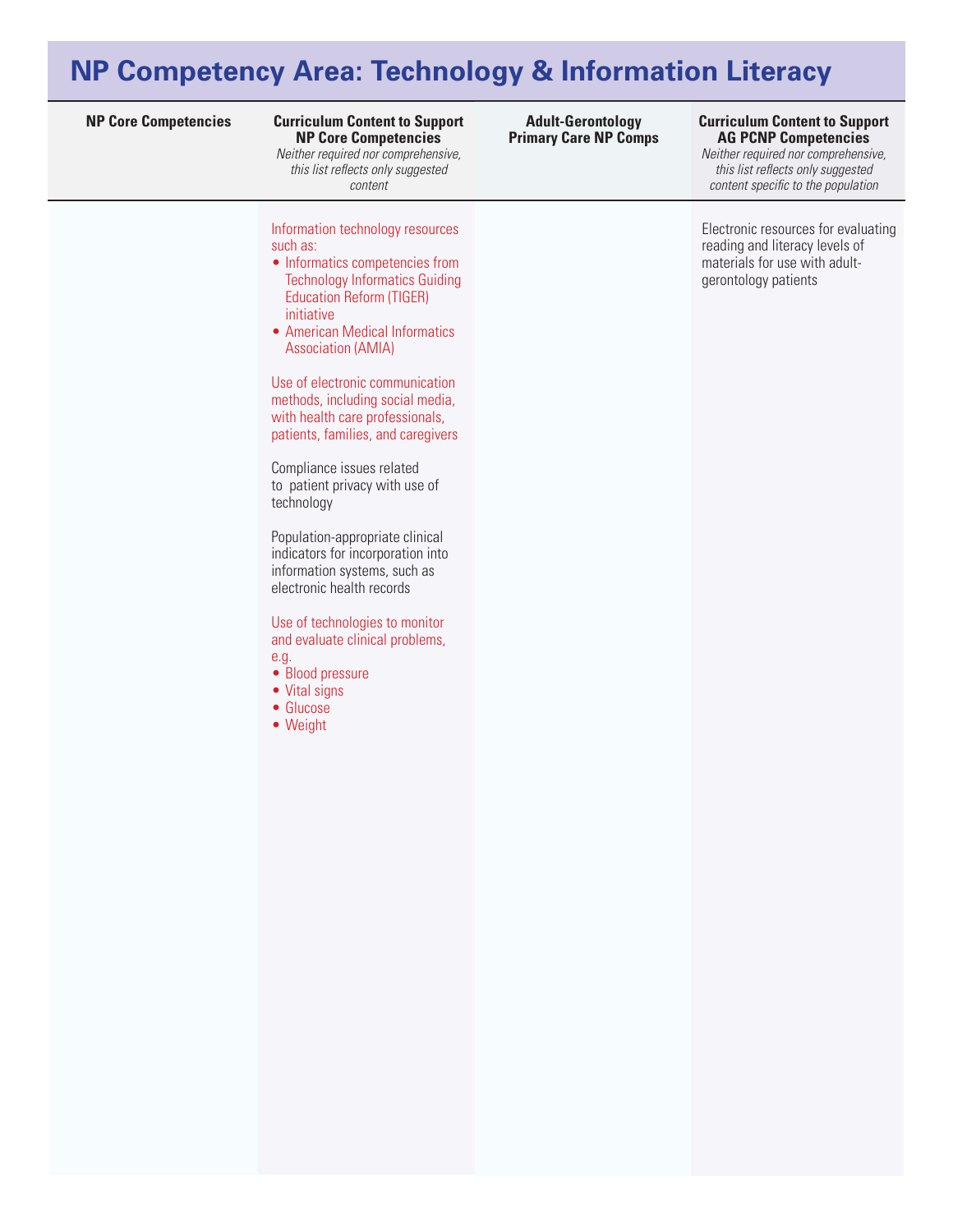# **NP Competency Area: Technology & Information Literacy**

#### **Curriculum Content to Support NP Core Competencies**

*Neither required nor comprehensive, this list reflects only suggested content* 

Information technology resources such as:

- Informatics competencies from Technology Informatics Guiding Education Reform (TIGER) initiative
- American Medical Informatics Association (AMIA)

Use of electronic communication methods, including social media, with health care professionals, patients, families, and caregivers

Compliance issues related to patient privacy with use of technology

Population-appropriate clinical indicators for incorporation into information systems, such as electronic health records

Use of technologies to monitor and evaluate clinical problems, e.g.

- Blood pressure
- Vital signs
- • Glucose
- • Weight

#### **Adult-Gerontology Primary Care NP Comps**

#### **NP Core Competencies Curriculum Content to Support AG PCNP Competencies**

*Neither required nor comprehensive, this list reflects only suggested content specific to the population*

Electronic resources for evaluating reading and literacy levels of materials for use with adultgerontology patients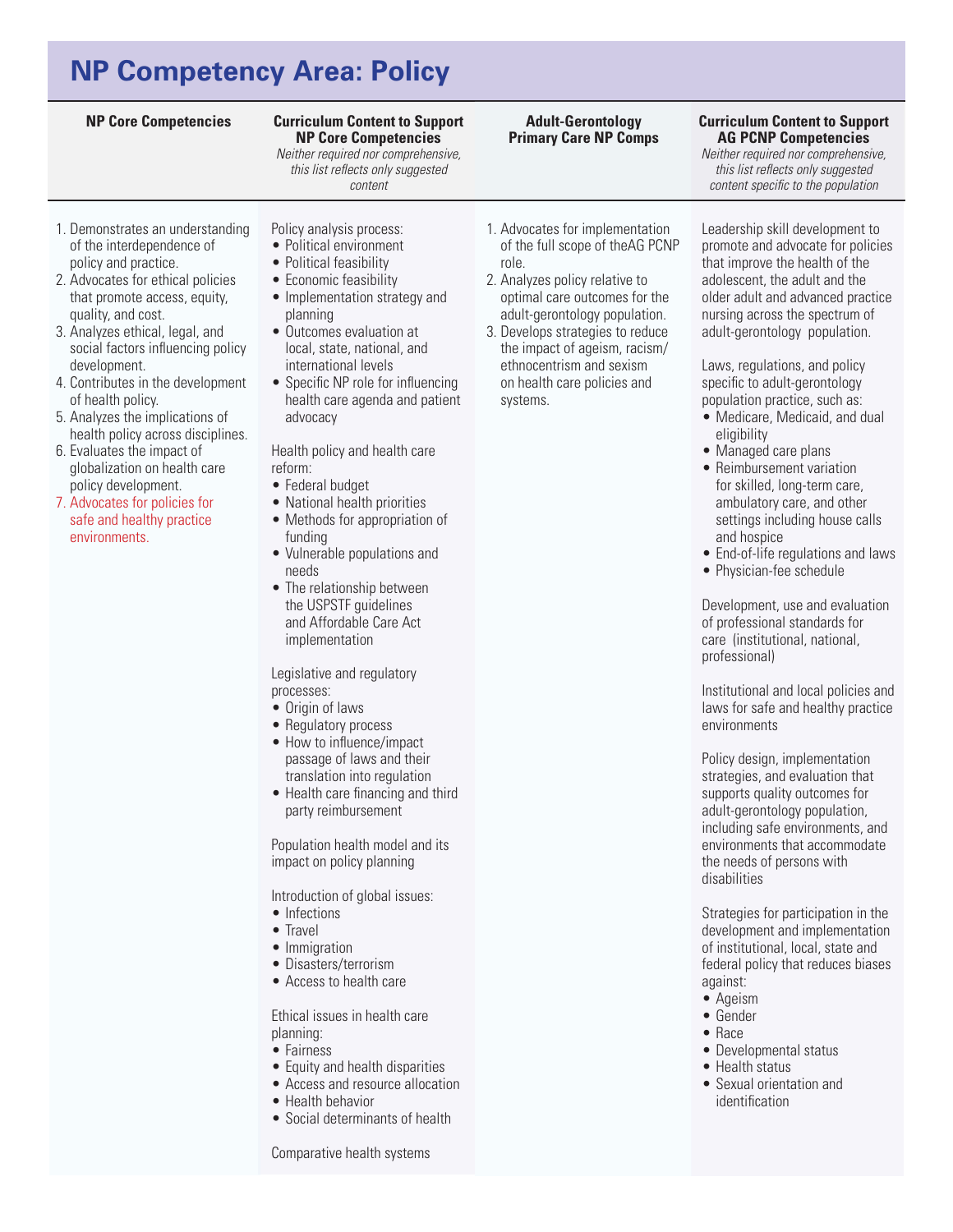# **NP Competency Area: Policy**

### **Curriculum Content to Support NP Core Competencies**

*Neither required nor comprehensive, this list reflects only suggested content* 

### 1. Demonstrates an understanding of the interdependence of policy and practice.

- 2. Advocates for ethical policies that promote access, equity, quality, and cost.
- 3. Analyzes ethical, legal, and social factors influencing policy development.
- 4. Contributes in the development of health policy.
- 5. Analyzes the implications of health policy across disciplines.
- 6. Evaluates the impact of globalization on health care policy development.
- 7. Advocates for policies for safe and healthy practice environments.
- Policy analysis process:
- Political environment • Political feasibility
- Economic feasibility
- Implementation strategy and planning
- • Outcomes evaluation at local, state, national, and international levels
- Specific NP role for influencing health care agenda and patient advocacy

Health policy and health care reform:

- Federal budget
- National health priorities
- Methods for appropriation of funding
- Vulnerable populations and needs
- The relationship between the USPSTF guidelines and Affordable Care Act implementation

Legislative and regulatory processes:

- Origin of laws
- Regulatory process
- How to influence/impact passage of laws and their translation into regulation
- Health care financing and third party reimbursement

Population health model and its impact on policy planning

Introduction of global issues:

- Infections
- Travel
- Immigration
- • Disasters/terrorism
- Access to health care

Ethical issues in health care planning:

- Fairness
- Equity and health disparities
- Access and resource allocation
- Health behavior
- Social determinants of health

Comparative health systems

1. Advocates for implementation of the full scope of theAG PCNP role.

**Adult-Gerontology Primary Care NP Comps**

- 2. Analyzes policy relative to optimal care outcomes for the adult-gerontology population.
- 3. Develops strategies to reduce the impact of ageism, racism/ ethnocentrism and sexism on health care policies and systems.

#### **NP Core Competencies Curriculum Content to Support AG PCNP Competencies**

*Neither required nor comprehensive, this list reflects only suggested content specific to the population*

Leadership skill development to promote and advocate for policies that improve the health of the adolescent, the adult and the older adult and advanced practice nursing across the spectrum of adult-gerontology population.

Laws, regulations, and policy specific to adult-gerontology population practice, such as:

- Medicare, Medicaid, and dual eligibility
- Managed care plans
- Reimbursement variation for skilled, long-term care, ambulatory care, and other settings including house calls and hospice
- End-of-life regulations and laws
- Physician-fee schedule

Development, use and evaluation of professional standards for care (institutional, national, professional)

Institutional and local policies and laws for safe and healthy practice environments

Policy design, implementation strategies, and evaluation that supports quality outcomes for adult-gerontology population, including safe environments, and environments that accommodate the needs of persons with disabilities

Strategies for participation in the development and implementation of institutional, local, state and federal policy that reduces biases against:

- • Ageism
- • Gender
- • Race
- Developmental status
- Health status
- Sexual orientation and identification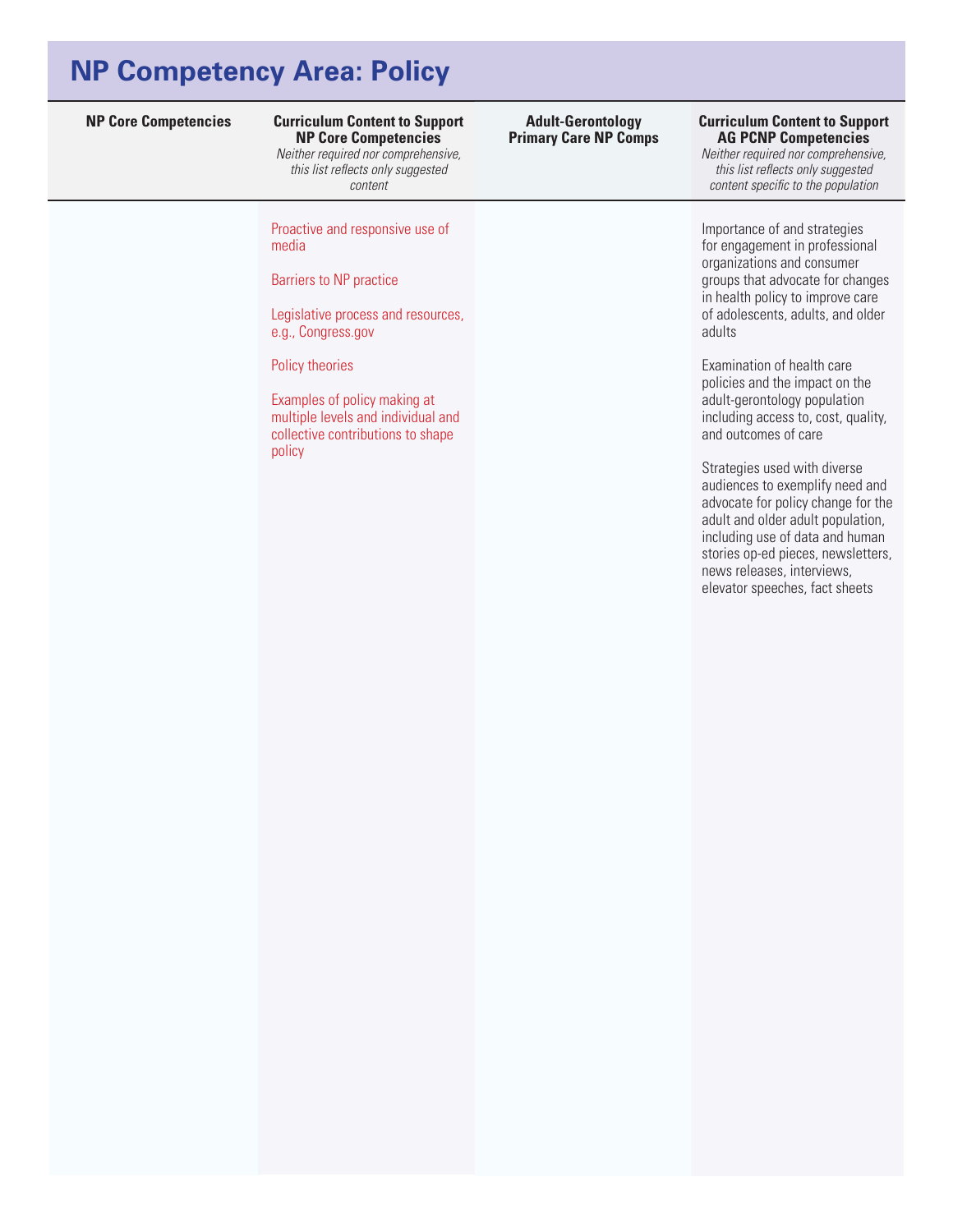## **NP Competency Area: Policy**

### **Curriculum Content to Support NP Core Competencies**

*Neither required nor comprehensive, this list reflects only suggested content* 

Proactive and responsive use of media

Barriers to NP practice

Legislative process and resources, e.g., Congress.gov

Policy theories

Examples of policy making at multiple levels and individual and collective contributions to shape policy

### **Adult-Gerontology Primary Care NP Comps**

#### **NP Core Competencies Curriculum Content to Support AG PCNP Competencies**

*Neither required nor comprehensive, this list reflects only suggested content specific to the population*

Importance of and strategies for engagement in professional organizations and consumer groups that advocate for changes in health policy to improve care of adolescents, adults, and older adults

Examination of health care policies and the impact on the adult-gerontology population including access to, cost, quality, and outcomes of care

Strategies used with diverse audiences to exemplify need and advocate for policy change for the adult and older adult population, including use of data and human stories op-ed pieces, newsletters, news releases, interviews, elevator speeches, fact sheets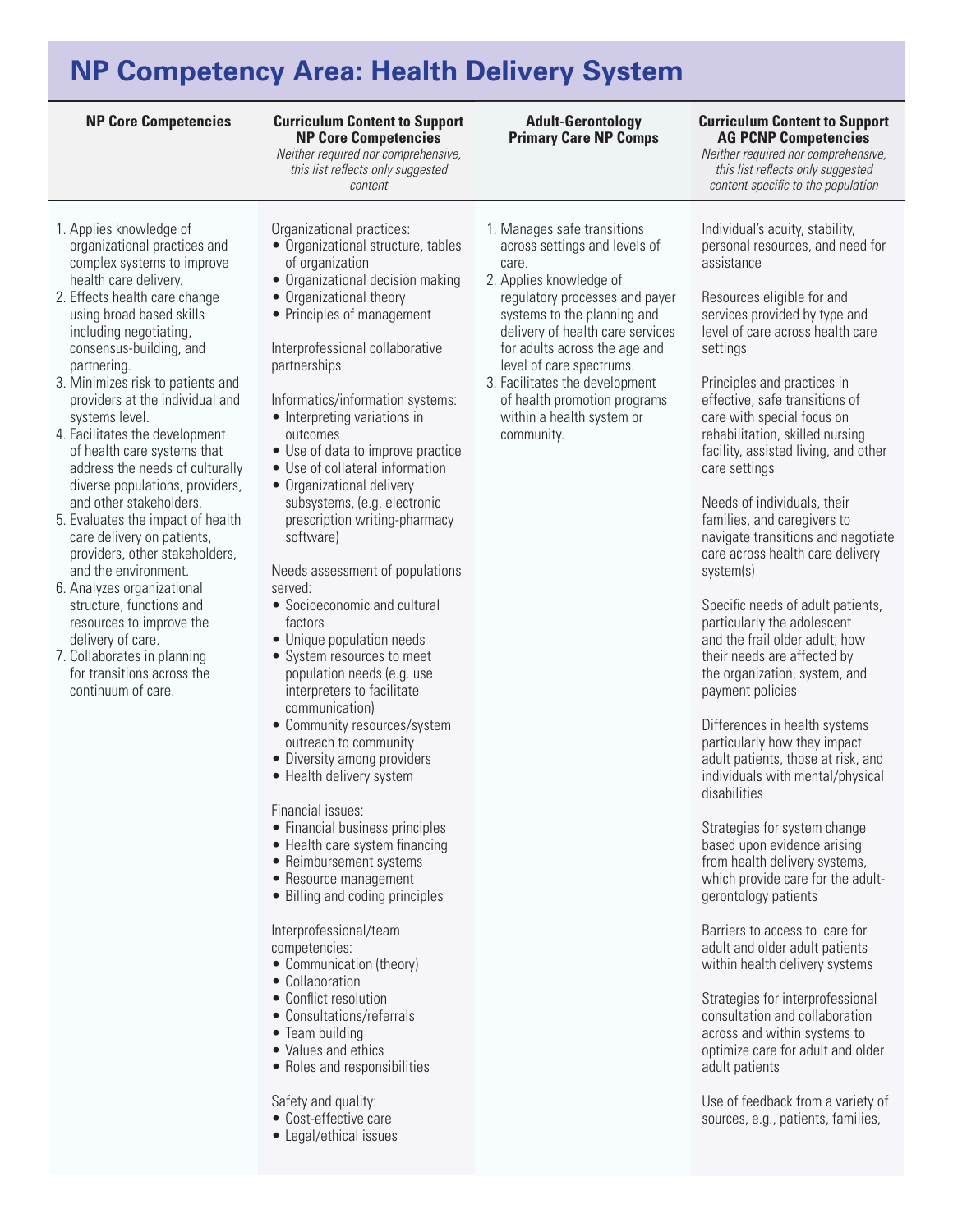# **NP Competency Area: Health Delivery System**

#### **NP Core Competencies Curriculum Content to Support Curriculum Content to Support NP Core Competencies**

*Neither required nor comprehensive, this list reflects only suggested content* 

- 1. Applies knowledge of organizational practices and complex systems to improve health care delivery.
- 2. Effects health care change using broad based skills including negotiating, consensus-building, and partnering.
- 3. Minimizes risk to patients and providers at the individual and systems level.
- 4. Facilitates the development of health care systems that address the needs of culturally diverse populations, providers, and other stakeholders.
- 5. Evaluates the impact of health care delivery on patients, providers, other stakeholders, and the environment.
- 6. Analyzes organizational structure, functions and resources to improve the delivery of care.
- 7. Collaborates in planning for transitions across the continuum of care.
- Organizational practices:
- Organizational structure, tables of organization
- Organizational decision making
- Organizational theory
- Principles of management

### Interprofessional collaborative partnerships

### Informatics/information systems:

- Interpreting variations in outcomes
- Use of data to improve practice
- Use of collateral information
- Organizational delivery subsystems, (e.g. electronic prescription writing-pharmacy software)

### Needs assessment of populations served:

- Socioeconomic and cultural factors
- Unique population needs
- System resources to meet population needs (e.g. use interpreters to facilitate communication)
- Community resources/system outreach to community
- Diversity among providers
- Health delivery system

### Financial issues:

- Financial business principles
- Health care system financing
- Reimbursement systems
- Resource management
- Billing and coding principles

### Interprofessional/team competencies:

- Communication (theory)
- Collaboration
- Conflict resolution
- Consultations/referrals
- Team building
- Values and ethics
- Roles and responsibilities

### Safety and quality:

- • Cost-effective care
- Legal/ethical issues

### 1. Manages safe transitions across settings and levels of care.

**Adult-Gerontology Primary Care NP Comps**

- 2. Applies knowledge of regulatory processes and payer systems to the planning and delivery of health care services for adults across the age and level of care spectrums.
- 3. Facilitates the development of health promotion programs within a health system or community.

# **AG PCNP Competencies**

*Neither required nor comprehensive, this list reflects only suggested content specific to the population*

Individual's acuity, stability, personal resources, and need for assistance

Resources eligible for and services provided by type and level of care across health care settings

Principles and practices in effective, safe transitions of care with special focus on rehabilitation, skilled nursing facility, assisted living, and other care settings

Needs of individuals, their families, and caregivers to navigate transitions and negotiate care across health care delivery system(s)

Specific needs of adult patients, particularly the adolescent and the frail older adult; how their needs are affected by the organization, system, and payment policies

Differences in health systems particularly how they impact adult patients, those at risk, and individuals with mental/physical disabilities

Strategies for system change based upon evidence arising from health delivery systems, which provide care for the adultgerontology patients

Barriers to access to care for adult and older adult patients within health delivery systems

Strategies for interprofessional consultation and collaboration across and within systems to optimize care for adult and older adult patients

Use of feedback from a variety of sources, e.g., patients, families,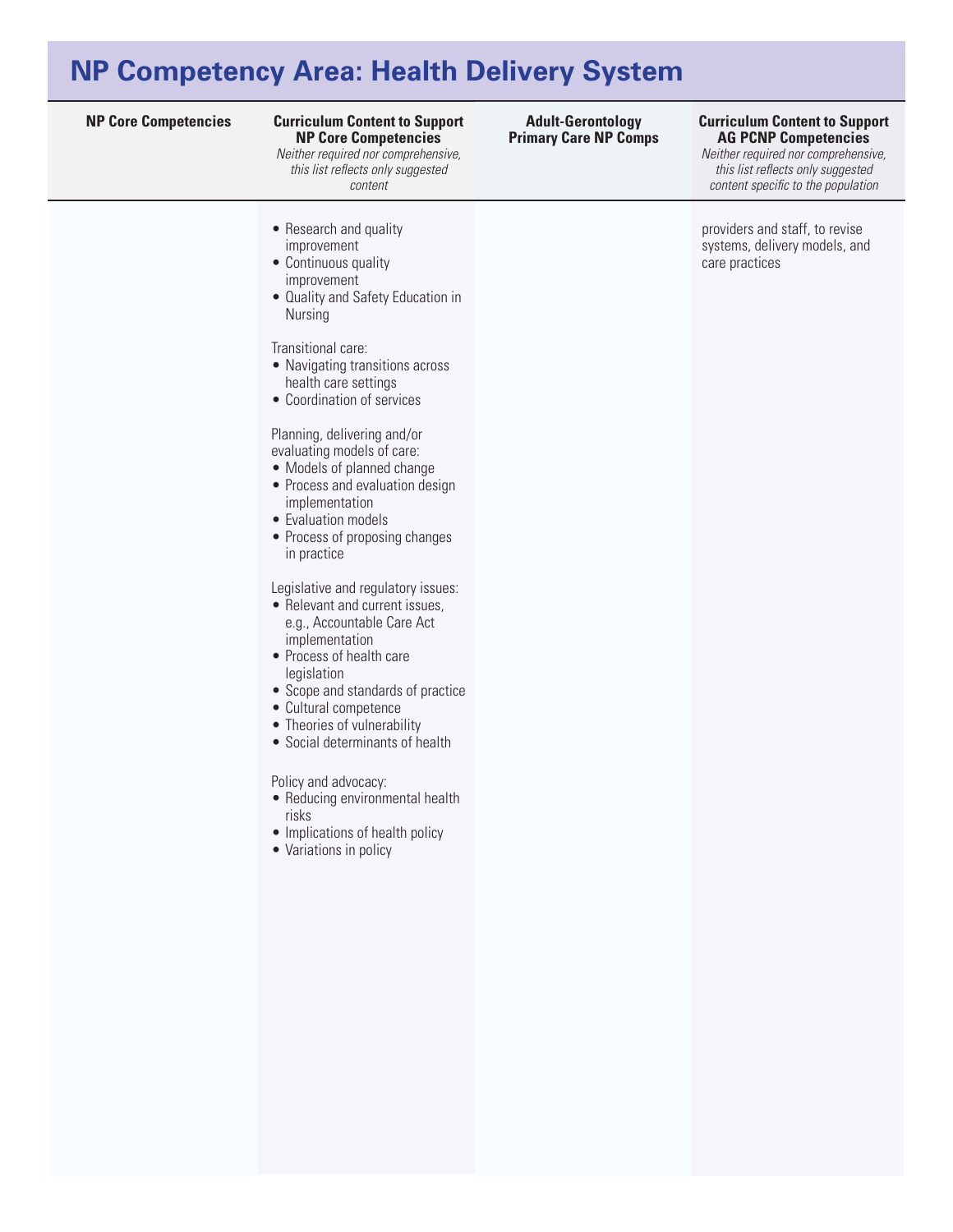## **NP Competency Area: Health Delivery System**

#### **NP Core Competencies Curriculum Content to Support Curriculum Content to Support NP Core Competencies**

*Neither required nor comprehensive, this list reflects only suggested content* 

- Research and quality improvement
- Continuous quality improvement
- Quality and Safety Education in Nursing

Transitional care:

- Navigating transitions across health care settings
- Coordination of services

Planning, delivering and/or evaluating models of care:

- Models of planned change
- Process and evaluation design implementation
- Evaluation models
- Process of proposing changes in practice

Legislative and regulatory issues:

- Relevant and current issues, e.g., Accountable Care Act implementation
- • Process of health care legislation
- • Scope and standards of practice
- • Cultural competence
- Theories of vulnerability
- • Social determinants of health

Policy and advocacy:

- Reducing environmental health risks
- Implications of health policy
- Variations in policy

#### **AG PCNP Competencies Adult-Gerontology Primary Care NP Comps**

*Neither required nor comprehensive, this list reflects only suggested content specific to the population*

providers and staff, to revise systems, delivery models, and care practices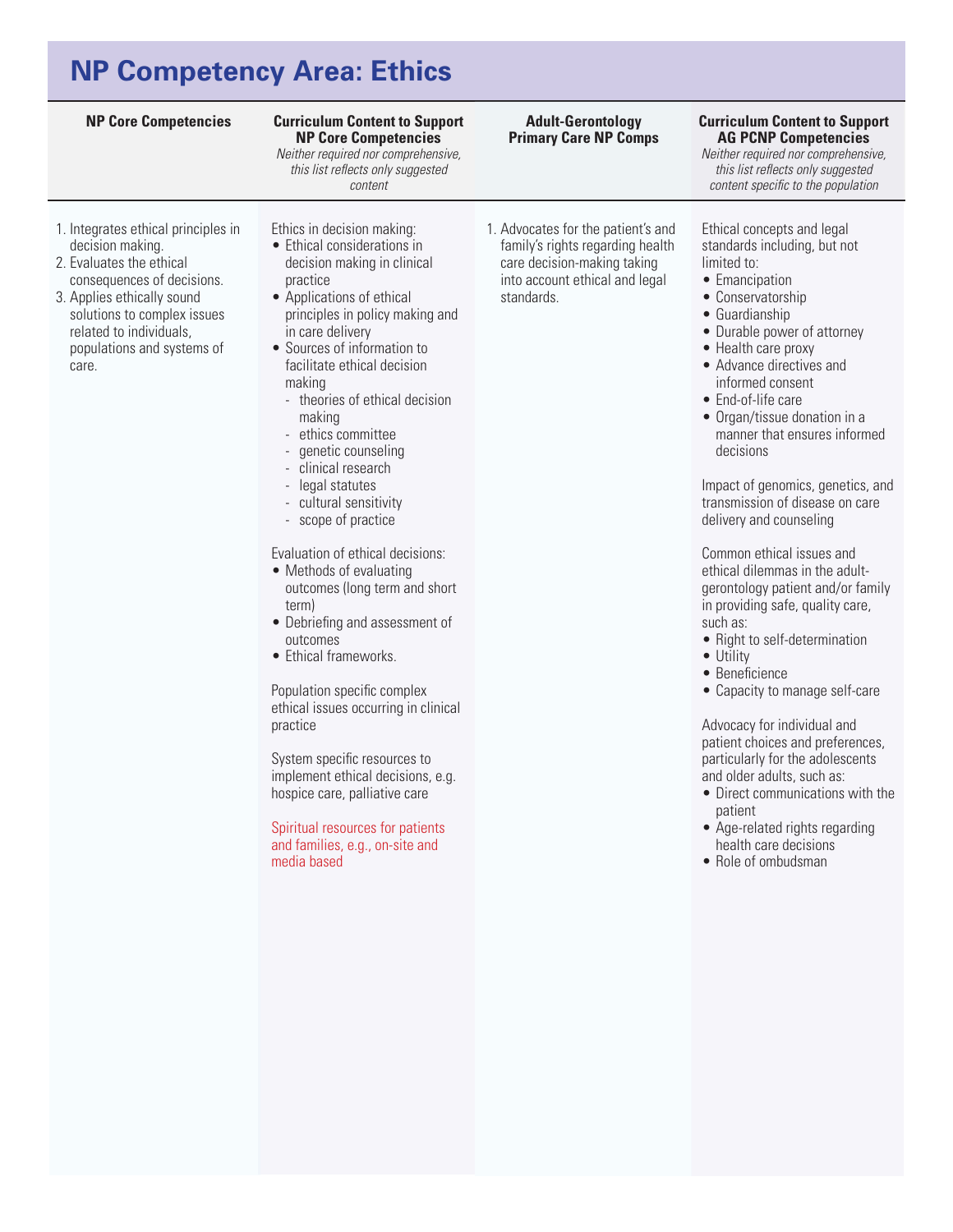# **NP Competency Area: Ethics**

| <b>NP Core Competencies</b>                                                                                                                                                                                                                      | <b>Curriculum Content to Support</b><br><b>NP Core Competencies</b><br>Neither required nor comprehensive,<br>this list reflects only suggested<br>content                                                                                                                                                                                                                                                                                                                                                                                                                                                                                                                                                                                                                                                                                                                                                        | <b>Adult-Gerontology</b><br><b>Primary Care NP Comps</b>                                                                                              | <b>Curriculum Content to Support</b><br><b>AG PCNP Competencies</b><br>Neither required nor comprehensive,<br>this list reflects only suggested<br>content specific to the population                                                                                                                                                                                                                                                                                                                                                                                                                                                                                                                                                                                                                                                                                                                                                                                      |
|--------------------------------------------------------------------------------------------------------------------------------------------------------------------------------------------------------------------------------------------------|-------------------------------------------------------------------------------------------------------------------------------------------------------------------------------------------------------------------------------------------------------------------------------------------------------------------------------------------------------------------------------------------------------------------------------------------------------------------------------------------------------------------------------------------------------------------------------------------------------------------------------------------------------------------------------------------------------------------------------------------------------------------------------------------------------------------------------------------------------------------------------------------------------------------|-------------------------------------------------------------------------------------------------------------------------------------------------------|----------------------------------------------------------------------------------------------------------------------------------------------------------------------------------------------------------------------------------------------------------------------------------------------------------------------------------------------------------------------------------------------------------------------------------------------------------------------------------------------------------------------------------------------------------------------------------------------------------------------------------------------------------------------------------------------------------------------------------------------------------------------------------------------------------------------------------------------------------------------------------------------------------------------------------------------------------------------------|
| 1. Integrates ethical principles in<br>decision making.<br>2. Evaluates the ethical<br>consequences of decisions.<br>3. Applies ethically sound<br>solutions to complex issues<br>related to individuals,<br>populations and systems of<br>care. | Ethics in decision making:<br>• Ethical considerations in<br>decision making in clinical<br>practice<br>• Applications of ethical<br>principles in policy making and<br>in care delivery<br>• Sources of information to<br>facilitate ethical decision<br>making<br>- theories of ethical decision<br>making<br>- ethics committee<br>genetic counseling<br>- clinical research<br>- legal statutes<br>cultural sensitivity<br>- scope of practice<br>Evaluation of ethical decisions:<br>• Methods of evaluating<br>outcomes (long term and short<br>term)<br>• Debriefing and assessment of<br>outcomes<br>• Ethical frameworks.<br>Population specific complex<br>ethical issues occurring in clinical<br>practice<br>System specific resources to<br>implement ethical decisions, e.g.<br>hospice care, palliative care<br>Spiritual resources for patients<br>and families, e.g., on-site and<br>media based | 1. Advocates for the patient's and<br>family's rights regarding health<br>care decision-making taking<br>into account ethical and legal<br>standards. | Ethical concepts and legal<br>standards including, but not<br>limited to:<br>• Emancipation<br>• Conservatorship<br>• Guardianship<br>• Durable power of attorney<br>• Health care proxy<br>• Advance directives and<br>informed consent<br>• End-of-life care<br>• Organ/tissue donation in a<br>manner that ensures informed<br>decisions<br>Impact of genomics, genetics, and<br>transmission of disease on care<br>delivery and counseling<br>Common ethical issues and<br>ethical dilemmas in the adult-<br>gerontology patient and/or family<br>in providing safe, quality care,<br>such as:<br>• Right to self-determination<br>• Utility<br>• Beneficience<br>• Capacity to manage self-care<br>Advocacy for individual and<br>patient choices and preferences,<br>particularly for the adolescents<br>and older adults, such as:<br>• Direct communications with the<br>patient<br>• Age-related rights regarding<br>health care decisions<br>• Role of ombudsman |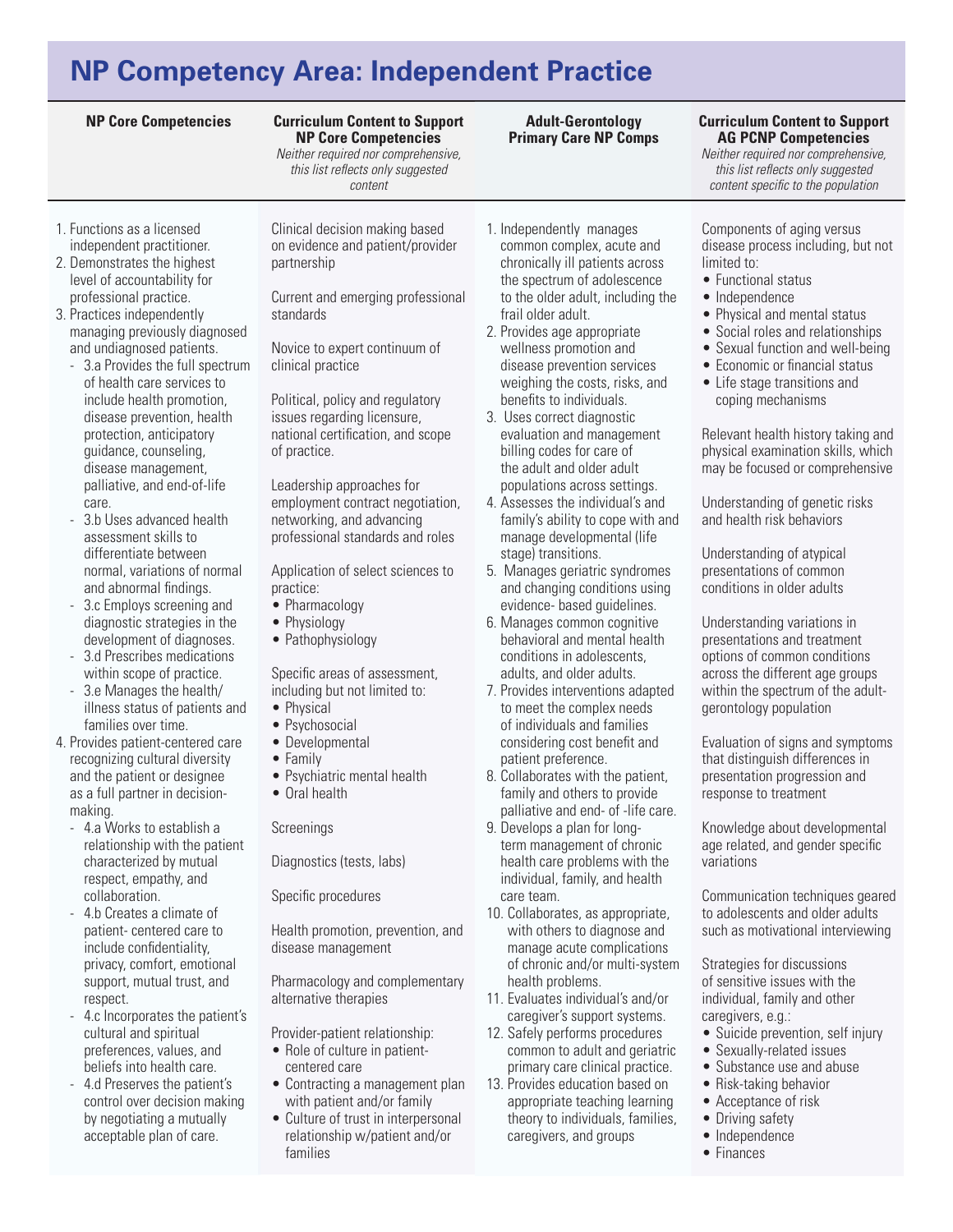#### **NP Core Competencies Curriculum Content to Support Curriculum Content to Support NP Core Competencies**

*Neither required nor comprehensive, this list reflects only suggested content* 

- 1. Functions as a licensed independent practitioner.
- 2. Demonstrates the highest level of accountability for professional practice.
- 3. Practices independently managing previously diagnosed and undiagnosed patients.
	- 3.a Provides the full spectrum of health care services to include health promotion, disease prevention, health protection, anticipatory guidance, counseling, disease management, palliative, and end-of-life care.
	- 3.b Uses advanced health assessment skills to differentiate between normal, variations of normal and abnormal findings.
	- 3.c Employs screening and diagnostic strategies in the development of diagnoses.
	- 3.d Prescribes medications within scope of practice.
	- 3.e Manages the health/ illness status of patients and families over time.
- 4. Provides patient-centered care recognizing cultural diversity and the patient or designee as a full partner in decisionmaking.
	- 4.a Works to establish a relationship with the patient characterized by mutual respect, empathy, and collaboration.
	- 4.b Creates a climate of patient- centered care to include confidentiality, privacy, comfort, emotional support, mutual trust, and respect.
	- 4.c Incorporates the patient's cultural and spiritual preferences, values, and beliefs into health care.
	- 4.d Preserves the patient's control over decision making by negotiating a mutually acceptable plan of care.

Clinical decision making based on evidence and patient/provider partnership

Current and emerging professional standards

Novice to expert continuum of clinical practice

Political, policy and regulatory issues regarding licensure, national certification, and scope of practice.

Leadership approaches for employment contract negotiation, networking, and advancing professional standards and roles

Application of select sciences to practice:

- Pharmacology
- Physiology
- Pathophysiology

Specific areas of assessment, including but not limited to:

- Physical
- Psychosocial
- • Developmental
- • Family
- Psychiatric mental health
- • Oral health

Screenings

Diagnostics (tests, labs)

Specific procedures

Health promotion, prevention, and disease management

Pharmacology and complementary alternative therapies

Provider-patient relationship:

- Role of culture in patientcentered care
- Contracting a management plan with patient and/or family
- Culture of trust in interpersonal relationship w/patient and/or families

1. Independently manages common complex, acute and chronically ill patients across the spectrum of adolescence to the older adult, including the frail older adult.

**Adult-Gerontology Primary Care NP Comps**

- 2. Provides age appropriate wellness promotion and disease prevention services weighing the costs, risks, and benefits to individuals.
- 3. Uses correct diagnostic evaluation and management billing codes for care of the adult and older adult populations across settings.
- 4. Assesses the individual's and family's ability to cope with and manage developmental (life stage) transitions.
- 5. Manages geriatric syndromes and changing conditions using evidence- based guidelines.
- 6. Manages common cognitive behavioral and mental health conditions in adolescents, adults, and older adults.
- 7. Provides interventions adapted to meet the complex needs of individuals and families considering cost benefit and patient preference.
- 8. Collaborates with the patient, family and others to provide palliative and end- of -life care.
- 9. Develops a plan for longterm management of chronic health care problems with the individual, family, and health care team.
- 10. Collaborates, as appropriate, with others to diagnose and manage acute complications of chronic and/or multi-system health problems.
- 11. Evaluates individual's and/or caregiver's support systems.
- 12. Safely performs procedures common to adult and geriatric primary care clinical practice.
- 13. Provides education based on appropriate teaching learning theory to individuals, families, caregivers, and groups

# **AG PCNP Competencies**

*Neither required nor comprehensive, this list reflects only suggested content specific to the population*

Components of aging versus disease process including, but not limited to:

- Functional status
- Independence
- Physical and mental status
- Social roles and relationships
- Sexual function and well-being
- Economic or financial status
- • Life stage transitions and coping mechanisms

Relevant health history taking and physical examination skills, which may be focused or comprehensive

Understanding of genetic risks and health risk behaviors

Understanding of atypical presentations of common conditions in older adults

Understanding variations in presentations and treatment options of common conditions across the different age groups within the spectrum of the adultgerontology population

Evaluation of signs and symptoms that distinguish differences in presentation progression and response to treatment

Knowledge about developmental age related, and gender specific variations

Communication techniques geared to adolescents and older adults such as motivational interviewing

Strategies for discussions of sensitive issues with the individual, family and other caregivers, e.g.:

- Suicide prevention, self injury
- Sexually-related issues
- Substance use and abuse
- Risk-taking behavior
- Acceptance of risk
- Driving safety
- Independence
- • Finances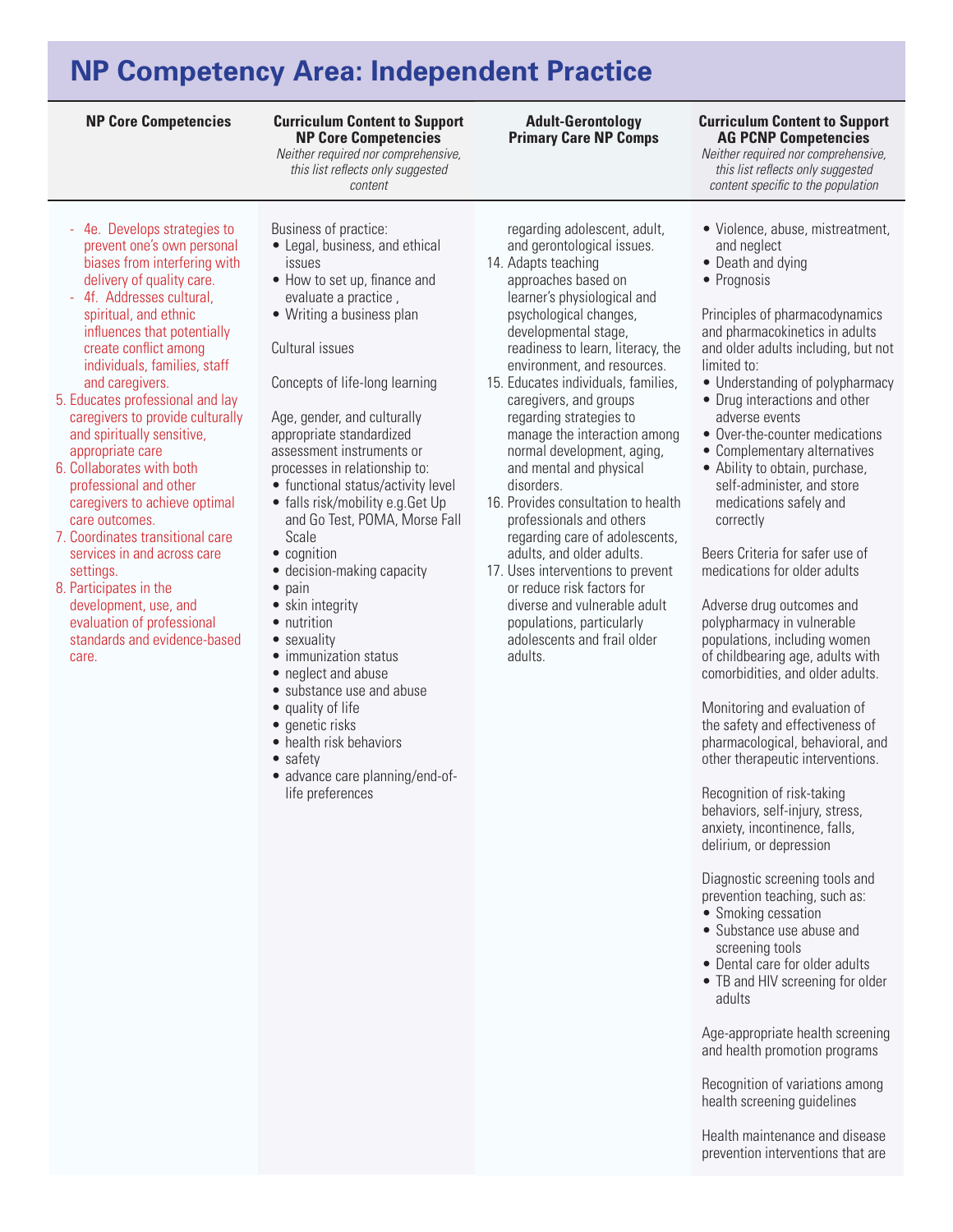### **Curriculum Content to Support NP Core Competencies**

*Neither required nor comprehensive, this list reflects only suggested content* 

- 4e. Develops strategies to prevent one's own personal biases from interfering with delivery of quality care.
- 4f. Addresses cultural, spiritual, and ethnic influences that potentially create conflict among individuals, families, staff and caregivers.
- 5. Educates professional and lay caregivers to provide culturally and spiritually sensitive, appropriate care
- 6. Collaborates with both professional and other caregivers to achieve optimal care outcomes.
- 7. Coordinates transitional care services in and across care settings.
- 8. Participates in the development, use, and evaluation of professional standards and evidence-based care.
- Business of practice:
- Legal, business, and ethical issues
- How to set up, finance and evaluate a practice ,
- Writing a business plan

#### Cultural issues

Concepts of life-long learning

Age, gender, and culturally appropriate standardized assessment instruments or processes in relationship to:

- functional status/activity level
- falls risk/mobility e.g.Get Up and Go Test, POMA, Morse Fall Scale
- cognition
- decision-making capacity
- pain
- skin integrity
- nutrition
- sexuality • immunization status
- neglect and abuse
- substance use and abuse
- quality of life
- 
- genetic risks
- health risk behaviors
- safety
- advance care planning/end-oflife preferences

regarding adolescent, adult, and gerontological issues.

- 14. Adapts teaching approaches based on learner's physiological and psychological changes, developmental stage, readiness to learn, literacy, the environment, and resources.
- 15. Educates individuals, families, caregivers, and groups regarding strategies to manage the interaction among normal development, aging, and mental and physical disorders.
- 16. Provides consultation to health professionals and others regarding care of adolescents, adults, and older adults.
- 17. Uses interventions to prevent or reduce risk factors for diverse and vulnerable adult populations, particularly adolescents and frail older adults.

*Neither required nor comprehensive, this list reflects only suggested content specific to the population*

**AG PCNP Competencies** 

- • Violence, abuse, mistreatment, and neglect
- Death and dying
- Prognosis

Principles of pharmacodynamics and pharmacokinetics in adults and older adults including, but not limited to:

- Understanding of polypharmacy • Drug interactions and other
- adverse events • Over-the-counter medications
- Complementary alternatives
- Ability to obtain, purchase,
- self-administer, and store medications safely and correctly

Beers Criteria for safer use of medications for older adults

Adverse drug outcomes and polypharmacy in vulnerable populations, including women of childbearing age, adults with comorbidities, and older adults.

Monitoring and evaluation of the safety and effectiveness of pharmacological, behavioral, and other therapeutic interventions.

Recognition of risk-taking behaviors, self-injury, stress, anxiety, incontinence, falls, delirium, or depression

Diagnostic screening tools and prevention teaching, such as: • Smoking cessation

- Substance use abuse and
- screening tools • Dental care for older adults
- TB and HIV screening for older adults

Age-appropriate health screening and health promotion programs

Recognition of variations among health screening guidelines

Health maintenance and disease prevention interventions that are

#### **NP Core Competencies Curriculum Content to Support Adult-Gerontology Primary Care NP Comps**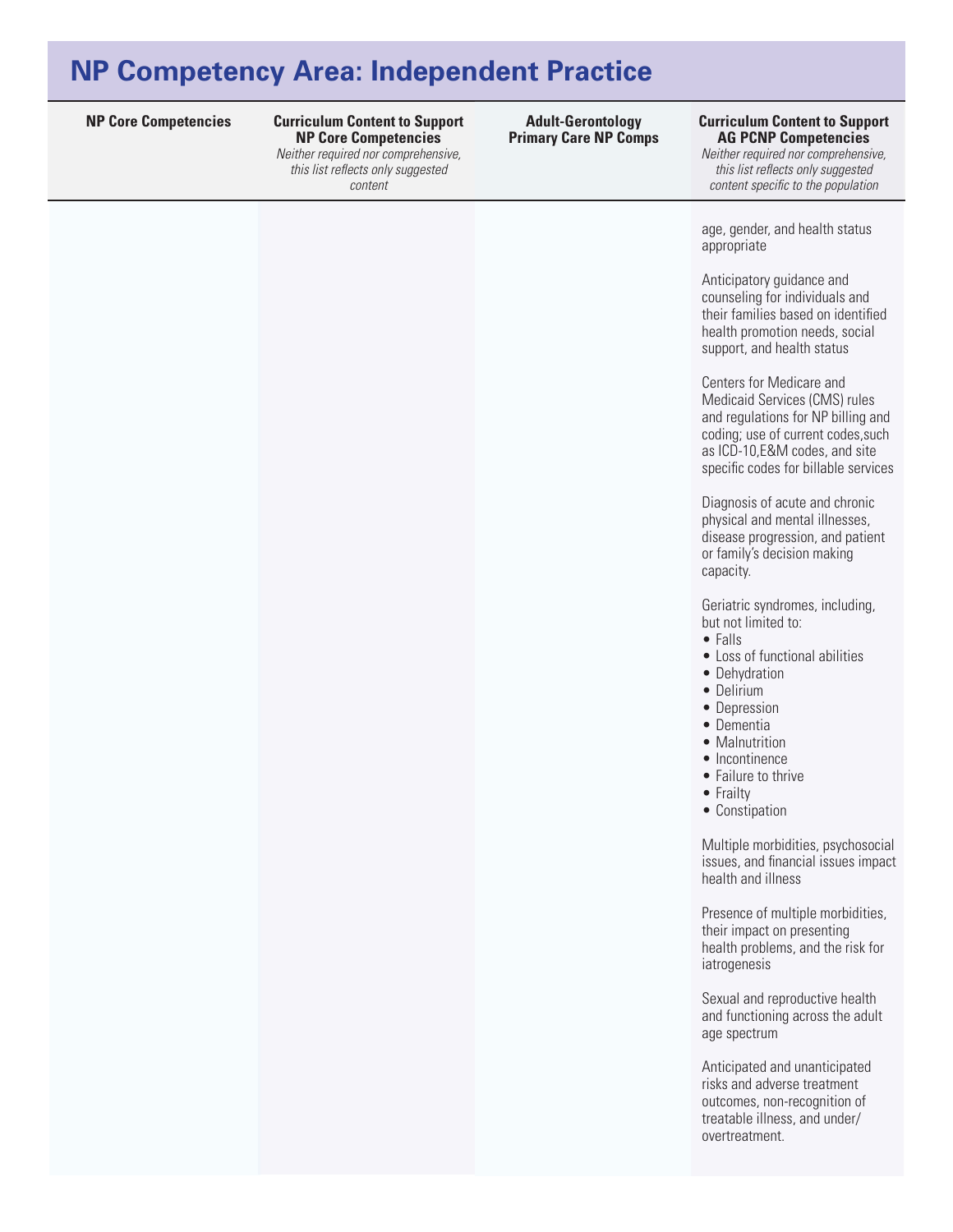**NP Core Competencies Curriculum Content to Support Curriculum Content to Support NP Core Competencies**  *Neither required nor comprehensive, this list reflects only suggested* 

*content* 

**Adult-Gerontology Primary Care NP Comps**

### **AG PCNP Competencies**

*Neither required nor comprehensive, this list reflects only suggested content specific to the population*

age, gender, and health status appropriate

Anticipatory guidance and counseling for individuals and their families based on identified health promotion needs, social support, and health status

Centers for Medicare and Medicaid Services (CMS) rules and regulations for NP billing and coding; use of current codes,such as ICD-10,E&M codes, and site specific codes for billable services

Diagnosis of acute and chronic physical and mental illnesses, disease progression, and patient or family's decision making capacity.

Geriatric syndromes, including, but not limited to:

- • Falls
- Loss of functional abilities
- Dehydration
- Delirium
- Depression
- • Dementia
- Malnutrition
- Incontinence
- Failure to thrive
- Frailty
- • Constipation

Multiple morbidities, psychosocial issues, and financial issues impact health and illness

Presence of multiple morbidities, their impact on presenting health problems, and the risk for iatrogenesis

Sexual and reproductive health and functioning across the adult age spectrum

Anticipated and unanticipated risks and adverse treatment outcomes, non-recognition of treatable illness, and under/ overtreatment.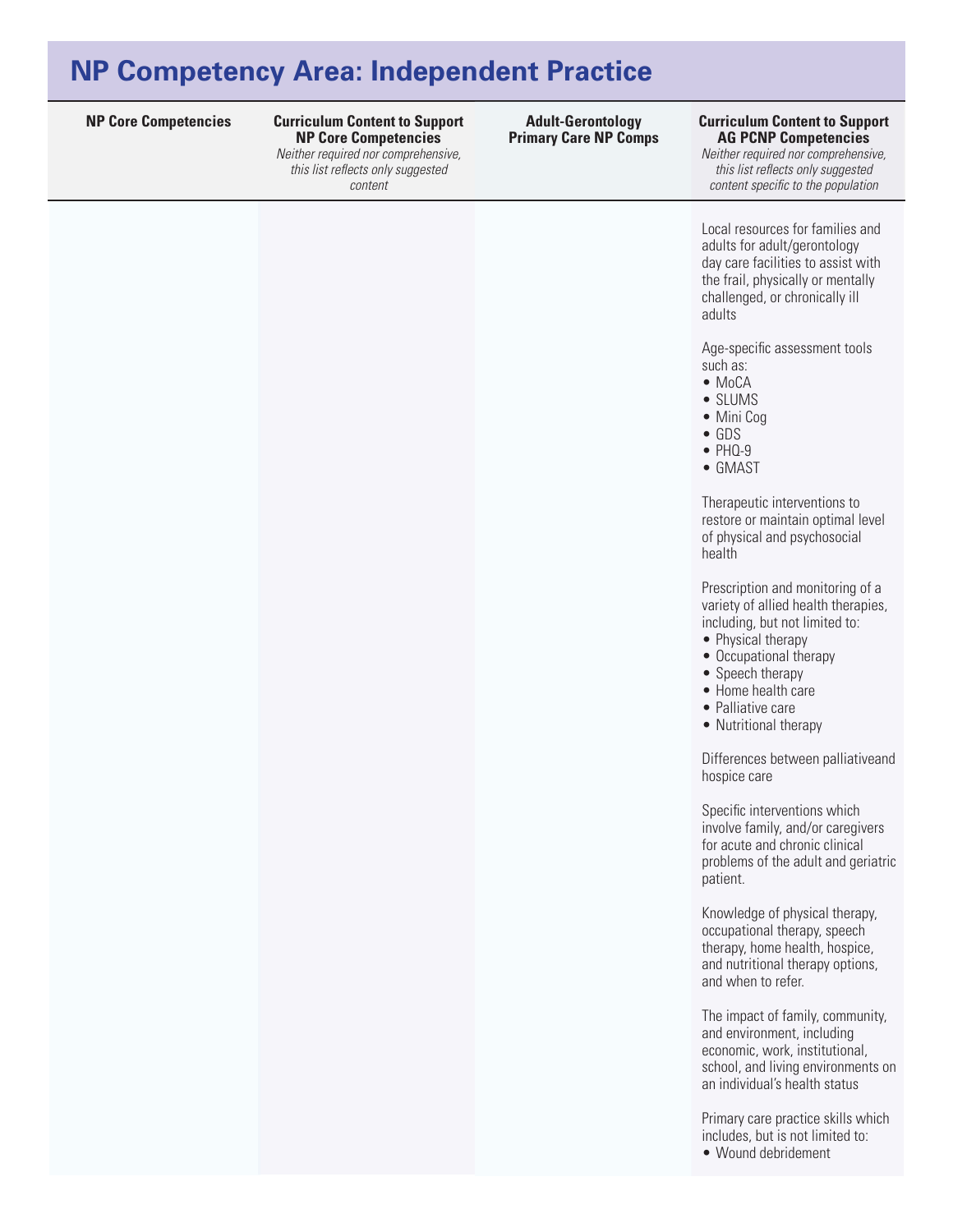**NP Core Competencies Curriculum Content to Support Curriculum Content to Support NP Core Competencies**  *Neither required nor comprehensive,* 

*this list reflects only suggested content* 

**Adult-Gerontology Primary Care NP Comps**

## **AG PCNP Competencies**

*Neither required nor comprehensive, this list reflects only suggested content specific to the population*

Local resources for families and adults for adult/gerontology day care facilities to assist with the frail, physically or mentally challenged, or chronically ill adults

Age-specific assessment tools such as:

- MoCA
- SLUMS
- Mini Cog
- • GDS
- $\bullet$  PHQ-9
- GMAST

Therapeutic interventions to restore or maintain optimal level of physical and psychosocial health

Prescription and monitoring of a variety of allied health therapies, including, but not limited to:

- Physical therapy
- Occupational therapy
- Speech therapy
- Home health care
- Palliative care
- Nutritional therapy

Differences between palliativeand hospice care

Specific interventions which involve family, and/or caregivers for acute and chronic clinical problems of the adult and geriatric patient.

Knowledge of physical therapy, occupational therapy, speech therapy, home health, hospice, and nutritional therapy options, and when to refer.

The impact of family, community, and environment, including economic, work, institutional, school, and living environments on an individual's health status

Primary care practice skills which includes, but is not limited to:

• Wound debridement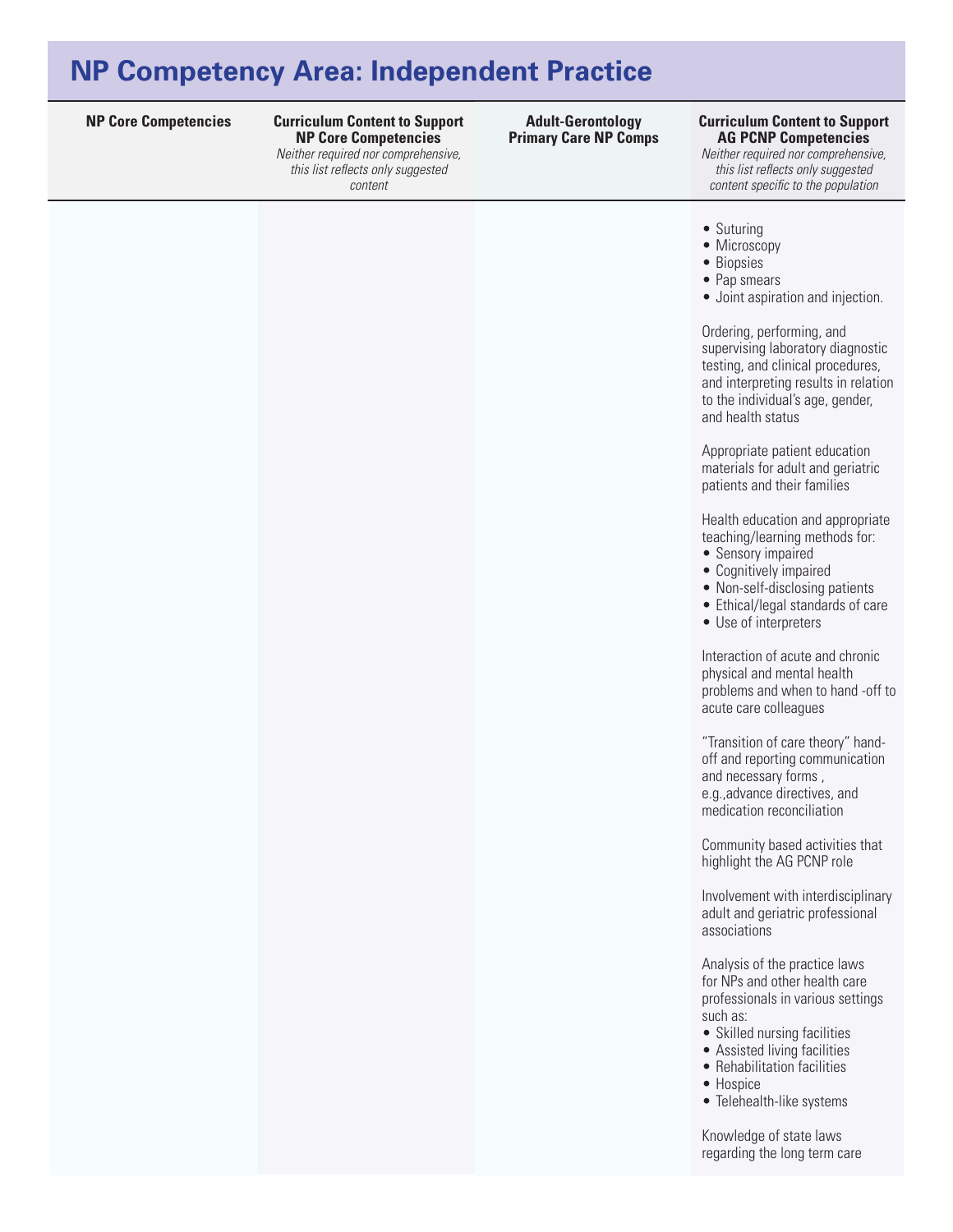**NP Core Competencies Curriculum Content to Support Curriculum Content to Support NP Core Competencies**  *Neither required nor comprehensive,* 

*this list reflects only suggested content* 

**Adult-Gerontology Primary Care NP Comps**

## **AG PCNP Competencies**

*Neither required nor comprehensive, this list reflects only suggested content specific to the population*

- Suturing
- Microscopy
- Biopsies
- Pap smears
- Joint aspiration and injection.

Ordering, performing, and supervising laboratory diagnostic testing, and clinical procedures, and interpreting results in relation to the individual's age, gender, and health status

Appropriate patient education materials for adult and geriatric patients and their families

Health education and appropriate teaching/learning methods for:

- Sensory impaired
- Cognitively impaired
- Non-self-disclosing patients
- Ethical/legal standards of care
- • Use of interpreters

Interaction of acute and chronic physical and mental health problems and when to hand -off to acute care colleagues

"Transition of care theory" handoff and reporting communication and necessary forms , e.g.,advance directives, and medication reconciliation

Community based activities that highlight the AG PCNP role

Involvement with interdisciplinary adult and geriatric professional associations

Analysis of the practice laws for NPs and other health care professionals in various settings such as:

- Skilled nursing facilities
- Assisted living facilities
- Rehabilitation facilities
- Hospice
- Telehealth-like systems

Knowledge of state laws regarding the long term care